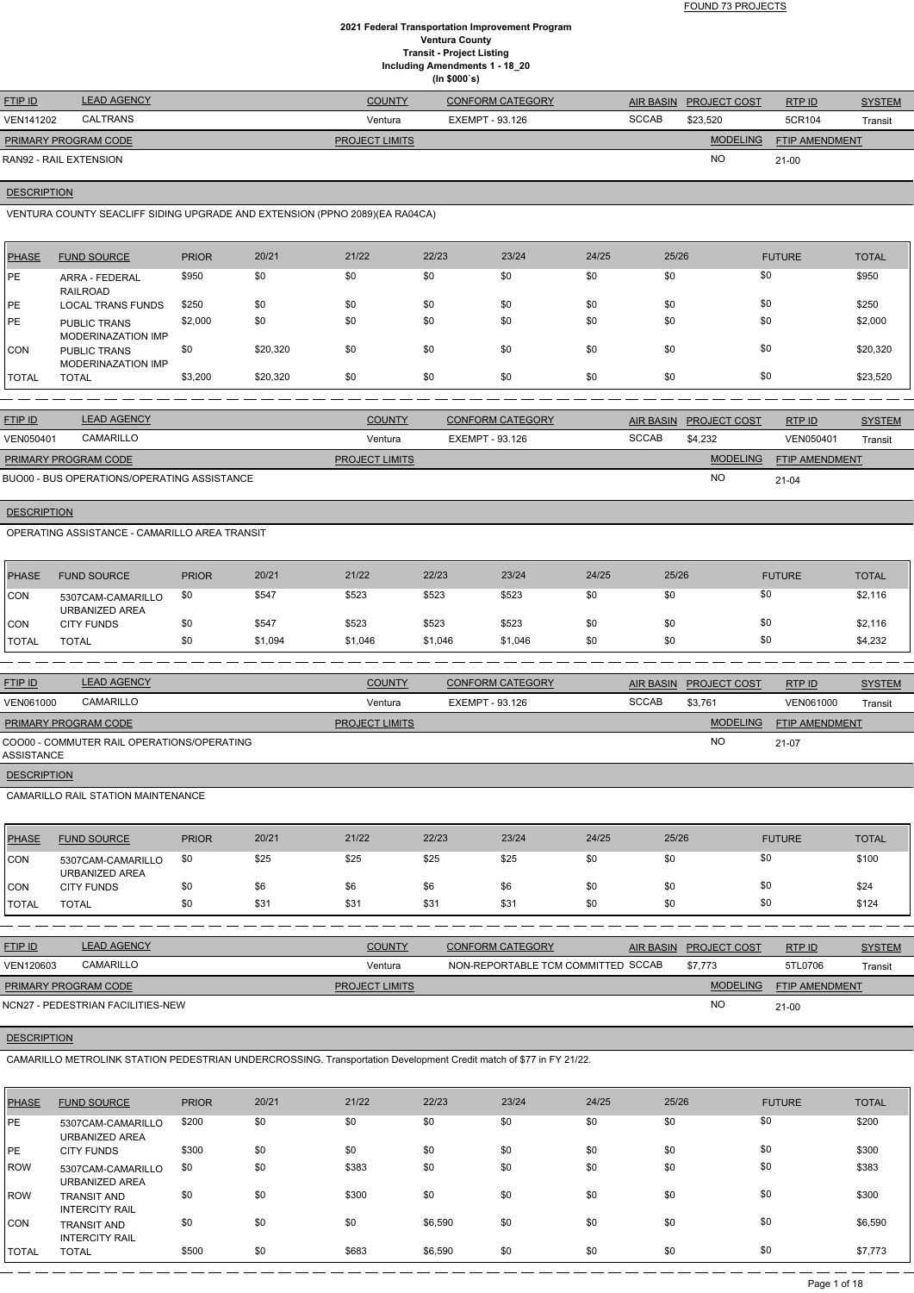FOUND 73 PROJECTS

### **2021 Federal Transportation Improvement Program Ventura County Transit - Project Listing Including Amendments 1 - 18\_20 (In \$000`s)**

| <b>FTIP ID</b>              | <b>LEAD AGENCY</b> | <b>COUNTY</b>         | <b>CONFORM CATEGORY</b> |              | AIR BASIN PROJECT COST | RTP ID                | <b>SYSTEM</b> |
|-----------------------------|--------------------|-----------------------|-------------------------|--------------|------------------------|-----------------------|---------------|
| <b>VEN141202</b>            | CALTRANS           | Ventura               | EXEMPT - 93.126         | <b>SCCAB</b> | \$23.520               | 5CR104                | Transit       |
| <b>PRIMARY PROGRAM CODE</b> |                    | <b>PROJECT LIMITS</b> |                         |              | <b>MODELING</b>        | <b>FTIP AMENDMENT</b> |               |
| RAN92 - RAIL EXTENSION      |                    |                       |                         |              | <b>NC</b>              | $21 - 00$             |               |

#### **DESCRIPTION**

VENTURA COUNTY SEACLIFF SIDING UPGRADE AND EXTENSION (PPNO 2089)(EA RA04CA)

| <b>PHASE</b> | <b>FUND SOURCE</b>                        | <b>PRIOR</b> | 20/21    | 21/22 | 22/23 | 23/24 | 24/25 | 25/26 | <b>FUTURE</b> | <b>TOTAL</b> |
|--------------|-------------------------------------------|--------------|----------|-------|-------|-------|-------|-------|---------------|--------------|
| <b>IPE</b>   | ARRA - FEDERAL<br>RAILROAD                | \$950        | \$0      | \$0   | \$0   | \$0   | \$0   | \$0   | \$0           | \$950        |
| <b>IPE</b>   | <b>LOCAL TRANS FUNDS</b>                  | \$250        | \$0      | \$0   | \$0   | \$0   | \$0   | \$0   | \$0           | \$250        |
| <b>IPE</b>   | <b>PUBLIC TRANS</b><br>MODERINAZATION IMP | \$2,000      | \$0      | \$0   | \$0   | \$0   | \$0   | \$0   | \$0           | \$2,000      |
| <b>CON</b>   | <b>PUBLIC TRANS</b><br>MODERINAZATION IMP | \$0          | \$20,320 | \$0   | \$0   | \$0   | \$0   | \$0   | \$0           | \$20,320     |
| <b>TOTAL</b> | <b>TOTAL</b>                              | \$3,200      | \$20,320 | \$0   | \$0   | \$0   | \$0   | \$0   | \$0           | \$23,520     |

| <b>FTIP ID</b>              | <b>LEAD AGENCY</b>                          | <b>COUNTY</b>         | <b>CONFORM CATEGORY</b> |              | AIR BASIN PROJECT COST | <b>RTP ID</b>         | <b>SYSTEM</b> |
|-----------------------------|---------------------------------------------|-----------------------|-------------------------|--------------|------------------------|-----------------------|---------------|
| <b>VEN050401</b>            | CAMARILLO                                   | Ventura               | EXEMPT - 93.126         | <b>SCCAB</b> | \$4.232                | VEN050401             | Transit       |
| <b>PRIMARY PROGRAM CODE</b> |                                             | <b>PROJECT LIMITS</b> |                         |              | <b>MODELING</b>        | <b>FTIP AMENDMENT</b> |               |
|                             | BUO00 - BUS OPERATIONS/OPERATING ASSISTANCE |                       |                         |              | <b>NO</b>              | $21 - 04$             |               |

**DESCRIPTION** 

OPERATING ASSISTANCE - CAMARILLO AREA TRANSIT

| PHASE          | <b>FUND SOURCE</b>                  | <b>PRIOR</b> | 20/21   | 21/22   | 22/23   | 23/24   | 24/25 | 25/26 | <b>FUTURE</b> | TOTAL   |
|----------------|-------------------------------------|--------------|---------|---------|---------|---------|-------|-------|---------------|---------|
| <b>CON</b>     | 5307CAM-CAMARILLO<br>URBANIZED AREA | \$0          | \$547   | \$523   | \$523   | \$523   | \$0   | \$0   | \$0           | \$2,116 |
| <b>CON</b>     | <b>CITY FUNDS</b>                   | \$0          | \$547   | \$523   | \$523   | \$523   | \$0   | \$0   | \$0           | \$2,116 |
| <b>I</b> TOTAL | <b>TOTAL</b>                        | \$0          | \$1,094 | \$1,046 | \$1,046 | \$1,046 | \$0   | \$0   | \$0           | \$4,232 |

| <b>FTIP ID</b>       | <b>LEAD AGENCY</b>                         | <b>COUNTY</b>         | <b>CONFORM CATEGORY</b> | <b>AIR BASIN</b> | <b>PROJECT COST</b> | RTP ID                | <b>SYSTEM</b>  |
|----------------------|--------------------------------------------|-----------------------|-------------------------|------------------|---------------------|-----------------------|----------------|
| VEN061000            | CAMARILLO                                  | Ventura               | EXEMPT - 93.126         | <b>SCCAB</b>     | \$3,761             | VEN061000             | <b>Transit</b> |
| PRIMARY PROGRAM CODE |                                            | <b>PROJECT LIMITS</b> |                         |                  | <b>MODELING</b>     | <b>FTIP AMENDMENT</b> |                |
| ASSISTANCE           | COO00 - COMMUTER RAIL OPERATIONS/OPERATING |                       |                         |                  | NO                  | 21-07                 |                |
| <b>DESCRIPTION</b>   |                                            |                       |                         |                  |                     |                       |                |

CAMARILLO RAIL STATION MAINTENANCE

| <b>PHASE</b> | <b>FUND SOURCE</b>                  | <b>PRIOR</b> | 20/21 | 21/22 | 22/23 | 23/24 | 24/25 | 25/26 | <b>FUTURE</b> | <b>TOTAL</b> |
|--------------|-------------------------------------|--------------|-------|-------|-------|-------|-------|-------|---------------|--------------|
| <b>CON</b>   | 5307CAM-CAMARILLO<br>URBANIZED AREA | \$0          | \$25  | \$25  | \$25  | \$25  | \$0   | \$0   | \$0           | \$100        |
| <b>ICON</b>  | <b>CITY FUNDS</b>                   | \$0          | \$6   | \$6   | \$6   | \$6   | \$0   | \$0   | \$0           | \$24         |
| <b>TOTAL</b> | <b>TOTAL</b>                        | \$0          | \$31  | \$31  | \$31  | \$31  | \$0   | \$0   | \$0           | \$124        |

| <b>FTIP ID</b> | <b>LEAD AGENCY</b> | <b>COUNTY</b> | <b>CONFORM CATEGORY</b>            | <b>AIR BASIN</b> | <b>PROJECT COST</b> | <b>RTPID</b> | <b>SYSTEM</b> |
|----------------|--------------------|---------------|------------------------------------|------------------|---------------------|--------------|---------------|
| VEN120603      | CAMARILLO          | Ventura       | NON-REPORTABLE TCM COMMITTED SCCAB |                  | \$7.773             | 5TL0706      | Transit       |

NO

**DESCRIPTION** 

21-00

NCN27 - PEDESTRIAN FACILITIES-NEW

CAMARILLO METROLINK STATION PEDESTRIAN UNDERCROSSING. Transportation Development Credit match of \$77 in FY 21/22.

| PHASE | <b>FUND SOURCE</b>                          | <b>PRIOR</b> | 20/21 | 21/22 | 22/23   | 23/24 | 24/25 | 25/26 | <b>FUTURE</b> | <b>TOTAL</b> |
|-------|---------------------------------------------|--------------|-------|-------|---------|-------|-------|-------|---------------|--------------|
| PE    | 5307CAM-CAMARILLO<br>URBANIZED AREA         | \$200        | \$0   | \$0   | \$0     | \$0   | \$0   | \$0   | \$0           | \$200        |
| PE    | <b>CITY FUNDS</b>                           | \$300        | \$0   | \$0   | \$0     | \$0   | \$0   | \$0   | \$0           | \$300        |
| l ROW | 5307CAM-CAMARILLO<br>URBANIZED AREA         | \$0          | \$0   | \$383 | \$0     | \$0   | \$0   | \$0   | \$0           | \$383        |
| ROW   | <b>TRANSIT AND</b><br><b>INTERCITY RAIL</b> | \$0          | \$0   | \$300 | \$0     | \$0   | \$0   | \$0   | \$0           | \$300        |
| ICON. | <b>TRANSIT AND</b><br><b>INTERCITY RAIL</b> | \$0          | \$0   | \$0   | \$6,590 | \$0   | \$0   | \$0   | \$0           | \$6,590      |
| TOTAL | <b>TOTAL</b>                                | \$500        | \$0   | \$683 | \$6,590 | \$0   | \$0   | \$0   | \$0           | \$7,773      |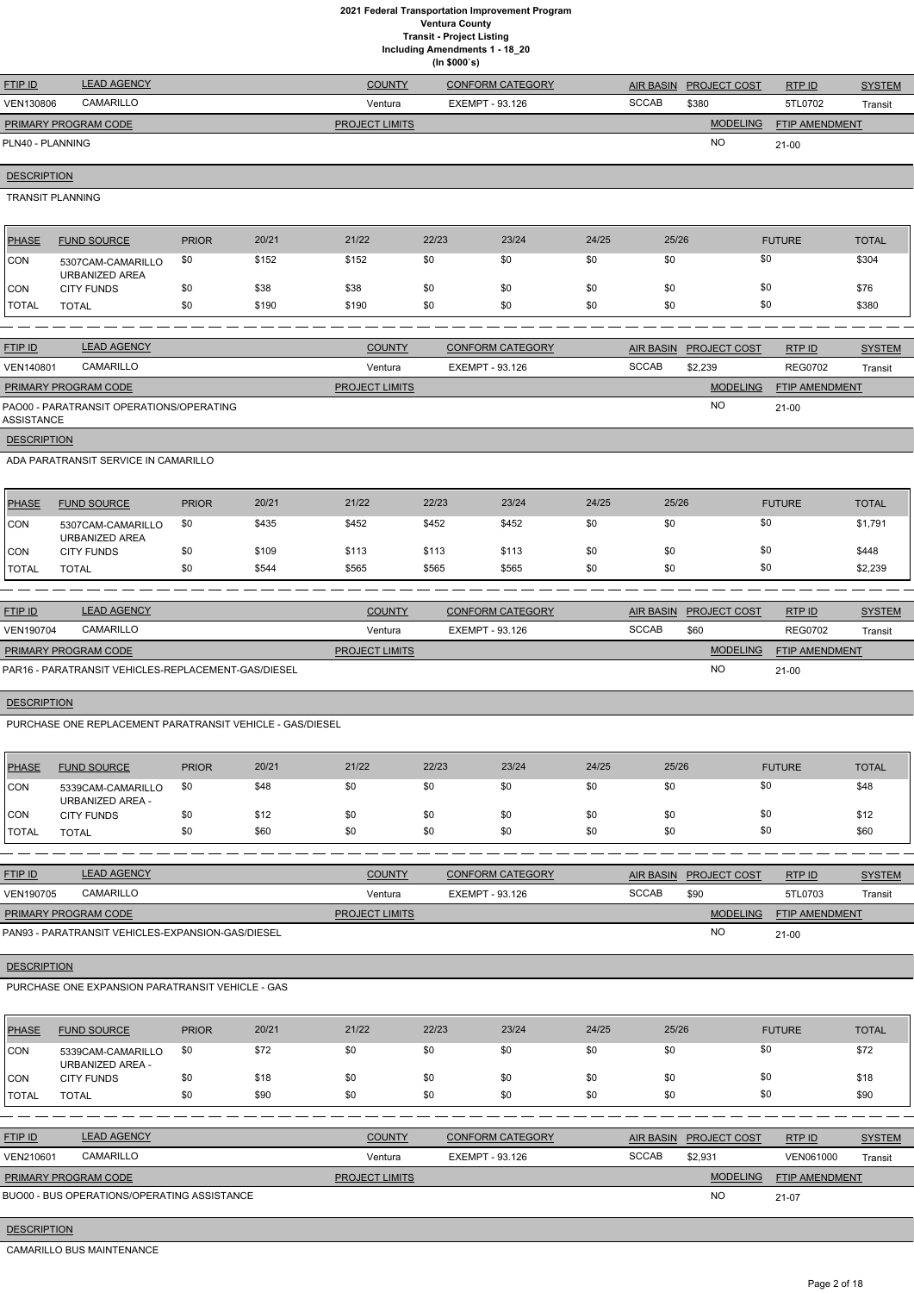**Including Amendments 1 - 18\_20**

|                         |                                                           |              |       |                       | (ln \$000's) |                         |       |              |                        |                       |               |
|-------------------------|-----------------------------------------------------------|--------------|-------|-----------------------|--------------|-------------------------|-------|--------------|------------------------|-----------------------|---------------|
| FTIP ID                 | <b>LEAD AGENCY</b>                                        |              |       | <b>COUNTY</b>         |              | <b>CONFORM CATEGORY</b> |       | AIR BASIN    | PROJECT COST           | RTP ID                | <b>SYSTEM</b> |
| <b>VEN130806</b>        | CAMARILLO                                                 |              |       | Ventura               |              | <b>EXEMPT - 93.126</b>  |       | <b>SCCAB</b> | \$380                  | 5TL0702               | Transit       |
|                         | PRIMARY PROGRAM CODE                                      |              |       | <b>PROJECT LIMITS</b> |              |                         |       |              | <b>MODELING</b>        | FTIP AMENDMENT        |               |
| PLN40 - PLANNING        |                                                           |              |       |                       |              |                         |       |              | <b>NO</b>              | $21-00$               |               |
| <b>DESCRIPTION</b>      |                                                           |              |       |                       |              |                         |       |              |                        |                       |               |
| <b>TRANSIT PLANNING</b> |                                                           |              |       |                       |              |                         |       |              |                        |                       |               |
| <b>PHASE</b>            | <b>FUND SOURCE</b>                                        | <b>PRIOR</b> | 20/21 | 21/22                 | 22/23        | 23/24                   | 24/25 | 25/26        |                        | <b>FUTURE</b>         | <b>TOTAL</b>  |
| <b>CON</b>              | 5307CAM-CAMARILLO<br><b>URBANIZED AREA</b>                | \$0          | \$152 | \$152                 | \$0          | \$0                     | \$0   | \$0          |                        | \$0                   | \$304         |
| <b>CON</b>              | <b>CITY FUNDS</b>                                         | \$0          | \$38  | \$38                  | \$0          | \$0                     | \$0   | \$0          |                        | \$0                   | \$76          |
| <b>TOTAL</b>            | <b>TOTAL</b>                                              | \$0          | \$190 | \$190                 | \$0          | \$0                     | \$0   | \$0          |                        | \$0                   | \$380         |
|                         |                                                           |              |       |                       |              |                         |       |              |                        |                       |               |
| FTIP ID                 | <b>LEAD AGENCY</b>                                        |              |       | <b>COUNTY</b>         |              | <b>CONFORM CATEGORY</b> |       |              | AIR BASIN PROJECT COST | RTP ID                | <b>SYSTEM</b> |
| VEN140801               | CAMARILLO                                                 |              |       | Ventura               |              | <b>EXEMPT - 93.126</b>  |       | <b>SCCAB</b> | \$2,239                | <b>REG0702</b>        | Transit       |
|                         | PRIMARY PROGRAM CODE                                      |              |       | <b>PROJECT LIMITS</b> |              |                         |       |              | <b>MODELING</b>        | FTIP AMENDMENT        |               |
| <b>ASSISTANCE</b>       | PAO00 - PARATRANSIT OPERATIONS/OPERATING                  |              |       |                       |              |                         |       |              | <b>NO</b>              | $21 - 00$             |               |
| <b>DESCRIPTION</b>      |                                                           |              |       |                       |              |                         |       |              |                        |                       |               |
|                         | ADA PARATRANSIT SERVICE IN CAMARILLO                      |              |       |                       |              |                         |       |              |                        |                       |               |
| <b>PHASE</b>            | <b>FUND SOURCE</b>                                        | <b>PRIOR</b> | 20/21 | 21/22                 | 22/23        | 23/24                   | 24/25 | 25/26        |                        | <b>FUTURE</b>         | <b>TOTAL</b>  |
| CON                     | 5307CAM-CAMARILLO<br><b>URBANIZED AREA</b>                | \$0          | \$435 | \$452                 | \$452        | \$452                   | \$0   | \$0          |                        | \$0                   | \$1,791       |
| <b>CON</b>              | <b>CITY FUNDS</b>                                         | \$0          | \$109 | \$113                 | \$113        | \$113                   | \$0   | \$0          |                        | \$0                   | \$448         |
| <b>TOTAL</b>            | <b>TOTAL</b>                                              | \$0          | \$544 | \$565                 | \$565        | \$565                   | \$0   | \$0          |                        | \$0                   | \$2,239       |
|                         |                                                           |              |       |                       |              |                         |       |              |                        |                       |               |
| <b>FTIP ID</b>          | <b>LEAD AGENCY</b>                                        |              |       | <b>COUNTY</b>         |              | <b>CONFORM CATEGORY</b> |       |              | AIR BASIN PROJECT COST | RTP ID                | <b>SYSTEM</b> |
| VEN190704               | CAMARILLO                                                 |              |       | Ventura               |              | <b>EXEMPT - 93.126</b>  |       | <b>SCCAB</b> | \$60                   | <b>REG0702</b>        | Transit       |
|                         | PRIMARY PROGRAM CODE                                      |              |       | <b>PROJECT LIMITS</b> |              |                         |       |              | <b>MODELING</b>        | <b>FTIP AMENDMENT</b> |               |
|                         | PAR16 - PARATRANSIT VEHICLES-REPLACEMENT-GAS/DIESEL       |              |       |                       |              |                         |       |              | <b>NO</b>              | $21-00$               |               |
| <b>DESCRIPTION</b>      |                                                           |              |       |                       |              |                         |       |              |                        |                       |               |
|                         | PURCHASE ONE REPLACEMENT PARATRANSIT VEHICLE - GAS/DIESEL |              |       |                       |              |                         |       |              |                        |                       |               |
| <b>PHASE</b>            | <b>FUND SOURCE</b>                                        | <b>PRIOR</b> | 20/21 | 21/22                 | 22/23        | 23/24                   | 24/25 | 25/26        |                        | <b>FUTURE</b>         | <b>TOTAL</b>  |
| CON                     | 5339CAM-CAMARILLO<br><b>URBANIZED AREA -</b>              | \$0          | \$48  | \$0                   | \$0          | \$0                     | \$0   | \$0          |                        | \$0                   | \$48          |
| <b>CON</b>              | <b>CITY FUNDS</b>                                         | \$0          | \$12  | \$0                   | \$0          | \$0                     | \$0   | \$0          |                        | \$0                   | \$12          |
| <b>TOTAL</b>            | <b>TOTAL</b>                                              | \$0          | \$60  | \$0                   | \$0          | \$0                     | \$0   | \$0          |                        | \$0                   | \$60          |
|                         |                                                           |              |       |                       |              |                         |       |              |                        |                       |               |
| <b>FTIP ID</b>          | <b>LEAD AGENCY</b>                                        |              |       | <b>COUNTY</b>         |              | <b>CONFORM CATEGORY</b> |       |              | AIR BASIN PROJECT COST | <b>RTPID</b>          | <b>SYSTEM</b> |
| VFN190705               | CAMARILLO                                                 |              |       | Ventura               |              | FXFMPT - 93.126         |       | <b>SCCAB</b> | \$90                   | 5TI 0703              | Transit       |

| <b>CAMARILLO</b><br><b>VEN190705</b>              | Ventura               | EXEMPT - 93.126 | <b>SCCAB</b> | \$90            | 5TL0703               | Transit |
|---------------------------------------------------|-----------------------|-----------------|--------------|-----------------|-----------------------|---------|
| <b>PRIMARY PROGRAM CODE</b>                       | <b>PROJECT LIMITS</b> |                 |              | <b>MODELING</b> | <b>FTIP AMENDMENT</b> |         |
| PAN93 - PARATRANSIT VEHICLES-EXPANSION-GAS/DIESEL |                       |                 |              | <b>NC</b>       | $21 - 00$             |         |

| PHASE                | <b>FUND SOURCE</b>                    | <b>PRIOR</b> | 20/21 | 21/22 | 22/23 | 23/24 | 24/25 | 25/26 | <b>FUTURE</b> | <b>TOTAL</b> |
|----------------------|---------------------------------------|--------------|-------|-------|-------|-------|-------|-------|---------------|--------------|
| CON                  | 5339CAM-CAMARILLO<br>URBANIZED AREA - | \$0          | \$72  | \$0   | \$0   | \$0   | \$0   | \$0   | \$0           | \$72         |
| CON                  | <b>CITY FUNDS</b>                     | \$0          | \$18  | \$0   | \$0   | \$0   | \$0   | \$0   | \$0           | \$18         |
| <b><i>ITOTAL</i></b> | <b>TOTAL</b>                          | \$0          | \$90  | \$0   | \$0   | \$0   | \$0   | \$0   | \$0           | \$90         |

| <b>FTIP ID</b>              | <b>LEAD AGENCY</b>                          | <b>COUNTY</b>         | <b>CONFORM CATEGORY</b> |              | AIR BASIN PROJECT COST | RTP ID                | <b>SYSTEM</b> |
|-----------------------------|---------------------------------------------|-----------------------|-------------------------|--------------|------------------------|-----------------------|---------------|
| VEN210601                   | CAMARILLO                                   | Ventura               | EXEMPT - 93.126         | <b>SCCAB</b> | \$2.931                | VEN061000             | Transit       |
| <b>PRIMARY PROGRAM CODE</b> |                                             | <b>PROJECT LIMITS</b> |                         |              | <b>MODELING</b>        | <b>FTIP AMENDMENT</b> |               |
|                             | BUO00 - BUS OPERATIONS/OPERATING ASSISTANCE |                       |                         |              | <b>NO</b>              | 21-07                 |               |

**DESCRIPTION** 

CAMARILLO BUS MAINTENANCE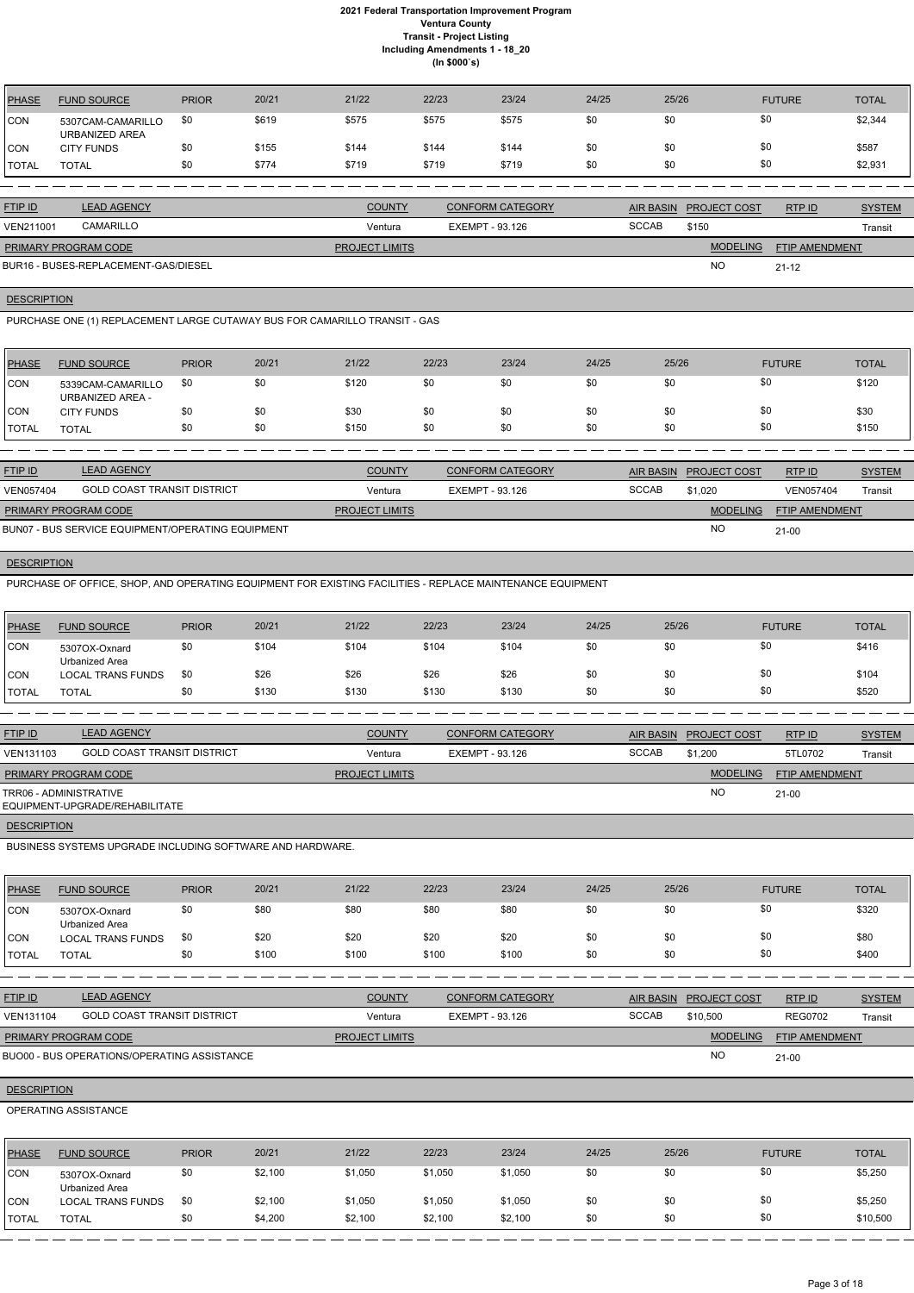| <b>PHASE</b> | <b>FUND SOURCE</b>                  | <b>PRIOR</b> | 20/21 | 21/22 | 22/23 | 23/24 | 24/25 | 25/26 | <b>FUTURE</b> | <b>TOTAL</b> |
|--------------|-------------------------------------|--------------|-------|-------|-------|-------|-------|-------|---------------|--------------|
| <b>CON</b>   | 5307CAM-CAMARILLO<br>URBANIZED AREA | \$0          | \$619 | \$575 | \$575 | \$575 | \$0   | \$0   | \$0           | \$2,344      |
| <b>CON</b>   | <b>CITY FUNDS</b>                   | \$0          | \$155 | \$144 | \$144 | \$144 | \$0   | \$0   | \$0           | \$587        |
| <b>TOTAL</b> | TOTAL                               | \$0          | \$774 | \$719 | \$719 | \$719 | \$0   | \$0   | \$0           | \$2,931      |

| <b>FTIP ID</b>              | <b>LEAD AGENCY</b>                   | <b>COUNTY</b>         | <b>CONFORM CATEGORY</b> |              | AIR BASIN PROJECT COST | RTPID                 | <b>SYSTEM</b> |
|-----------------------------|--------------------------------------|-----------------------|-------------------------|--------------|------------------------|-----------------------|---------------|
| <b>VEN211001</b>            | CAMARILLO                            | Ventura               | EXEMPT - 93.126         | <b>SCCAB</b> | \$150                  |                       | Transit       |
| <b>PRIMARY PROGRAM CODE</b> |                                      | <b>PROJECT LIMITS</b> |                         |              | <b>MODELING</b>        | <b>FTIP AMENDMENT</b> |               |
|                             | BUR16 - BUSES-REPLACEMENT-GAS/DIESEL |                       |                         |              | <b>NC</b>              | $21 - 12$             |               |

**DESCRIPTION** 

PURCHASE ONE (1) REPLACEMENT LARGE CUTAWAY BUS FOR CAMARILLO TRANSIT - GAS

| <b>PHASE</b> | <b>FUND SOURCE</b>                    | <b>PRIOR</b> | 20/21 | 21/22 | 22/23 | 23/24 | 24/25 | 25/26 | <b>FUTURE</b> | <b>TOTAL</b> |
|--------------|---------------------------------------|--------------|-------|-------|-------|-------|-------|-------|---------------|--------------|
| CON          | 5339CAM-CAMARILLO<br>URBANIZED AREA - | \$0          | \$0   | \$120 | \$0   | \$0   | \$0   | \$0   | \$0           | \$120        |
| CON          | <b>CITY FUNDS</b>                     | \$0          | \$0   | \$30  | \$0   | \$0   | \$0   | \$0   | \$0           | \$30         |
| <b>TOTAL</b> | TOTAL                                 | \$0          | \$0   | \$150 | \$0   | \$0   | \$0   | \$0   | \$0           | \$150        |

| <b>FTIP ID</b>                                    | <b>LEAD AGENCY</b>                 | <b>COUNTY</b>         | <b>CONFORM CATEGORY</b> |              | AIR BASIN PROJECT COST | RTPID                 | <b>SYSTEM</b> |
|---------------------------------------------------|------------------------------------|-----------------------|-------------------------|--------------|------------------------|-----------------------|---------------|
| <b>VEN057404</b>                                  | <b>GOLD COAST TRANSIT DISTRICT</b> | Ventura               | EXEMPT - 93.126         | <b>SCCAB</b> | \$1.020                | VEN057404             | Transit       |
| <b>PRIMARY PROGRAM CODE</b>                       |                                    | <b>PROJECT LIMITS</b> |                         |              | <b>MODELING</b>        | <b>FTIP AMENDMENT</b> |               |
| BUN07 - BUS SERVICE EQUIPMENT/OPERATING EQUIPMENT |                                    |                       |                         |              | <b>NC</b>              | $21 - 00$             |               |

**DESCRIPTION** 

PURCHASE OF OFFICE, SHOP, AND OPERATING EQUIPMENT FOR EXISTING FACILITIES - REPLACE MAINTENANCE EQUIPMENT

| <b>PHASE</b> | <b>FUND SOURCE</b>              | <b>PRIOR</b> | 20/21 | 21/22 | 22/23 | 23/24 | 24/25 | 25/26 | <b>FUTURE</b> | <b>TOTAL</b> |
|--------------|---------------------------------|--------------|-------|-------|-------|-------|-------|-------|---------------|--------------|
| <b>CON</b>   | 5307OX-Oxnard<br>Urbanized Area | \$0          | \$104 | \$104 | \$104 | \$104 | \$0   | \$0   | \$0           | \$416        |
| <b>CON</b>   | <b>LOCAL TRANS FUNDS</b>        | \$0          | \$26  | \$26  | \$26  | \$26  | \$0   | \$0   | \$0           | \$104        |
| <b>TOTAL</b> | <b>TOTAL</b>                    | \$0          | \$130 | \$130 | \$130 | \$130 | \$0   | \$0   | \$0           | \$520        |

| <b>FTIP ID</b>              | <b>LEAD AGENCY</b>                 | <b>COUNTY</b>         | <b>CONFORM CATEGORY</b> |              | AIR BASIN PROJECT COST | RTP ID         | <b>SYSTEM</b> |
|-----------------------------|------------------------------------|-----------------------|-------------------------|--------------|------------------------|----------------|---------------|
| VEN131103                   | <b>GOLD COAST TRANSIT DISTRICT</b> | Ventura               | EXEMPT - 93.126         | <b>SCCAB</b> | \$1,200                | 5TL0702        | Transit       |
| <b>PRIMARY PROGRAM CODE</b> |                                    | <b>PROJECT LIMITS</b> |                         |              | <b>MODELING</b>        | FTIP AMENDMENT |               |
| TRR06 - ADMINISTRATIVE      | EQUIPMENT-UPGRADE/REHABILITATE     |                       |                         |              | <b>NO</b>              | $21 - 00$      |               |
| <b>DESCRIPTION</b>          |                                    |                       |                         |              |                        |                |               |

BUSINESS SYSTEMS UPGRADE INCLUDING SOFTWARE AND HARDWARE.

| PHASE         | <b>FUND SOURCE</b>              | <b>PRIOR</b> | 20/21 | 21/22 | 22/23 | 23/24 | 24/25 | 25/26 | <b>FUTURE</b> | <b>TOTAL</b> |
|---------------|---------------------------------|--------------|-------|-------|-------|-------|-------|-------|---------------|--------------|
| <b>CON</b>    | 5307OX-Oxnard<br>Urbanized Area | \$0          | \$80  | \$80  | \$80  | \$80  | \$0   | \$0   | \$0           | \$320        |
| <b>CON</b>    | <b>LOCAL TRANS FUNDS</b>        | \$0          | \$20  | \$20  | \$20  | \$20  | \$0   | \$0   | \$0           | \$80         |
| <b>ITOTAL</b> | <b>TOTAL</b>                    | \$0          | \$100 | \$100 | \$100 | \$100 | \$0   | \$0   | \$0           | \$400        |

| <b>FTIP ID</b>              | <b>LEAD AGENCY</b>                          | <b>COUNTY</b>         | CONFORM CATEGORY | <b>AIR BASIN</b> | <b>PROJECT COST</b> | RTPID                 | <b>SYSTEM</b> |
|-----------------------------|---------------------------------------------|-----------------------|------------------|------------------|---------------------|-----------------------|---------------|
| VEN131104                   | <b>GOLD COAST TRANSIT DISTRICT</b>          | Ventura               | EXEMPT - 93.126  | <b>SCCAB</b>     | \$10,500            | <b>REG0702</b>        | Transit       |
| <b>PRIMARY PROGRAM CODE</b> |                                             | <b>PROJECT LIMITS</b> |                  |                  | <b>MODELING</b>     | <b>FTIP AMENDMENT</b> |               |
|                             | BUO00 - BUS OPERATIONS/OPERATING ASSISTANCE |                       |                  |                  | <b>NO</b>           | $21 - 00$             |               |

## **DESCRIPTION**

## OPERATING ASSISTANCE

| <b>PHASE</b> | <b>FUND SOURCE</b>              | <b>PRIOR</b> | 20/21   | 21/22   | 22/23   | 23/24   | 24/25 | 25/26 | <b>FUTURE</b> | <b>TOTAL</b> |
|--------------|---------------------------------|--------------|---------|---------|---------|---------|-------|-------|---------------|--------------|
| <b>CON</b>   | 5307OX-Oxnard<br>Urbanized Area | \$0          | \$2,100 | \$1,050 | \$1,050 | \$1,050 | \$0   | \$0   | \$0           | \$5,250      |
| <b>CON</b>   | <b>LOCAL TRANS FUNDS</b>        | \$0          | \$2,100 | \$1,050 | \$1,050 | \$1,050 | \$0   | \$0   | \$0           | \$5,250      |
| <b>TOTAL</b> | <b>TOTAL</b>                    |              | \$4,200 | \$2,100 | \$2,100 | \$2,100 | \$0   | \$0   | \$0           | \$10,500     |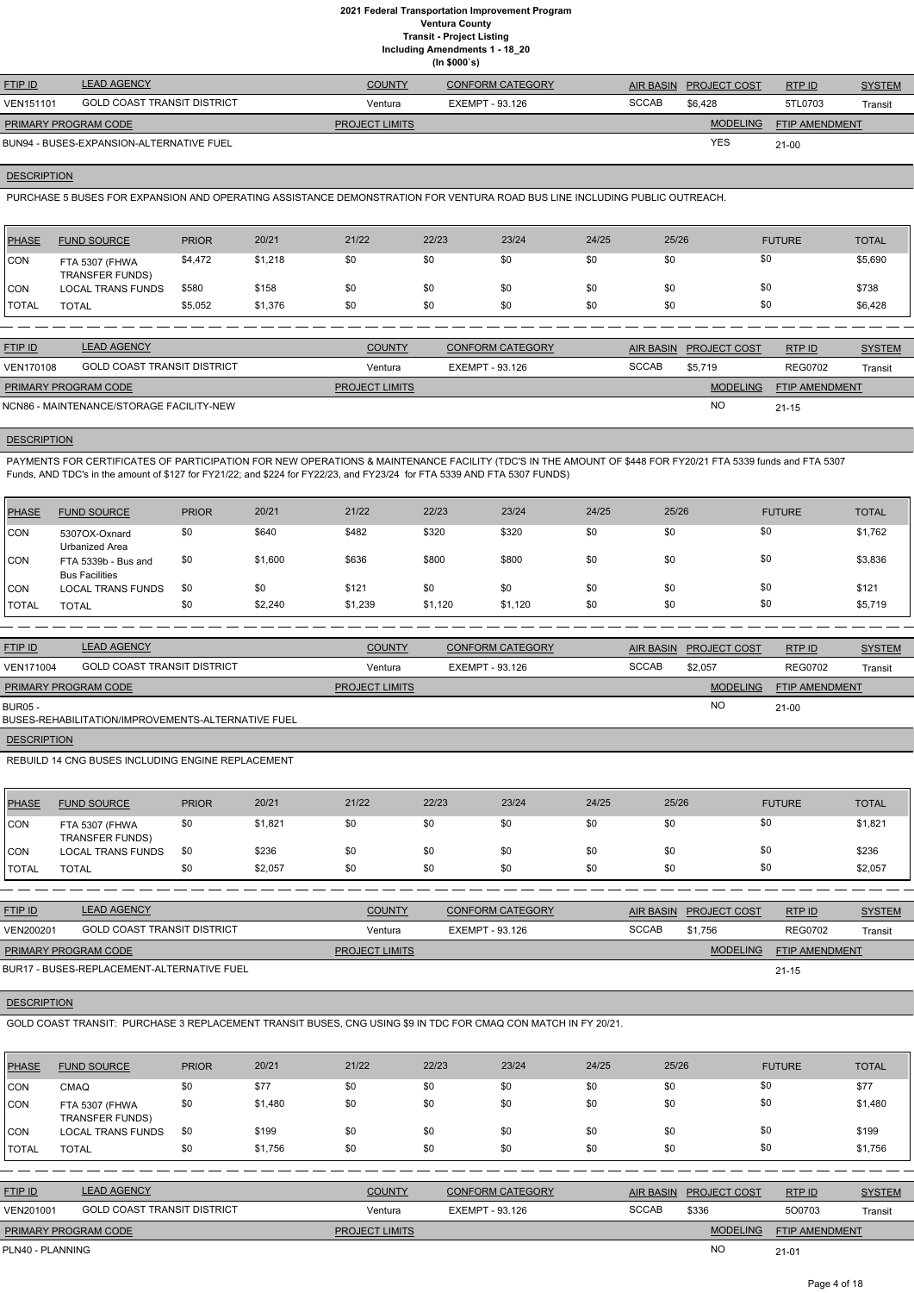**Including Amendments 1 - 18\_20**

| uding Amendments 1 - 18_: |  |  |
|---------------------------|--|--|
| (ln \$000's)              |  |  |

| <b>FTIP ID</b>              | <b>LEAD AGENCY</b>                       | <b>COUNTY</b>         | <b>CONFORM CATEGORY</b> |              | AIR BASIN PROJECT COST | RTPID          | <b>SYSTEM</b> |
|-----------------------------|------------------------------------------|-----------------------|-------------------------|--------------|------------------------|----------------|---------------|
| <b>VEN151101</b>            | <b>GOLD COAST TRANSIT DISTRICT</b>       | Ventura               | EXEMPT - 93.126         | <b>SCCAB</b> | \$6.428                | 5TL0703        | Transit       |
| <b>PRIMARY PROGRAM CODE</b> |                                          | <b>PROJECT LIMITS</b> |                         |              | <b>MODELING</b>        | FTIP AMENDMENT |               |
|                             | BUN94 - BUSES-EXPANSION-ALTERNATIVE FUEL |                       |                         |              | <b>YES</b>             | $21 - 00$      |               |

#### **DESCRIPTION**

PURCHASE 5 BUSES FOR EXPANSION AND OPERATING ASSISTANCE DEMONSTRATION FOR VENTURA ROAD BUS LINE INCLUDING PUBLIC OUTREACH.

| PHASE        | <b>FUND SOURCE</b>                       | <b>PRIOR</b> | 20/21   | 21/22 | 22/23 | 23/24 | 24/25 | 25/26 | <b>FUTURE</b> | <b>TOTAL</b> |
|--------------|------------------------------------------|--------------|---------|-------|-------|-------|-------|-------|---------------|--------------|
| <b>CON</b>   | FTA 5307 (FHWA<br><b>TRANSFER FUNDS)</b> | \$4,472      | \$1,218 | \$0   | \$0   | \$0   | \$0   | \$0   | \$0           | \$5,690      |
| <b>CON</b>   | <b>LOCAL TRANS FUNDS</b>                 | \$580        | \$158   | \$0   | \$0   | \$0   | \$0   | \$0   | \$0           | \$738        |
| <b>TOTAL</b> | <b>TOTAL</b>                             | \$5,052      | \$1,376 | \$0   | \$0   | \$0   | \$0   | \$0   | \$0           | \$6,428      |

| <b>FTIP ID</b>              | <b>LEAD AGENCY</b>                       | <b>COUNTY</b>         | <b>CONFORM CATEGORY</b> |              | AIR BASIN PROJECT COST | RTPID                 | <b>SYSTEM</b> |
|-----------------------------|------------------------------------------|-----------------------|-------------------------|--------------|------------------------|-----------------------|---------------|
| <b>VEN170108</b>            | <b>GOLD COAST TRANSIT DISTRICT</b>       | Ventura               | EXEMPT - 93.126         | <b>SCCAB</b> | \$5.719                | <b>REG0702</b>        | Transit       |
| <b>PRIMARY PROGRAM CODE</b> |                                          | <b>PROJECT LIMITS</b> |                         |              | <b>MODELING</b>        | <b>FTIP AMENDMENT</b> |               |
|                             | NCN86 - MAINTENANCE/STORAGE FACILITY-NEW |                       |                         |              | <b>NO</b>              | $21 - 15$             |               |

## **DESCRIPTION**

PAYMENTS FOR CERTIFICATES OF PARTICIPATION FOR NEW OPERATIONS & MAINTENANCE FACILITY (TDC'S IN THE AMOUNT OF \$448 FOR FY20/21 FTA 5339 funds and FTA 5307 Funds, AND TDC's in the amount of \$127 for FY21/22; and \$224 for FY22/23, and FY23/24 for FTA 5339 AND FTA 5307 FUNDS)

| <b>PHASE</b> | <b>FUND SOURCE</b>                           | <b>PRIOR</b> | 20/21   | 21/22   | 22/23   | 23/24   | 24/25 | 25/26 | <b>FUTURE</b> | <b>TOTAL</b> |
|--------------|----------------------------------------------|--------------|---------|---------|---------|---------|-------|-------|---------------|--------------|
| <b>CON</b>   | 5307OX-Oxnard<br>Urbanized Area              | \$0          | \$640   | \$482   | \$320   | \$320   | \$0   | \$0   | \$0           | \$1,762      |
| <b>CON</b>   | FTA 5339b - Bus and<br><b>Bus Facilities</b> | \$0          | \$1,600 | \$636   | \$800   | \$800   | \$0   | \$0   | \$0           | \$3,836      |
| CON          | <b>LOCAL TRANS FUNDS</b>                     | \$0          | \$0     | \$121   | \$0     | \$0     | \$0   | \$0   | \$0           | \$121        |
| I TOTAL      | <b>TOTAL</b>                                 | \$0          | \$2,240 | \$1,239 | \$1,120 | \$1,120 | \$0   | \$0   | \$0           | \$5,719      |

| <b>FTIP ID</b>       | <b>LEAD AGENCY</b>                                 | <b>COUNTY</b>         | <b>CONFORM CATEGORY</b> | AIR BASIN    | <b>PROJECT COST</b> | RTP ID                | <b>SYSTEM</b> |
|----------------------|----------------------------------------------------|-----------------------|-------------------------|--------------|---------------------|-----------------------|---------------|
| <b>VEN171004</b>     | <b>GOLD COAST TRANSIT DISTRICT</b>                 | Ventura               | EXEMPT - 93.126         | <b>SCCAB</b> | \$2,057             | <b>REG0702</b>        | Transit       |
| PRIMARY PROGRAM CODE |                                                    | <b>PROJECT LIMITS</b> |                         |              | <b>MODELING</b>     | <b>FTIP AMENDMENT</b> |               |
| <b>BUR05 -</b>       | BUSES-REHABILITATION/IMPROVEMENTS-ALTERNATIVE FUEL |                       |                         |              | N <sub>O</sub>      | $21-00$               |               |
|                      |                                                    |                       |                         |              |                     |                       |               |

**DESCRIPTION** 

REBUILD 14 CNG BUSES INCLUDING ENGINE REPLACEMENT

| <b>PHASE</b> | <b>FUND SOURCE</b>                       | <b>PRIOR</b> | 20/21   | 21/22 | 22/23 | 23/24 | 24/25 | 25/26 | <b>FUTURE</b> | <b>TOTAL</b> |
|--------------|------------------------------------------|--------------|---------|-------|-------|-------|-------|-------|---------------|--------------|
| <b>CON</b>   | FTA 5307 (FHWA<br><b>TRANSFER FUNDS)</b> | \$0          | \$1,821 | \$0   | \$0   | \$0   | \$0   | \$0   | \$0           | \$1,821      |
| <b>CON</b>   | <b>LOCAL TRANS FUNDS</b>                 | \$0          | \$236   | \$0   | \$0   | \$0   | \$0   | \$0   | \$0           | \$236        |
| <b>TOTAL</b> | <b>TOTAL</b>                             | \$0          | \$2,057 | \$0   | \$0   | \$0   | \$0   | \$0   | \$0           | \$2,057      |

| <b>FTIP ID</b>              | <b>LEAD AGENCY</b>          | <b>COUNTY</b>         | CONFORM CATEGORY |       | <b>AIR BASIN PROJECT COST</b> | RTPID                 | <b>SYSTEM</b> |
|-----------------------------|-----------------------------|-----------------------|------------------|-------|-------------------------------|-----------------------|---------------|
| VEN200201                   | GOLD COAST TRANSIT DISTRICT | Ventura               | EXEMPT - 93.126  | SCCAB | \$1.756                       | <b>REG0702</b>        | Transit       |
| <b>PRIMARY PROGRAM CODE</b> |                             | <b>PROJECT LIMITS</b> |                  |       | <b>MODELING</b>               | <b>FTIP AMENDMENT</b> |               |
|                             |                             |                       |                  |       |                               |                       |               |

#### **DESCRIPTION**

BUR17 - BUSES-REPLACEMENT-ALTERNATIVE FUEL

GOLD COAST TRANSIT: PURCHASE 3 REPLACEMENT TRANSIT BUSES, CNG USING \$9 IN TDC FOR CMAQ CON MATCH IN FY 20/21.

| <b>PHASE</b> | <b>FUND SOURCE</b>                       | <b>PRIOR</b> | 20/21   | 21/22 | 22/23 | 23/24 | 24/25 | 25/26 | <b>FUTURE</b> | <b>TOTAL</b> |
|--------------|------------------------------------------|--------------|---------|-------|-------|-------|-------|-------|---------------|--------------|
| <b>ICON</b>  | <b>CMAQ</b>                              | \$0          | \$77    | \$0   | \$0   | \$0   | \$0   | \$0   | \$0           | \$77         |
| <b>CON</b>   | FTA 5307 (FHWA<br><b>TRANSFER FUNDS)</b> | \$0          | \$1,480 | \$0   | \$0   | \$0   | \$0   | \$0   | \$0           | \$1,480      |
| CON          | <b>LOCAL TRANS FUNDS</b>                 | \$0          | \$199   | \$0   | \$0   | \$0   | \$0   | \$0   | \$0           | \$199        |
| <b>TOTAL</b> | <b>TOTAL</b>                             | \$0          | \$1,756 | \$0   | \$0   | \$0   | \$0   | \$0   | \$0           | \$1,756      |

| <b>FTIP ID</b>              | <b>LEAD AGENCY</b>                 | <b>COUNTY</b>         | <b>CONFORM CATEGORY</b> |              | AIR BASIN PROJECT COST | RTPID                 | <b>SYSTEM</b> |
|-----------------------------|------------------------------------|-----------------------|-------------------------|--------------|------------------------|-----------------------|---------------|
| VEN201001                   | <b>GOLD COAST TRANSIT DISTRICT</b> | Ventura               | EXEMPT - 93.126         | <b>SCCAB</b> | \$336                  | 500703                | Transit       |
| <b>PRIMARY PROGRAM CODE</b> |                                    | <b>PROJECT LIMITS</b> |                         |              | <b>MODELING</b>        | <b>FTIP AMENDMENT</b> |               |
| PLN40 - PLANNING            |                                    |                       |                         |              | <b>NO</b>              | $21 - 01$             |               |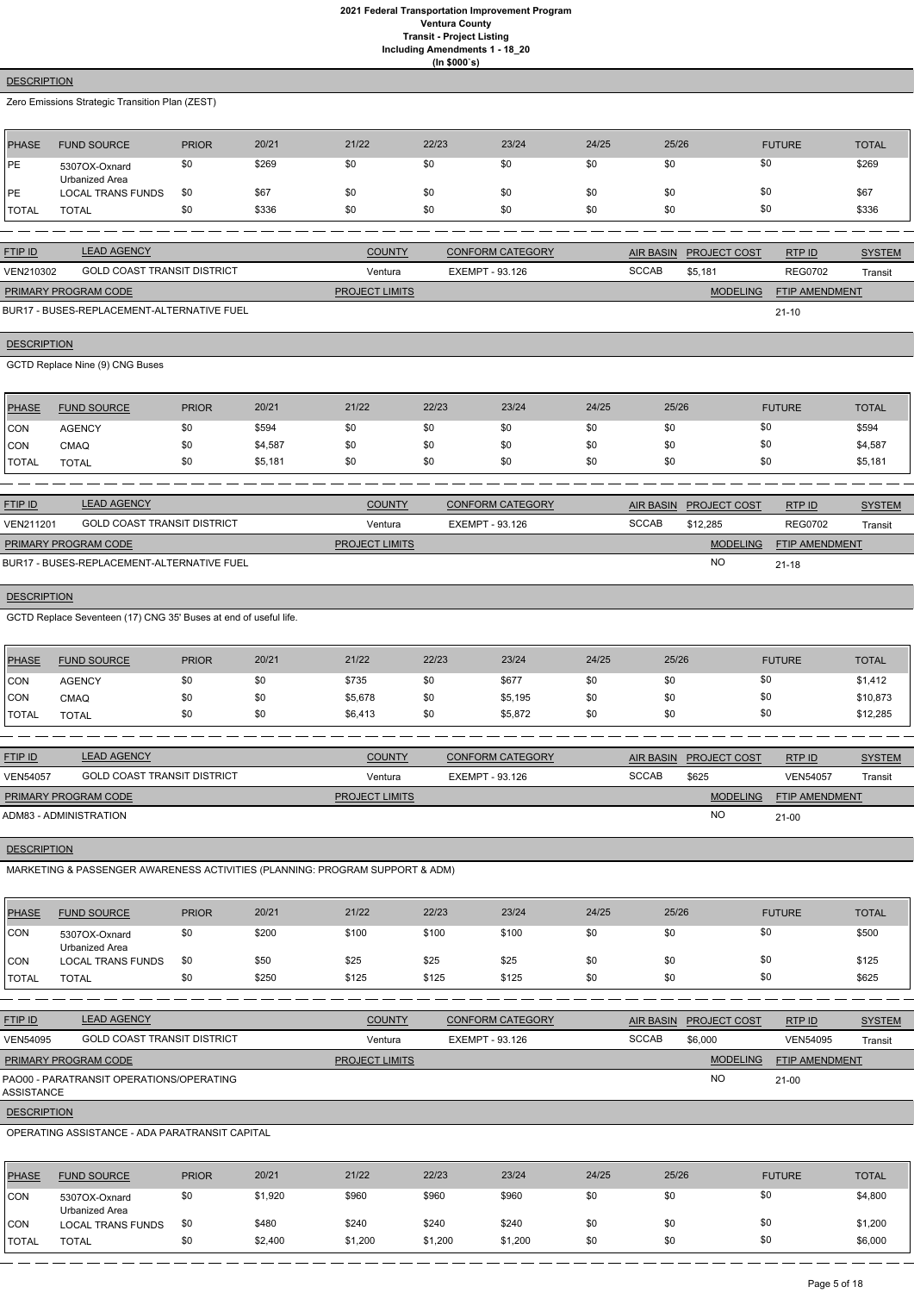# **(In \$000`s)**

## **DESCRIPTION**

Zero Emissions Strategic Transition Plan (ZEST)

| <b>PHASE</b>   | <b>FUND SOURCE</b>              | <b>PRIOR</b> | 20/21 | 21/22 | 22/23 | 23/24 | 24/25 | 25/26 | <b>FUTURE</b> | <b>TOTAL</b> |
|----------------|---------------------------------|--------------|-------|-------|-------|-------|-------|-------|---------------|--------------|
| PE             | 5307OX-Oxnard<br>Urbanized Area | \$0          | \$269 | \$0   | \$0   | \$0   | \$0   | \$0   | \$0           | \$269        |
| <b>IPE</b>     | <b>LOCAL TRANS FUNDS</b>        | \$0          | \$67  | \$0   | \$0   | \$0   | \$0   | \$0   | \$0           | \$67         |
| <b>I</b> TOTAL | TOTAL                           | \$0          | \$336 | \$0   | \$0   | \$0   | \$0   | \$0   | \$0           | \$336        |

| <b>FTIP ID</b>              | <b>LEAD AGENCY</b>          | <b>COUNTY</b>         | <b>CONFORM CATEGORY</b> |              | <b>AIR BASIN PROJECT COST</b> | RTP ID                | <b>SYSTEM</b> |
|-----------------------------|-----------------------------|-----------------------|-------------------------|--------------|-------------------------------|-----------------------|---------------|
| VEN210302                   | GOLD COAST TRANSIT DISTRICT | Ventura               | EXEMPT - 93.126         | <b>SCCAB</b> | \$5.181                       | <b>REG0702</b>        | Transit       |
| <b>PRIMARY PROGRAM CODE</b> |                             | <b>PROJECT LIMITS</b> |                         |              | <b>MODELING</b>               | <b>FTIP AMENDMENT</b> |               |

21-10

BUR17 - BUSES-REPLACEMENT-ALTERNATIVE FUEL

## **DESCRIPTION**

GCTD Replace Nine (9) CNG Buses

| <b>PHASE</b>  | <b>FUND SOURCE</b> | <b>PRIOR</b> | 20/21   | 21/22 | 22/23 | 23/24 | 24/25 | 25/26 | <b>FUTURE</b> | <b>TOTAL</b> |
|---------------|--------------------|--------------|---------|-------|-------|-------|-------|-------|---------------|--------------|
| <b>CON</b>    | <b>AGENCY</b>      | \$0          | \$594   | \$0   | \$0   | \$0   | \$0   | \$0   |               | \$594        |
| CON           | <b>CMAQ</b>        | \$0          | \$4,587 | \$0   | \$0   | \$0   | \$0   | \$0   |               | \$4,587      |
| <b>ITOTAL</b> | <b>TOTAL</b>       | \$0          | \$5,181 | \$0   | \$0   | \$0   | \$0   | \$0   |               | \$5,181      |

| <b>FTIP ID</b>              | <b>LEAD AGENCY</b>                         | <b>COUNTY</b>         | <b>CONFORM CATEGORY</b> |              | AIR BASIN PROJECT COST | RTP ID                | <b>SYSTEM</b> |
|-----------------------------|--------------------------------------------|-----------------------|-------------------------|--------------|------------------------|-----------------------|---------------|
| VEN211201                   | <b>GOLD COAST TRANSIT DISTRICT</b>         | Ventura               | EXEMPT - 93.126         | <b>SCCAB</b> | \$12,285               | <b>REG0702</b>        | Transit       |
| <b>PRIMARY PROGRAM CODE</b> |                                            | <b>PROJECT LIMITS</b> |                         |              | <b>MODELING</b>        | <b>FTIP AMENDMENT</b> |               |
|                             | BUR17 - BUSES-REPLACEMENT-ALTERNATIVE FUEL |                       |                         |              | NC                     | $21 - 18$             |               |

## **DESCRIPTION**

GCTD Replace Seventeen (17) CNG 35' Buses at end of useful life.

| <b>PHASE</b> | <b>FUND SOURCE</b> | <b>PRIOR</b> | 20/21 | 21/22   | 22/23 | 23/24   | 24/25 | 25/26 | <b>FUTURE</b> | <b>TOTAL</b> |
|--------------|--------------------|--------------|-------|---------|-------|---------|-------|-------|---------------|--------------|
| <b>CON</b>   | <b>AGENCY</b>      | \$0          | \$0   | \$735   | \$0   | \$677   | \$0   |       | \$0           | \$1,412      |
| CON          | CMAQ               | \$0          | \$0   | \$5,678 | \$0   | \$5,195 | \$0   |       | \$0           | \$10,873     |
| <b>TOTAL</b> | <b>TOTAL</b>       | \$0          | \$0   | \$6,413 | \$0   | \$5,872 | \$0   |       | \$0           | \$12,285     |

| <b>FTIP ID</b>              | <b>LEAD AGENCY</b>                 | <b>COUNTY</b>         | <b>CONFORM CATEGORY</b> |              | AIR BASIN PROJECT COST | RTPID                 | <b>SYSTEM</b> |
|-----------------------------|------------------------------------|-----------------------|-------------------------|--------------|------------------------|-----------------------|---------------|
| <b>VEN54057</b>             | <b>GOLD COAST TRANSIT DISTRICT</b> | Ventura               | EXEMPT - 93.126         | <b>SCCAB</b> | \$625                  | <b>VEN54057</b>       | Transit       |
| <b>PRIMARY PROGRAM CODE</b> |                                    | <b>PROJECT LIMITS</b> |                         |              | <b>MODELING</b>        | <b>FTIP AMENDMENT</b> |               |
| ADM83 - ADMINISTRATION      |                                    |                       |                         |              | <b>NO</b>              | $21 - 00$             |               |

# **DESCRIPTION**

MARKETING & PASSENGER AWARENESS ACTIVITIES (PLANNING: PROGRAM SUPPORT & ADM)

| 21/22<br>23/24<br>24/25<br>PHASE<br>20/21<br>22/23<br>25/26<br><b>PRIOR</b><br><b>FUTURE</b><br><b>FUND SOURCE</b><br>\$0<br>\$0<br>\$200<br>\$100<br>\$100<br>\$100<br>\$0<br>\$0<br>CON<br>5307OX-Oxnard<br><b>Urbanized Area</b><br>\$0<br>\$25<br>\$0<br>\$50<br>\$25<br>\$25<br>\$0<br>CON<br>\$0<br><b>LOCAL TRANS FUNDS</b><br>\$0<br>\$125<br>\$125<br>\$0<br>\$0<br>\$250<br>\$125<br>\$0<br><b>TOTAL</b><br><b>TOTAL</b><br><b>LEAD AGENCY</b><br><b>COUNTY</b><br><b>CONFORM CATEGORY</b><br><b>AIR BASIN</b><br>PROJECT COST<br>RTP ID<br><b>GOLD COAST TRANSIT DISTRICT</b><br><b>SCCAB</b><br>\$6,000<br><b>EXEMPT - 93.126</b><br><b>VEN54095</b><br>Ventura<br>PRIMARY PROGRAM CODE<br><b>MODELING</b><br><b>PROJECT LIMITS</b><br>FTIP AMENDMENT<br><b>NO</b><br>$21-00$<br><b>DESCRIPTION</b><br>OPERATING ASSISTANCE - ADA PARATRANSIT CAPITAL<br>20/21<br>21/22<br>22/23<br>23/24<br>24/25<br>25/26<br><b>PHASE</b><br><b>PRIOR</b><br><b>FUND SOURCE</b><br><b>FUTURE</b><br>\$0<br>\$0<br>\$0<br>\$960<br>\$960<br>\$0<br>\$1,920<br>\$960<br>CON<br>5307OX-Oxnard<br><b>Urbanized Area</b><br>\$0<br>\$480<br>\$240<br>\$240<br>\$240<br>\$0<br>\$0<br>\$0<br>CON<br><b>LOCAL TRANS FUNDS</b><br>\$0 |              |              |     |         |         |         |         |     |     |               |
|-----------------------------------------------------------------------------------------------------------------------------------------------------------------------------------------------------------------------------------------------------------------------------------------------------------------------------------------------------------------------------------------------------------------------------------------------------------------------------------------------------------------------------------------------------------------------------------------------------------------------------------------------------------------------------------------------------------------------------------------------------------------------------------------------------------------------------------------------------------------------------------------------------------------------------------------------------------------------------------------------------------------------------------------------------------------------------------------------------------------------------------------------------------------------------------------------------------------------------|--------------|--------------|-----|---------|---------|---------|---------|-----|-----|---------------|
|                                                                                                                                                                                                                                                                                                                                                                                                                                                                                                                                                                                                                                                                                                                                                                                                                                                                                                                                                                                                                                                                                                                                                                                                                             |              |              |     |         |         |         |         |     |     | <b>TOTAL</b>  |
|                                                                                                                                                                                                                                                                                                                                                                                                                                                                                                                                                                                                                                                                                                                                                                                                                                                                                                                                                                                                                                                                                                                                                                                                                             |              |              |     |         |         |         |         |     |     | \$500         |
|                                                                                                                                                                                                                                                                                                                                                                                                                                                                                                                                                                                                                                                                                                                                                                                                                                                                                                                                                                                                                                                                                                                                                                                                                             |              |              |     |         |         |         |         |     |     | \$125         |
|                                                                                                                                                                                                                                                                                                                                                                                                                                                                                                                                                                                                                                                                                                                                                                                                                                                                                                                                                                                                                                                                                                                                                                                                                             |              |              |     |         |         |         |         |     |     | \$625         |
| FTIP ID<br><b>VEN54095</b><br>PAO00 - PARATRANSIT OPERATIONS/OPERATING<br>ASSISTANCE                                                                                                                                                                                                                                                                                                                                                                                                                                                                                                                                                                                                                                                                                                                                                                                                                                                                                                                                                                                                                                                                                                                                        |              |              |     |         |         |         |         |     |     |               |
|                                                                                                                                                                                                                                                                                                                                                                                                                                                                                                                                                                                                                                                                                                                                                                                                                                                                                                                                                                                                                                                                                                                                                                                                                             |              |              |     |         |         |         |         |     |     | <b>SYSTEM</b> |
|                                                                                                                                                                                                                                                                                                                                                                                                                                                                                                                                                                                                                                                                                                                                                                                                                                                                                                                                                                                                                                                                                                                                                                                                                             |              |              |     |         |         |         |         |     |     | Transit       |
|                                                                                                                                                                                                                                                                                                                                                                                                                                                                                                                                                                                                                                                                                                                                                                                                                                                                                                                                                                                                                                                                                                                                                                                                                             |              |              |     |         |         |         |         |     |     |               |
|                                                                                                                                                                                                                                                                                                                                                                                                                                                                                                                                                                                                                                                                                                                                                                                                                                                                                                                                                                                                                                                                                                                                                                                                                             |              |              |     |         |         |         |         |     |     |               |
|                                                                                                                                                                                                                                                                                                                                                                                                                                                                                                                                                                                                                                                                                                                                                                                                                                                                                                                                                                                                                                                                                                                                                                                                                             |              |              |     |         |         |         |         |     |     |               |
|                                                                                                                                                                                                                                                                                                                                                                                                                                                                                                                                                                                                                                                                                                                                                                                                                                                                                                                                                                                                                                                                                                                                                                                                                             |              |              |     |         |         |         |         |     |     |               |
|                                                                                                                                                                                                                                                                                                                                                                                                                                                                                                                                                                                                                                                                                                                                                                                                                                                                                                                                                                                                                                                                                                                                                                                                                             |              |              |     |         |         |         |         |     |     | <b>TOTAL</b>  |
|                                                                                                                                                                                                                                                                                                                                                                                                                                                                                                                                                                                                                                                                                                                                                                                                                                                                                                                                                                                                                                                                                                                                                                                                                             |              |              |     |         |         |         |         |     |     | \$4,800       |
|                                                                                                                                                                                                                                                                                                                                                                                                                                                                                                                                                                                                                                                                                                                                                                                                                                                                                                                                                                                                                                                                                                                                                                                                                             |              |              |     |         |         |         |         |     |     | \$1,200       |
|                                                                                                                                                                                                                                                                                                                                                                                                                                                                                                                                                                                                                                                                                                                                                                                                                                                                                                                                                                                                                                                                                                                                                                                                                             | <b>TOTAL</b> | <b>TOTAL</b> | \$0 | \$2,400 | \$1,200 | \$1,200 | \$1,200 | \$0 | \$0 | \$6,000       |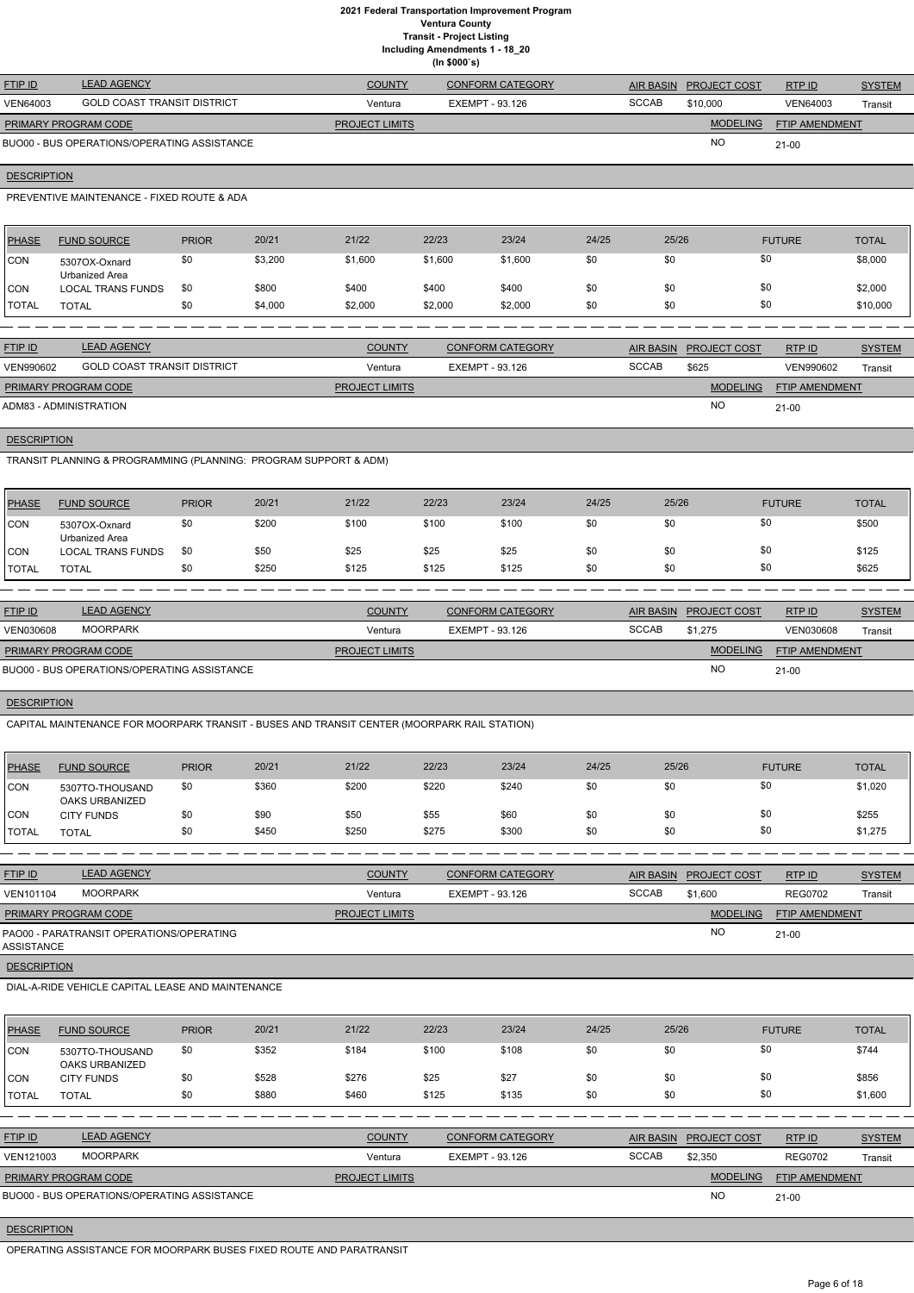**Including Amendments 1 - 18\_20 (In \$000`s)**

|                             |                                             |                       | , <b></b>               |              |                        |                |               |
|-----------------------------|---------------------------------------------|-----------------------|-------------------------|--------------|------------------------|----------------|---------------|
| <b>FTIP ID</b>              | <b>LEAD AGENCY</b>                          | <b>COUNTY</b>         | <b>CONFORM CATEGORY</b> |              | AIR BASIN PROJECT COST | RTP ID         | <b>SYSTEM</b> |
| <b>VEN64003</b>             | <b>GOLD COAST TRANSIT DISTRICT</b>          | Ventura               | EXEMPT - 93.126         | <b>SCCAB</b> | \$10,000               | VEN64003       | Transit       |
| <b>PRIMARY PROGRAM CODE</b> |                                             | <b>PROJECT LIMITS</b> |                         |              | <b>MODELING</b>        | FTIP AMENDMENT |               |
|                             | BUO00 - BUS OPERATIONS/OPERATING ASSISTANCE |                       |                         |              | <b>NC</b>              | $21-00$        |               |

## **DESCRIPTION**

PREVENTIVE MAINTENANCE - FIXED ROUTE & ADA

| <b>PHASE</b> | <b>FUND SOURCE</b>              | <b>PRIOR</b> | 20/21   | 21/22   | 22/23   | 23/24   | 24/25 | 25/26 | <b>FUTURE</b> | <b>TOTAL</b> |
|--------------|---------------------------------|--------------|---------|---------|---------|---------|-------|-------|---------------|--------------|
| <b>CON</b>   | 5307OX-Oxnard<br>Urbanized Area | \$0          | \$3,200 | \$1,600 | \$1,600 | \$1,600 | \$0   | \$0   | \$0           | \$8,000      |
| <b>CON</b>   | LOCAL TRANS FUNDS               | \$0          | \$800   | \$400   | \$400   | \$400   | \$0   | \$0   | \$0           | \$2,000      |
| <b>TOTAL</b> | TOTAL                           | \$0          | \$4,000 | \$2,000 | \$2,000 | \$2,000 | \$0   | \$0   | \$0           | \$10,000     |

| <b>FTIP ID</b>              | <b>LEAD AGENCY</b>          | <b>COUNTY</b>         | CONFORM CATEGORY |              | AIR BASIN PROJECT COST | RTP ID                | <b>SYSTEM</b> |
|-----------------------------|-----------------------------|-----------------------|------------------|--------------|------------------------|-----------------------|---------------|
| VEN990602                   | GOLD COAST TRANSIT DISTRICT | Ventura               | EXEMPT - 93.126  | <b>SCCAB</b> | \$625                  | VEN990602             | Transit       |
| <b>PRIMARY PROGRAM CODE</b> |                             | <b>PROJECT LIMITS</b> |                  |              | <b>MODELING</b>        | <b>FTIP AMENDMENT</b> |               |
| ADM83 - ADMINISTRATION      |                             |                       |                  |              | <b>NC</b>              | $21-00$               |               |

**DESCRIPTION** 

TRANSIT PLANNING & PROGRAMMING (PLANNING: PROGRAM SUPPORT & ADM)

| <b>PHASE</b> | <b>FUND SOURCE</b>              | <b>PRIOR</b> | 20/21 | 21/22 | 22/23 | 23/24 | 24/25 | 25/26 | <b>FUTURE</b> | <b>TOTAL</b> |
|--------------|---------------------------------|--------------|-------|-------|-------|-------|-------|-------|---------------|--------------|
| CON          | 5307OX-Oxnard<br>Urbanized Area | \$0          | \$200 | \$100 | \$100 | \$100 | \$0   | \$0   | \$0           | \$500        |
| <b>ICON</b>  | <b>LOCAL TRANS FUNDS</b>        | \$0          | \$50  | \$25  | \$25  | \$25  | \$0   | \$0   | \$0           | \$125        |
| <b>TOTAL</b> | <b>TOTAL</b>                    | \$0          | \$250 | \$125 | \$125 | \$125 | \$0   | \$0   | \$0           | \$625        |

| <b>FTIP ID</b>              | <b>LEAD AGENCY</b>                          | <b>COUNTY</b>         | <b>CONFORM CATEGORY</b> | AIR BASIN    | <b>PROJECT COST</b> | RTPID                 | <b>SYSTEM</b> |
|-----------------------------|---------------------------------------------|-----------------------|-------------------------|--------------|---------------------|-----------------------|---------------|
| <b>VEN030608</b>            | <b>MOORPARK</b>                             | Ventura               | EXEMPT - 93.126         | <b>SCCAB</b> | \$1.275             | <b>VEN030608</b>      | Transit       |
| <b>PRIMARY PROGRAM CODE</b> |                                             | <b>PROJECT LIMITS</b> |                         |              | <b>MODELING</b>     | <b>FTIP AMENDMENT</b> |               |
|                             | BUO00 - BUS OPERATIONS/OPERATING ASSISTANCE |                       |                         |              | <b>NO</b>           | $21-00$               |               |

## **DESCRIPTION**

CAPITAL MAINTENANCE FOR MOORPARK TRANSIT - BUSES AND TRANSIT CENTER (MOORPARK RAIL STATION)

| <b>PHASE</b> | <b>FUND SOURCE</b>                | <b>PRIOR</b> | 20/21 | 21/22 | 22/23 | 23/24 | 24/25 | 25/26 | <b>FUTURE</b> | <b>TOTAL</b> |
|--------------|-----------------------------------|--------------|-------|-------|-------|-------|-------|-------|---------------|--------------|
| <b>CON</b>   | 5307TO-THOUSAND<br>OAKS URBANIZED | \$0          | \$360 | \$200 | \$220 | \$240 | \$0   | \$0   | \$0           | \$1,020      |
| <b>CON</b>   | <b>CITY FUNDS</b>                 | \$0          | \$90  | \$50  | \$55  | \$60  | \$0   | \$0   | \$0           | \$255        |
| <b>TOTAL</b> | TOTAL                             | \$0          | \$450 | \$250 | \$275 | \$300 | \$0   | \$0   | \$0           | \$1,275      |

| <b>FTIP ID</b>       | <b>LEAD AGENCY</b>                       | <b>COUNTY</b>         | <b>CONFORM CATEGORY</b> | <b>AIR BASIN</b> | <b>PROJECT COST</b> | RTP ID                | <b>SYSTEM</b> |
|----------------------|------------------------------------------|-----------------------|-------------------------|------------------|---------------------|-----------------------|---------------|
| <b>VEN101104</b>     | MOORPARK                                 | Ventura               | EXEMPT - 93.126         | <b>SCCAB</b>     | \$1,600             | <b>REG0702</b>        | Transit       |
| PRIMARY PROGRAM CODE |                                          | <b>PROJECT LIMITS</b> |                         |                  | <b>MODELING</b>     | <b>FTIP AMENDMENT</b> |               |
| ASSISTANCE           | PAO00 - PARATRANSIT OPERATIONS/OPERATING |                       |                         |                  | <b>NO</b>           | $21 - 00$             |               |

**DESCRIPTION** 

#### DIAL-A-RIDE VEHICLE CAPITAL LEASE AND MAINTENANCE

| <b>IPHASE</b> | <b>FUND SOURCE</b>                | <b>PRIOR</b> | 20/21 | 21/22 | 22/23 | 23/24 | 24/25 | 25/26 | <b>FUTURE</b> | <b>TOTAL</b> |
|---------------|-----------------------------------|--------------|-------|-------|-------|-------|-------|-------|---------------|--------------|
| CON           | 5307TO-THOUSAND<br>OAKS URBANIZED | \$0          | \$352 | \$184 | \$100 | \$108 | \$0   | \$0   | \$0           | \$744        |
| <b>CON</b>    | <b>CITY FUNDS</b>                 | \$0          | \$528 | \$276 | \$25  | \$27  | \$0   | \$0   | \$0           | \$856        |
| 'TOTAL        | <b>TOTAL</b>                      | \$0          | \$880 | \$460 | \$125 | \$135 | \$0   | \$0   | \$0           | \$1,600      |

| <b>FTIP ID</b>              | <b>LEAD AGENCY</b>                          | <b>COUNTY</b>         | <b>CONFORM CATEGORY</b> |              | AIR BASIN PROJECT COST | RTP ID                | <b>SYSTEM</b> |
|-----------------------------|---------------------------------------------|-----------------------|-------------------------|--------------|------------------------|-----------------------|---------------|
| VEN121003                   | MOORPARK                                    | Ventura               | EXEMPT - 93.126         | <b>SCCAB</b> | \$2,350                | <b>REG0702</b>        | Transit       |
| <b>PRIMARY PROGRAM CODE</b> |                                             | <b>PROJECT LIMITS</b> |                         |              | <b>MODELING</b>        | <b>FTIP AMENDMENT</b> |               |
|                             | BUO00 - BUS OPERATIONS/OPERATING ASSISTANCE |                       |                         |              | <b>NC</b>              | $21 - 00$             |               |

#### **DESCRIPTION**

OPERATING ASSISTANCE FOR MOORPARK BUSES FIXED ROUTE AND PARATRANSIT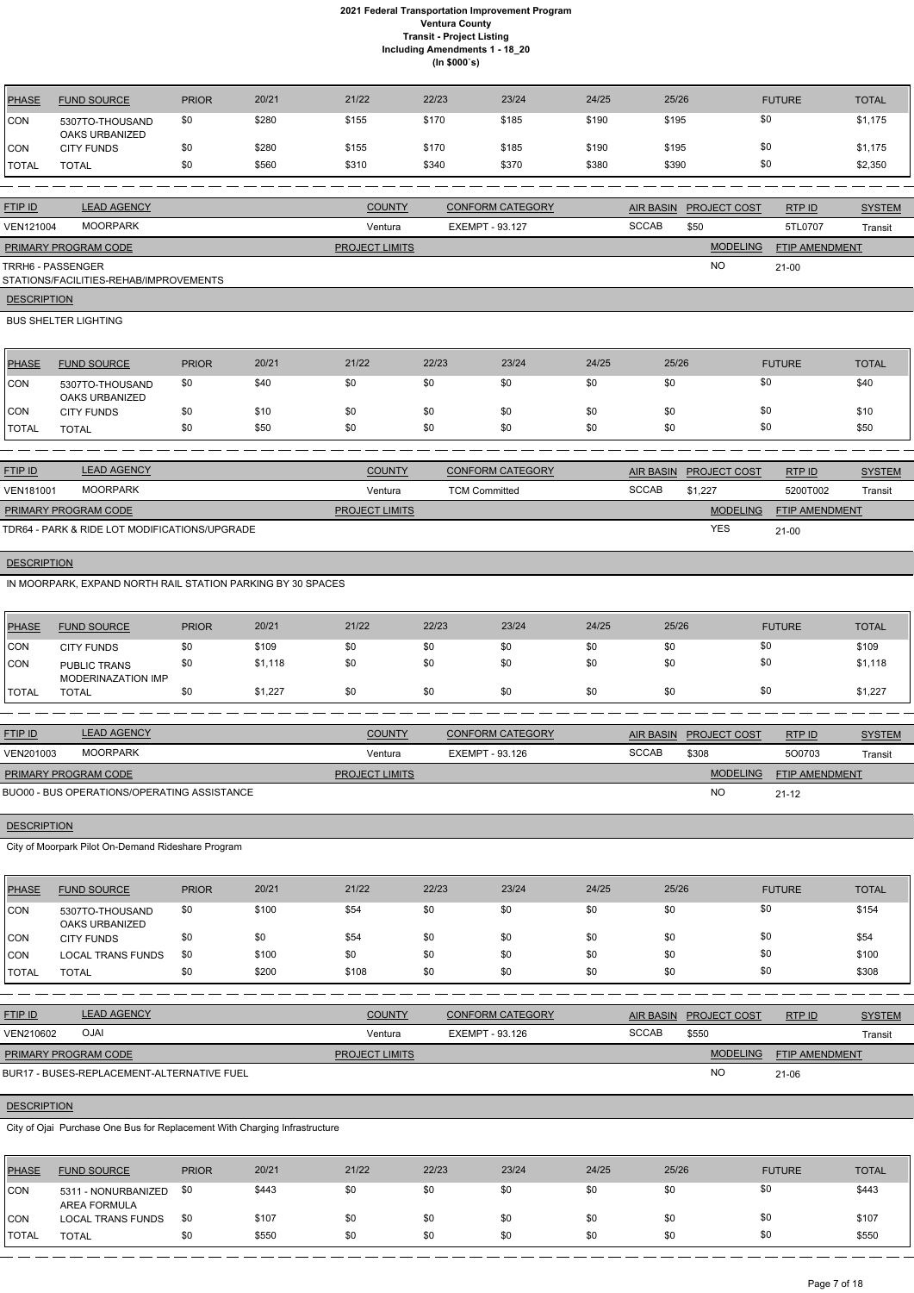| PHASE      | <b>FUND SOURCE</b>                | <b>PRIOR</b> | 20/21 | 21/22 | 22/23 | 23/24 | 24/25 | 25/26 | <b>FUTURE</b> | <b>TOTAL</b> |
|------------|-----------------------------------|--------------|-------|-------|-------|-------|-------|-------|---------------|--------------|
| <b>CON</b> | 5307TO-THOUSAND<br>OAKS URBANIZED | \$0          | \$280 | \$155 | \$170 | \$185 | \$190 | \$195 | \$0           | \$1,175      |
| <b>CON</b> | <b>CITY FUNDS</b>                 | \$0          | \$280 | \$155 | \$170 | \$185 | \$190 | \$195 | \$0           | \$1,175      |
| TOTAL      | <b>TOTAL</b>                      | \$0          | \$560 | \$310 | \$340 | \$370 | \$380 | \$390 | \$0           | \$2,350      |

| <b>FTIP ID</b>              | <b>LEAD AGENCY</b>                     | <b>COUNTY</b>         | <b>CONFORM CATEGORY</b> |              | AIR BASIN PROJECT COST | RTP ID                | <b>SYSTEM</b> |
|-----------------------------|----------------------------------------|-----------------------|-------------------------|--------------|------------------------|-----------------------|---------------|
| VEN121004                   | <b>MOORPARK</b>                        | Ventura               | EXEMPT - 93.127         | <b>SCCAB</b> | \$50                   | 5TL0707               | Transit       |
| <b>PRIMARY PROGRAM CODE</b> |                                        | <b>PROJECT LIMITS</b> |                         |              | <b>MODELING</b>        | <b>FTIP AMENDMENT</b> |               |
| TRRH6 - PASSENGER           | STATIONS/FACILITIES-REHAB/IMPROVEMENTS |                       |                         |              | <b>NO</b>              | $21-00$               |               |
| <b>DESCRIPTION</b>          |                                        |                       |                         |              |                        |                       |               |

## BUS SHELTER LIGHTING

| PHASE        | <b>FUND SOURCE</b>                | <b>PRIOR</b> | 20/21 | 21/22 | 22/23 | 23/24 | 24/25 | 25/26 | <b>FUTURE</b> | <b>TOTAL</b> |
|--------------|-----------------------------------|--------------|-------|-------|-------|-------|-------|-------|---------------|--------------|
| <b>ICON</b>  | 5307TO-THOUSAND<br>OAKS URBANIZED | \$0          | \$40  | \$0   | \$0   | \$0   | \$0   | \$0   | \$0           | \$40         |
| <b>ICON</b>  | <b>CITY FUNDS</b>                 | \$0          | \$10  | \$0   | \$0   | \$0   | \$0   | \$0   | \$0           | \$10         |
| <b>TOTAL</b> | <b>TOTAL</b>                      | \$0          | \$50  | \$0   | \$0   | \$0   | \$0   | \$0   | \$0           | \$50         |

| <b>FTIP ID</b>              | <b>LEAD AGENCY</b>                            | <b>COUNTY</b>         | <b>CONFORM CATEGORY</b> | AIR BASIN    | <b>PROJECT COST</b> | RTPID                 | <b>SYSTEM</b> |
|-----------------------------|-----------------------------------------------|-----------------------|-------------------------|--------------|---------------------|-----------------------|---------------|
| VEN181001                   | <b>MOORPARK</b>                               | Ventura               | <b>TCM Committed</b>    | <b>SCCAB</b> | \$1.227             | 5200T002              | Transit       |
| <b>PRIMARY PROGRAM CODE</b> |                                               | <b>PROJECT LIMITS</b> |                         |              | <b>MODELING</b>     | <b>FTIP AMENDMENT</b> |               |
|                             | TDR64 - PARK & RIDE LOT MODIFICATIONS/UPGRADE |                       |                         |              | <b>YES</b>          | $21 - 00$             |               |

## **DESCRIPTION**

IN MOORPARK, EXPAND NORTH RAIL STATION PARKING BY 30 SPACES

| <b>PHASE</b> | <b>FUND SOURCE</b>                        | <b>PRIOR</b> | 20/21   | 21/22 | 22/23 | 23/24 | 24/25 | 25/26 | <b>FUTURE</b> | <b>TOTAL</b> |
|--------------|-------------------------------------------|--------------|---------|-------|-------|-------|-------|-------|---------------|--------------|
| CON          | <b>CITY FUNDS</b>                         | \$0          | \$109   | \$0   | \$0   | \$0   | \$0   | \$0   | \$0           | \$109        |
| <b>CON</b>   | <b>PUBLIC TRANS</b><br>MODERINAZATION IMP | \$0          | \$1,118 | \$0   | \$0   | \$0   | \$0   | \$0   | \$0           | \$1,118      |
| <b>TOTAL</b> | <b>TOTAL</b>                              | \$0          | \$1,227 | \$0   | \$0   | \$0   | \$0   | \$0   | \$0           | \$1,227      |

| <b>FTIP ID</b>              | <b>LEAD AGENCY</b>                          | <b>COUNTY</b>         | <b>CONFORM CATEGORY</b> |              | AIR BASIN PROJECT COST | <b>RTPID</b>          | <b>SYSTEM</b> |
|-----------------------------|---------------------------------------------|-----------------------|-------------------------|--------------|------------------------|-----------------------|---------------|
| VEN201003                   | MOORPARK                                    | Ventura               | EXEMPT - 93.126         | <b>SCCAB</b> | \$308                  | 500703                | Transit       |
| <b>PRIMARY PROGRAM CODE</b> |                                             | <b>PROJECT LIMITS</b> |                         |              | <b>MODELING</b>        | <b>FTIP AMENDMENT</b> |               |
|                             | BUO00 - BUS OPERATIONS/OPERATING ASSISTANCE |                       |                         |              | <b>NO</b>              | $21 - 12$             |               |

# **DESCRIPTION**

City of Moorpark Pilot On-Demand Rideshare Program

| <b>PHASE</b> | <b>FUND SOURCE</b>                | <b>PRIOR</b> | 20/21 | 21/22 | 22/23 | 23/24 | 24/25 | 25/26 | <b>FUTURE</b> | <b>TOTAL</b> |
|--------------|-----------------------------------|--------------|-------|-------|-------|-------|-------|-------|---------------|--------------|
| <b>CON</b>   | 5307TO-THOUSAND<br>OAKS URBANIZED | \$0          | \$100 | \$54  | \$0   | \$0   | \$0   | \$0   | \$0           | \$154        |
| <b>CON</b>   | <b>CITY FUNDS</b>                 | \$0          | \$0   | \$54  | \$0   | \$0   | \$0   | \$0   | \$0           | \$54         |
| <b>CON</b>   | <b>LOCAL TRANS FUNDS</b>          | \$0          | \$100 | \$0   | \$0   | \$0   | \$0   | \$0   | \$0           | \$100        |
| <b>TOTAL</b> | <b>TOTAL</b>                      | \$0          | \$200 | \$108 | \$0   | \$0   | \$0   | \$0   | \$0           | \$308        |

| FTIP ID                     | <b>LEAD AGENCY</b>                                                         |              |       | <b>COUNTY</b>         |                        | <b>CONFORM CATEGORY</b> |        |              | AIR BASIN PROJECT COST | RTP ID         | <b>SYSTEM</b> |
|-----------------------------|----------------------------------------------------------------------------|--------------|-------|-----------------------|------------------------|-------------------------|--------|--------------|------------------------|----------------|---------------|
| VEN210602                   | <b>OJAI</b>                                                                |              |       | Ventura               | <b>EXEMPT - 93.126</b> |                         |        | <b>SCCAB</b> | \$550                  |                | Transit       |
|                             | PRIMARY PROGRAM CODE                                                       |              |       | <b>PROJECT LIMITS</b> |                        |                         |        |              | <b>MODELING</b>        | FTIP AMENDMENT |               |
|                             | BUR17 - BUSES-REPLACEMENT-ALTERNATIVE FUEL                                 |              |       |                       |                        |                         |        |              | <b>NO</b>              | 21-06          |               |
|                             |                                                                            |              |       |                       |                        |                         |        |              |                        |                |               |
| <b>DESCRIPTION</b>          |                                                                            |              |       |                       |                        |                         |        |              |                        |                |               |
|                             | City of Ojai Purchase One Bus for Replacement With Charging Infrastructure |              |       |                       |                        |                         |        |              |                        |                |               |
|                             |                                                                            |              |       |                       |                        |                         |        |              |                        |                |               |
| <b>PHASE</b>                | <b>FUND SOURCE</b>                                                         | <b>PRIOR</b> | 20/21 | 21/22                 | 22/23                  | 23/24                   | 24/25  | 25/26        |                        | <b>FUTURE</b>  | <b>TOTAL</b>  |
| $\sim$ $\sim$ $\sim$ $\sim$ |                                                                            | $\sim$       | 0.110 | $\sim$                | $\sim$                 | $\sim$                  | $\sim$ | $\sim$       |                        | ሰሰ             | 0.110         |

| <b>PHASE</b> | <b>FUND SOURCE</b>                  | <b>PRIOR</b> | 20/21 | 21/22 | 22/23 | 23/24 | 24/25 | 25/26 | <b>FUTURE</b> | <b>TOTAL</b> |
|--------------|-------------------------------------|--------------|-------|-------|-------|-------|-------|-------|---------------|--------------|
| <b>CON</b>   | 5311 - NONURBANIZED<br>AREA FORMULA | \$0          | \$443 | \$0   | \$0   | \$0   | \$0   | \$0   | \$0           | \$443        |
| <b>CON</b>   | <b>LOCAL TRANS FUNDS</b>            | \$0          | \$107 | \$0   | \$0   | \$0   | \$0   | \$0   | \$0           | \$107        |
| 'TOTAL       | <b>TOTAL</b>                        | \$0          | \$550 | \$0   | \$0   | \$0   | \$0   | \$0   | \$0           | \$550        |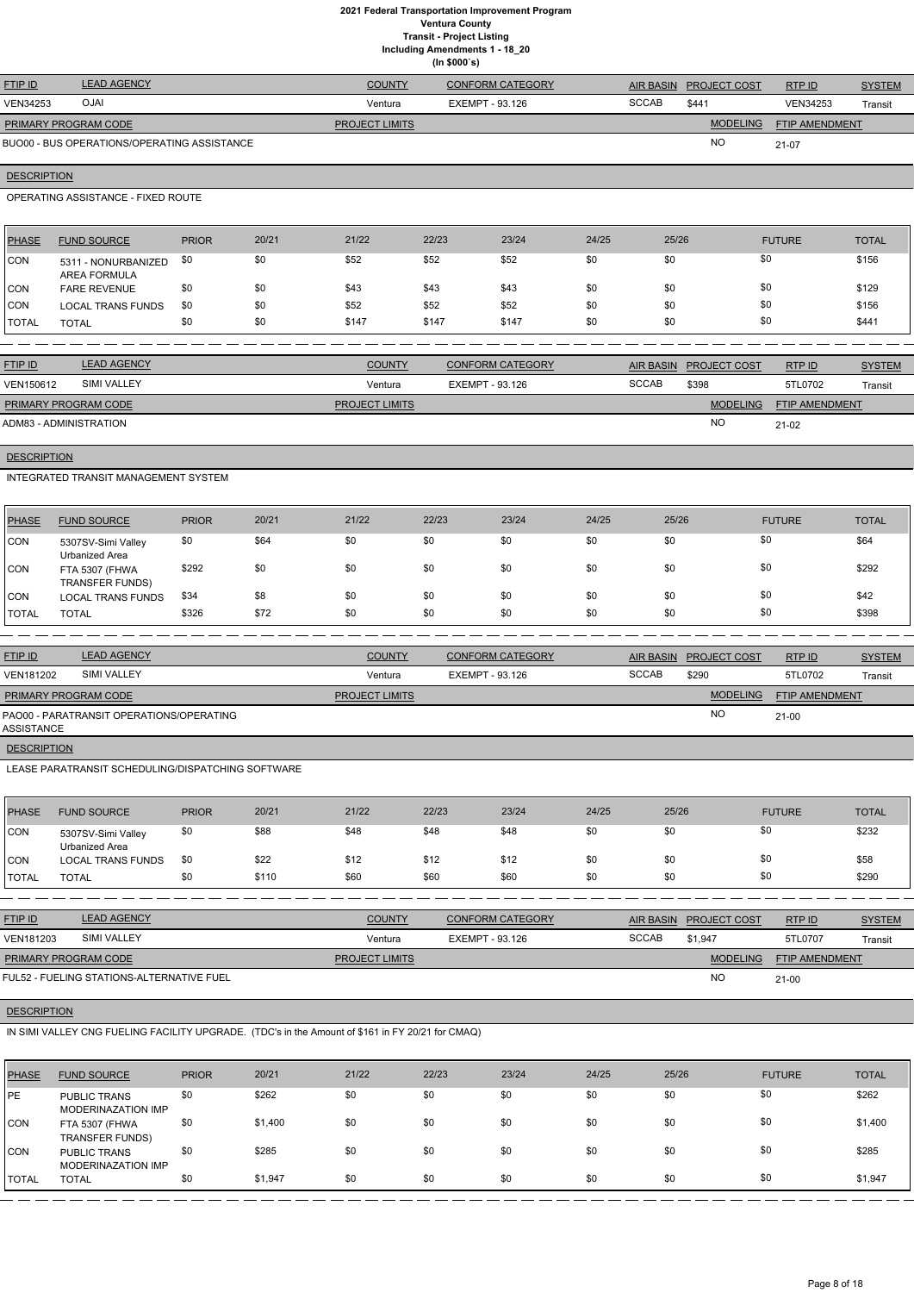**Including Amendments 1 - 18\_20**

**(In \$000`s)**

| <b>FTIP ID</b>              | <b>LEAD AGENCY</b>                          | <b>COUNTY</b>         | <b>CONFORM CATEGORY</b> |              | AIR BASIN PROJECT COST | RTP ID                | <b>SYSTEM</b> |
|-----------------------------|---------------------------------------------|-----------------------|-------------------------|--------------|------------------------|-----------------------|---------------|
| <b>VEN34253</b>             | <b>OJAI</b>                                 | Ventura               | EXEMPT - 93.126         | <b>SCCAB</b> | \$441                  | <b>VEN34253</b>       | Transit       |
| <b>PRIMARY PROGRAM CODE</b> |                                             | <b>PROJECT LIMITS</b> |                         |              | <b>MODELING</b>        | <b>FTIP AMENDMENT</b> |               |
|                             | BUO00 - BUS OPERATIONS/OPERATING ASSISTANCE |                       |                         |              | <b>NC</b>              | 21-07                 |               |
|                             |                                             |                       |                         |              |                        |                       |               |

## **DESCRIPTION**

OPERATING ASSISTANCE - FIXED ROUTE

| <b>PHASE</b>   | <b>FUND SOURCE</b>                         | <b>PRIOR</b> | 20/21 | 21/22 | 22/23 | 23/24 | 24/25 | 25/26 | <b>FUTURE</b> | <b>TOTAL</b> |
|----------------|--------------------------------------------|--------------|-------|-------|-------|-------|-------|-------|---------------|--------------|
| <b>CON</b>     | 5311 - NONURBANIZED<br><b>AREA FORMULA</b> | \$0          | \$0   | \$52  | \$52  | \$52  | \$0   | \$0   | \$0           | \$156        |
| <b>ICON</b>    | <b>FARE REVENUE</b>                        | \$0          | \$0   | \$43  | \$43  | \$43  | \$0   | \$0   | \$0           | \$129        |
| <b>CON</b>     | <b>LOCAL TRANS FUNDS</b>                   | \$0          | \$0   | \$52  | \$52  | \$52  | \$0   | \$0   | \$0           | \$156        |
| <b>I</b> TOTAL | <b>TOTAL</b>                               | \$0          | \$0   | \$147 | \$147 | \$147 | \$0   | \$0   | \$0           | \$441        |

| <b>FTIP ID</b>              | <b>LEAD AGENCY</b> | <b>COUNTY</b>         | <b>CONFORM CATEGORY</b> |              | AIR BASIN PROJECT COST | RTP ID                | <b>SYSTEM</b> |
|-----------------------------|--------------------|-----------------------|-------------------------|--------------|------------------------|-----------------------|---------------|
| VEN150612                   | SIMI VALLEY        | Ventura               | EXEMPT - 93.126         | <b>SCCAB</b> | \$398                  | 5TL0702               | Transit       |
| <b>PRIMARY PROGRAM CODE</b> |                    | <b>PROJECT LIMITS</b> |                         |              | <b>MODELING</b>        | <b>FTIP AMENDMENT</b> |               |
| ADM83 - ADMINISTRATION      |                    |                       |                         |              | <b>NO</b>              | $21-02$               |               |

## **DESCRIPTION**

INTEGRATED TRANSIT MANAGEMENT SYSTEM

| <b>PHASE</b> | <b>FUND SOURCE</b>                       | <b>PRIOR</b> | 20/21 | 21/22 | 22/23 | 23/24 | 24/25 | 25/26 | <b>FUTURE</b> | <b>TOTAL</b> |
|--------------|------------------------------------------|--------------|-------|-------|-------|-------|-------|-------|---------------|--------------|
| <b>CON</b>   | 5307SV-Simi Valley<br>Urbanized Area     | \$0          | \$64  | \$0   | \$0   | \$0   | \$0   | \$0   | \$0           | \$64         |
| <b>CON</b>   | FTA 5307 (FHWA<br><b>TRANSFER FUNDS)</b> | \$292        | \$0   | \$0   | \$0   | \$0   | \$0   | \$0   | \$0           | \$292        |
| <b>ICON</b>  | <b>LOCAL TRANS FUNDS</b>                 | \$34         | \$8   | \$0   | \$0   | \$0   | \$0   | \$0   | \$0           | \$42         |
| <b>TOTAL</b> | <b>TOTAL</b>                             | \$326        | \$72  | \$0   | \$0   | \$0   | \$0   | \$0   | \$0           | \$398        |

| <b>FTIP ID</b>              | <b>LEAD AGENCY</b>                       | <b>COUNTY</b>         | <b>CONFORM CATEGORY</b> | AIR BASIN    | <b>PROJECT COST</b> | RTPID                 | <b>SYSTEM</b> |
|-----------------------------|------------------------------------------|-----------------------|-------------------------|--------------|---------------------|-----------------------|---------------|
| <b>VEN181202</b>            | SIMI VALLEY                              | Ventura               | EXEMPT - 93.126         | <b>SCCAB</b> | \$290               | 5TL0702               | Transit       |
| <b>PRIMARY PROGRAM CODE</b> |                                          | <b>PROJECT LIMITS</b> |                         |              | <b>MODELING</b>     | <b>FTIP AMENDMENT</b> |               |
| ASSISTANCE                  | PAO00 - PARATRANSIT OPERATIONS/OPERATING |                       |                         |              | <b>NO</b>           | $21 - 00$             |               |
| <b>DESCRIPTION</b>          |                                          |                       |                         |              |                     |                       |               |

LEASE PARATRANSIT SCHEDULING/DISPATCHING SOFTWARE

| <b>PHASE</b>  | <b>FUND SOURCE</b>                   | <b>PRIOR</b> | 20/21 | 21/22 | 22/23 | 23/24 | 24/25 | 25/26 | <b>FUTURE</b> | <b>TOTAL</b> |
|---------------|--------------------------------------|--------------|-------|-------|-------|-------|-------|-------|---------------|--------------|
| CON           | 5307SV-Simi Valley<br>Urbanized Area | \$0          | \$88  | \$48  | \$48  | \$48  | \$0   | \$0   | \$0           | \$232        |
| <b>CON</b>    | <b>LOCAL TRANS FUNDS</b>             | -\$0         | \$22  | \$12  | \$12  | \$12  | \$0   | \$0   | \$0           | \$58         |
| <b>ITOTAL</b> | <b>TOTAL</b>                         | \$0          | \$110 | \$60  | \$60  | \$60  | \$0   | \$0   | \$0           | \$290        |

| <b>FTIP ID</b>              | <b>LEAD AGENCY</b>           | <b>COUNTY</b>         | <b>CONFORM CATEGORY</b> |              | AIR BASIN PROJECT COST | RTPID                 | <b>SYSTEM</b> |
|-----------------------------|------------------------------|-----------------------|-------------------------|--------------|------------------------|-----------------------|---------------|
| VEN181203                   | <b>SIMI VALLEY</b>           | Ventura               | EXEMPT - 93.126         | <b>SCCAB</b> | \$1.947                | 5TL0707               | Transit       |
| <b>PRIMARY PROGRAM CODE</b> |                              | <b>PROJECT LIMITS</b> |                         |              | <b>MODELING</b>        | <b>FTIP AMENDMENT</b> |               |
|                             | $F(H, F)$ $F(H, H, G, A, F)$ |                       |                         |              | $\sim$                 |                       |               |

## **DESCRIPTION**

IN SIMI VALLEY CNG FUELING FACILITY UPGRADE. (TDC's in the Amount of \$161 in FY 20/21 for CMAQ)

| PHASE | <b>FUND SOURCE</b>                               | <b>PRIOR</b> | 20/21   | 21/22 | 22/23 | 23/24 | 24/25 | 25/26 | <b>FUTURE</b> | <b>TOTAL</b> |
|-------|--------------------------------------------------|--------------|---------|-------|-------|-------|-------|-------|---------------|--------------|
| PE    | <b>PUBLIC TRANS</b><br><b>MODERINAZATION IMP</b> | \$0          | \$262   | \$0   | \$0   | \$0   | \$0   | \$0   | \$0           | \$262        |
| ICON  | FTA 5307 (FHWA<br><b>TRANSFER FUNDS)</b>         | \$0          | \$1,400 | \$0   | \$0   | \$0   | \$0   | \$0   | \$0           | \$1,400      |
| ICON. | <b>PUBLIC TRANS</b><br>MODERINAZATION IMP        | \$0          | \$285   | \$0   | \$0   | \$0   | \$0   | \$0   | \$0           | \$285        |
| TOTAL | <b>TOTAL</b>                                     | \$0          | \$1,947 | \$0   | \$0   | \$0   | \$0   | \$0   | \$0           | \$1,947      |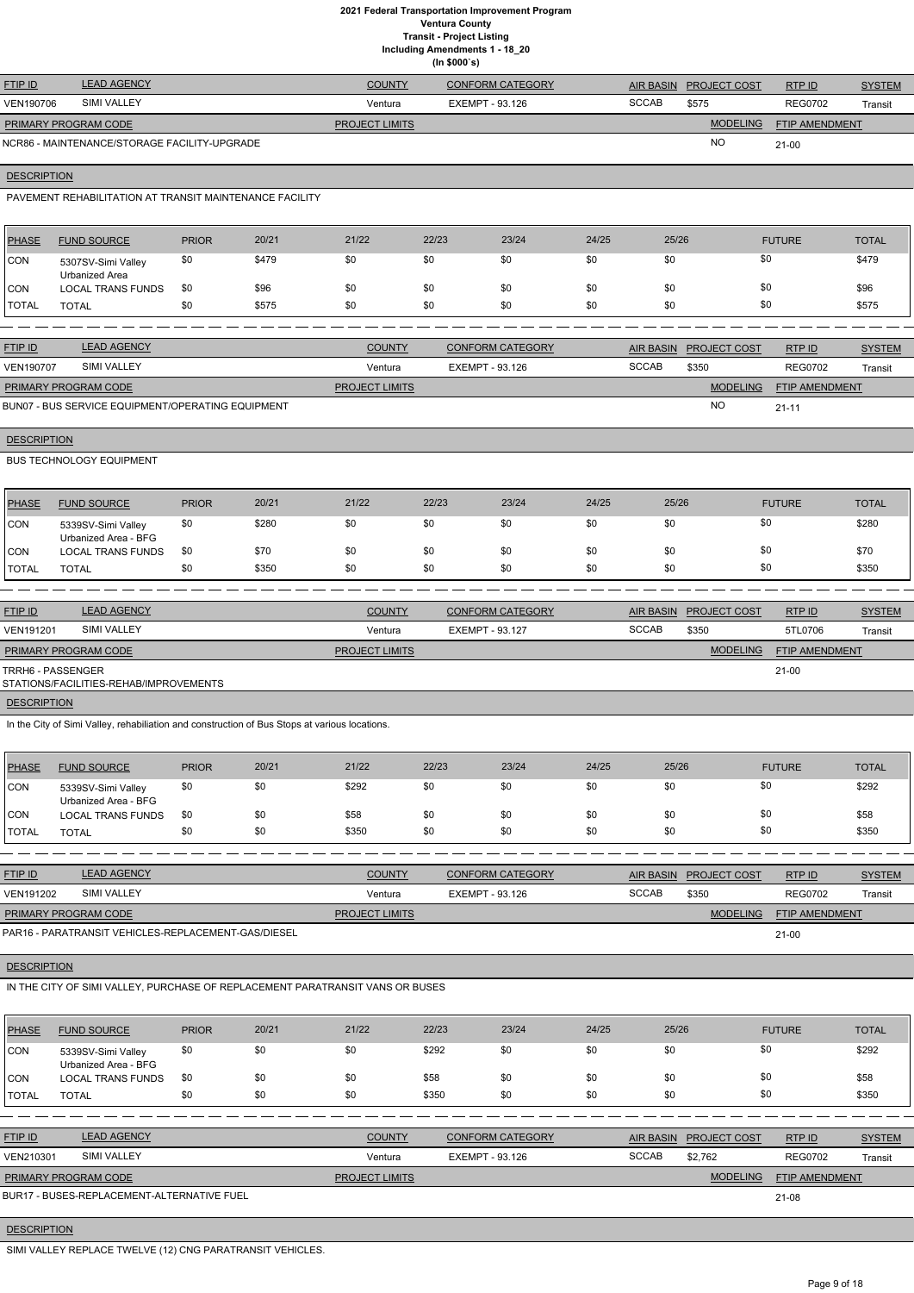**Including Amendments 1 - 18\_20**

|  | (ln \$000's) |  |
|--|--------------|--|
|  |              |  |

| <b>FTIP ID</b>              | <b>LEAD AGENCY</b>                           | <b>COUNTY</b>         | <b>CONFORM CATEGORY</b> | <b>AIR BASIN</b> | <b>PROJECT COST</b> | RTP ID                | <b>SYSTEM</b> |
|-----------------------------|----------------------------------------------|-----------------------|-------------------------|------------------|---------------------|-----------------------|---------------|
| <b>VEN190706</b>            | SIMI VALLEY                                  | Ventura               | EXEMPT - 93.126         | <b>SCCAB</b>     | \$575               | <b>REG0702</b>        | Transit       |
| <b>PRIMARY PROGRAM CODE</b> |                                              | <b>PROJECT LIMITS</b> |                         |                  | <b>MODELING</b>     | <b>FTIP AMENDMENT</b> |               |
|                             | NCR86 - MAINTENANCE/STORAGE FACILITY-UPGRADE |                       |                         |                  | <b>NO</b>           | $21 - 00$             |               |
|                             |                                              |                       |                         |                  |                     |                       |               |
| <b>DESCRIPTION</b>          |                                              |                       |                         |                  |                     |                       |               |

PAVEMENT REHABILITATION AT TRANSIT MAINTENANCE FACILITY

| <b>PHASE</b> | <b>FUND SOURCE</b>                   | <b>PRIOR</b> | 20/21 | 21/22 | 22/23 | 23/24 | 24/25 | 25/26 | <b>FUTURE</b> | <b>TOTAL</b> |
|--------------|--------------------------------------|--------------|-------|-------|-------|-------|-------|-------|---------------|--------------|
| <b>CON</b>   | 5307SV-Simi Valley<br>Urbanized Area | \$0          | \$479 | \$0   | \$0   | \$0   | \$0   | \$0   | \$0           | \$479        |
| CON          | <b>LOCAL TRANS FUNDS</b>             | \$0          | \$96  | \$0   | \$0   | \$0   | \$0   | \$0   | \$0           | \$96         |
| <b>TOTAL</b> | <b>TOTAL</b>                         | \$0          | \$575 | \$0   | \$0   | \$0   | \$0   | \$0   | \$0           | \$575        |

| <b>FTIP ID</b>                                    | <b>LEAD AGENCY</b> | <b>COUNTY</b>         | <b>CONFORM CATEGORY</b> |       | AIR BASIN PROJECT COST | RTPID                 | <b>SYSTEM</b> |
|---------------------------------------------------|--------------------|-----------------------|-------------------------|-------|------------------------|-----------------------|---------------|
| <b>VEN190707</b>                                  | <b>SIMI VALLEY</b> | Ventura               | EXEMPT - 93.126         | SCCAB | \$350                  | <b>REG0702</b>        | Transit       |
| <b>PRIMARY PROGRAM CODE</b>                       |                    | <b>PROJECT LIMITS</b> |                         |       | <b>MODELING</b>        | <b>FTIP AMENDMENT</b> |               |
| BUN07 - BUS SERVICE EQUIPMENT/OPERATING EQUIPMENT |                    |                       |                         |       | <b>NC</b>              | $21 - 1'$             |               |

**DESCRIPTION** 

BUS TECHNOLOGY EQUIPMENT

| <b>PHASE</b> | <b>FUND SOURCE</b>                         | <b>PRIOR</b> | 20/21 | 21/22 | 22/23 | 23/24 | 24/25 | 25/26 | <b>FUTURE</b> | TOTAL |
|--------------|--------------------------------------------|--------------|-------|-------|-------|-------|-------|-------|---------------|-------|
| <b>CON</b>   | 5339SV-Simi Valley<br>Urbanized Area - BFG | \$0          | \$280 | \$0   | \$0   | \$0   | \$0   |       | \$0           | \$280 |
| ICON         | <b>LOCAL TRANS FUNDS</b>                   | \$0          | \$70  | \$0   | \$0   | \$0   | \$0   |       | \$0           | \$70  |
| 'TOTAL       | <b>TOTAL</b>                               | \$0          | \$350 | \$0   | \$0   | \$0   | \$0   | \$0   | \$0           | \$350 |

| <b>FTIP ID</b>              | <b>LEAD AGENCY</b>                     | <b>COUNTY</b>         | <b>CONFORM CATEGORY</b> | AIR BASIN    | <b>PROJECT COST</b> | RTPID                 | <b>SYSTEM</b> |
|-----------------------------|----------------------------------------|-----------------------|-------------------------|--------------|---------------------|-----------------------|---------------|
| <b>VEN191201</b>            | <b>SIMI VALLEY</b>                     | Ventura               | EXEMPT - 93.127         | <b>SCCAB</b> | \$350               | 5TL0706               | Transit       |
| <b>PRIMARY PROGRAM CODE</b> |                                        | <b>PROJECT LIMITS</b> |                         |              | <b>MODELING</b>     | <b>FTIP AMENDMENT</b> |               |
| TRRH6 - PASSENGER           | STATIONS/FACILITIES-REHAB/IMPROVEMENTS |                       |                         |              |                     | 21-00                 |               |

**DESCRIPTION** 

In the City of Simi Valley, rehabiliation and construction of Bus Stops at various locations.

| <b>PHASE</b> | <b>FUND SOURCE</b>                         | <b>PRIOR</b> | 20/21 | 21/22 | 22/23 | 23/24 | 24/25 | 25/26 | <b>FUTURE</b> | <b>TOTAL</b> |
|--------------|--------------------------------------------|--------------|-------|-------|-------|-------|-------|-------|---------------|--------------|
| <b>CON</b>   | 5339SV-Simi Valley<br>Urbanized Area - BFG | \$0          | \$0   | \$292 | \$0   | \$0   | \$0   | \$0   | \$0           | \$292        |
| <b>CON</b>   | <b>LOCAL TRANS FUNDS</b>                   | \$0          | \$0   | \$58  | \$0   | \$0   | \$0   | \$0   | \$0           | \$58         |
| TOTAL        | TOTAL                                      | \$0          | \$0   | \$350 | \$0   | \$0   | \$0   | \$0   | \$0           | \$350        |

| <b>FTIP ID</b>              | <b>LEAD AGENCY</b>                                  | <b>COUNTY</b>         | <b>CONFORM CATEGORY</b> |       | AIR BASIN PROJECT COST | RTP ID                | <b>SYSTEM</b> |
|-----------------------------|-----------------------------------------------------|-----------------------|-------------------------|-------|------------------------|-----------------------|---------------|
| <b>VEN191202</b>            | <b>SIMI VALLEY</b>                                  | Ventura               | EXEMPT - 93.126         | SCCAB | \$350                  | <b>REG0702</b>        | Transit       |
| <b>PRIMARY PROGRAM CODE</b> |                                                     | <b>PROJECT LIMITS</b> |                         |       | <b>MODELING</b>        | <b>FTIP AMENDMENT</b> |               |
|                             | PAR16 - PARATRANSIT VEHICLES-REPLACEMENT-GAS/DIESEL |                       |                         |       |                        | $21-00$               |               |

## IN THE CITY OF SIMI VALLEY, PURCHASE OF REPLACEMENT PARATRANSIT VANS OR BUSES

| <b>PHASE</b> | <b>FUND SOURCE</b>                         | <b>PRIOR</b> | 20/21 | 21/22 | 22/23 | 23/24 | 24/25 | 25/26 | <b>FUTURE</b> | <b>TOTAL</b> |
|--------------|--------------------------------------------|--------------|-------|-------|-------|-------|-------|-------|---------------|--------------|
| <b>CON</b>   | 5339SV-Simi Valley<br>Urbanized Area - BFG | \$0          | \$0   | \$0   | \$292 | \$0   | \$0   | \$0   |               | \$292        |
| <b>CON</b>   | <b>LOCAL TRANS FUNDS</b>                   | \$0          | \$0   | \$0   | \$58  | \$0   | \$0   | \$0   |               | \$58         |
| 'TOTAL       | <b>TOTAL</b>                               | \$0          | \$0   | \$0   | \$350 | \$0   | \$0   | \$0   | \$0           | \$350        |

| <b>FTIP ID</b>              | <b>LEAD AGENCY</b>                         | <b>COUNTY</b>         | <b>CONFORM CATEGORY</b> |              | AIR BASIN PROJECT COST | RTPID                 | <b>SYSTEM</b> |
|-----------------------------|--------------------------------------------|-----------------------|-------------------------|--------------|------------------------|-----------------------|---------------|
| VEN210301                   | SIMI VALLEY                                | Ventura               | EXEMPT - 93.126         | <b>SCCAB</b> | \$2.762                | <b>REG0702</b>        | Transit       |
| <b>PRIMARY PROGRAM CODE</b> |                                            | <b>PROJECT LIMITS</b> |                         |              | <b>MODELING</b>        | <b>FTIP AMENDMENT</b> |               |
|                             | BUR17 - BUSES-REPLACEMENT-ALTERNATIVE FUEL |                       |                         |              |                        | 21-08                 |               |

#### **DESCRIPTION**

SIMI VALLEY REPLACE TWELVE (12) CNG PARATRANSIT VEHICLES.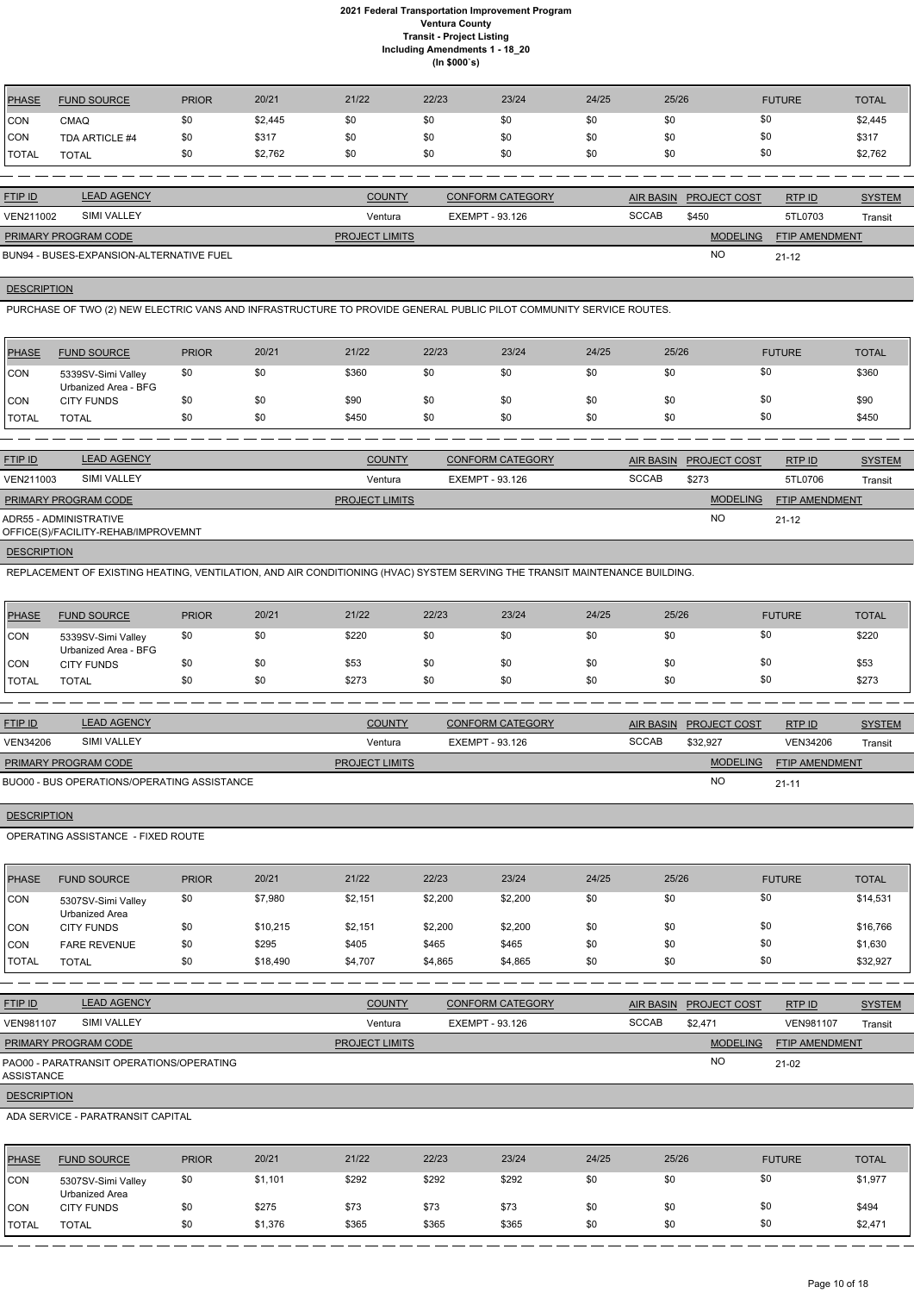| <b>PHASE</b> | <b>FUND SOURCE</b> | <b>PRIOR</b> | 20/21   | 21/22 | 22/23 | 23/24 | 24/25 | 25/26 | <b>FUTURE</b> | <b>TOTAL</b> |
|--------------|--------------------|--------------|---------|-------|-------|-------|-------|-------|---------------|--------------|
| <b>CON</b>   | <b>CMAQ</b>        | \$0          | \$2,445 | \$0   | \$0   | \$0   | \$0   | \$0   | \$0           | \$2,445      |
| <b>CON</b>   | TDA ARTICLE #4     | \$0          | \$317   | \$0   | \$0   | \$0   | \$0   | \$0   | \$0           | \$317        |
| `TOTAL       | <b>TOTAL</b>       | \$0          | \$2,762 | \$0   | \$0   | \$0   | \$0   | \$0   | \$0           | \$2,762      |
|              |                    |              |         |       |       |       |       |       |               |              |

| <b>FTIP ID</b>       | <b>LEAD AGENCY</b>                       | <b>COUNTY</b>         | <b>CONFORM CATEGORY</b> | <b>AIR BASIN</b> | <b>PROJECT COST</b> | <b>RTPID</b>          | <b>SYSTEM</b> |
|----------------------|------------------------------------------|-----------------------|-------------------------|------------------|---------------------|-----------------------|---------------|
| VEN211002            | <b>SIMI VALLEY</b>                       | Ventura               | EXEMPT - 93.126         | <b>SCCAB</b>     | \$450               | 5TL0703               | Transit       |
| PRIMARY PROGRAM CODE |                                          | <b>PROJECT LIMITS</b> |                         |                  | <b>MODELING</b>     | <b>FTIP AMENDMENT</b> |               |
|                      | BUN94 - BUSES-EXPANSION-ALTERNATIVE FUEL |                       |                         |                  | NO                  | $21 - 12$             |               |

## **DESCRIPTION**

PURCHASE OF TWO (2) NEW ELECTRIC VANS AND INFRASTRUCTURE TO PROVIDE GENERAL PUBLIC PILOT COMMUNITY SERVICE ROUTES.

| <b>PHASE</b> | <b>FUND SOURCE</b>                         | <b>PRIOR</b> | 20/21 | 21/22 | 22/23 | 23/24 | 24/25 | 25/26 | <b>FUTURE</b> | <b>TOTAL</b> |
|--------------|--------------------------------------------|--------------|-------|-------|-------|-------|-------|-------|---------------|--------------|
| CON          | 5339SV-Simi Valley<br>Urbanized Area - BFG | \$0          | \$0   | \$360 | \$0   | \$0   | \$0   | \$0   | \$0           | \$360        |
| CON          | <b>CITY FUNDS</b>                          | \$0          | \$0   | \$90  | \$0   | \$0   | \$0   | \$0   | \$0           | \$90         |
| <b>TOTAL</b> | <b>TOTAL</b>                               | \$0          | \$0   | \$450 | \$0   | \$0   | \$0   | \$0   | \$0           | \$450        |

| <b>FTIP ID</b>         | <b>LEAD AGENCY</b>                  | <b>COUNTY</b>         | CONFORM CATEGORY | <b>AIR BASIN</b> | <b>PROJECT COST</b> | RTPID                 | <b>SYSTEM</b> |
|------------------------|-------------------------------------|-----------------------|------------------|------------------|---------------------|-----------------------|---------------|
| VEN211003              | <b>SIMI VALLEY</b>                  | Ventura               | EXEMPT - 93.126  | <b>SCCAB</b>     | \$273               | 5TL0706               | Transit       |
| PRIMARY PROGRAM CODE   |                                     | <b>PROJECT LIMITS</b> |                  |                  | <b>MODELING</b>     | <b>FTIP AMENDMENT</b> |               |
| ADR55 - ADMINISTRATIVE | OFFICE(S)/FACILITY-REHAB/IMPROVEMNT |                       |                  |                  | <b>NO</b>           | $21 - 12$             |               |

## **DESCRIPTION**

REPLACEMENT OF EXISTING HEATING, VENTILATION, AND AIR CONDITIONING (HVAC) SYSTEM SERVING THE TRANSIT MAINTENANCE BUILDING.

| <b>PHASE</b> | <b>FUND SOURCE</b>                         | <b>PRIOR</b> | 20/21 | 21/22 | 22/23 | 23/24 | 24/25 | 25/26 | <b>FUTURE</b> | <b>TOTAL</b> |
|--------------|--------------------------------------------|--------------|-------|-------|-------|-------|-------|-------|---------------|--------------|
| <b>CON</b>   | 5339SV-Simi Valley<br>Urbanized Area - BFG | \$0          | \$0   | \$220 | \$0   | \$0   | \$0   | \$0   | \$0           | \$220        |
| CON          | <b>CITY FUNDS</b>                          | \$0          | \$0   | \$53  | \$0   | \$0   | \$0   | \$0   | \$0           | \$53         |
| <b>TOTAL</b> | TOTAL                                      | \$0          | \$0   | \$273 | \$0   | \$0   | \$0   | \$0   | \$0           | \$273        |

| <b>FTIP ID</b>                              | <b>LEAD AGENCY</b> | <b>COUNTY</b>         | <b>CONFORM CATEGORY</b> | AIR BASIN    | <b>PROJECT COST</b> | RTP ID                | <b>SYSTEM</b> |
|---------------------------------------------|--------------------|-----------------------|-------------------------|--------------|---------------------|-----------------------|---------------|
| <b>VEN34206</b>                             | <b>SIMI VALLEY</b> | Ventura               | EXEMPT - 93.126         | <b>SCCAB</b> | \$32.927            | <b>VEN34206</b>       | Transit       |
| <b>PRIMARY PROGRAM CODE</b>                 |                    | <b>PROJECT LIMITS</b> |                         |              | <b>MODELING</b>     | <b>FTIP AMENDMENT</b> |               |
| BUO00 - BUS OPERATIONS/OPERATING ASSISTANCE |                    |                       |                         |              | N <sub>O</sub>      | $21 - 11$             |               |

## **DESCRIPTION**

OPERATING ASSISTANCE - FIXED ROUTE

| PHASE          | <b>FUND SOURCE</b>                   | <b>PRIOR</b> | 20/21    | 21/22   | 22/23   | 23/24   | 24/25 | 25/26 | <b>FUTURE</b> | <b>TOTAL</b> |
|----------------|--------------------------------------|--------------|----------|---------|---------|---------|-------|-------|---------------|--------------|
| CON            | 5307SV-Simi Valley<br>Urbanized Area | \$0          | \$7,980  | \$2,151 | \$2,200 | \$2,200 | \$0   | \$0   | \$0           | \$14,531     |
| ICON           | <b>CITY FUNDS</b>                    | \$0          | \$10,215 | \$2,151 | \$2,200 | \$2,200 | \$0   | \$0   | \$0           | \$16,766     |
| ICON           | <b>FARE REVENUE</b>                  | \$0          | \$295    | \$405   | \$465   | \$465   | \$0   | \$0   | \$0           | \$1,630      |
| <b>I</b> TOTAL | <b>TOTAL</b>                         | \$0          | \$18,490 | \$4,707 | \$4,865 | \$4,865 | \$0   | \$0   | \$0           | \$32,927     |

| <b>FTIP ID</b>              | <b>LEAD AGENCY</b>                       | <b>COUNTY</b>         | <b>CONFORM CATEGORY</b> |              | <b>AIR BASIN PROJECT COST</b> | RTP ID           | <b>SYSTEM</b> |
|-----------------------------|------------------------------------------|-----------------------|-------------------------|--------------|-------------------------------|------------------|---------------|
| <b>VEN981107</b>            | SIMI VALLEY                              | Ventura               | EXEMPT - 93.126         | <b>SCCAB</b> | \$2.471                       | <b>VEN981107</b> | Transit       |
| <b>PRIMARY PROGRAM CODE</b> |                                          | <b>PROJECT LIMITS</b> |                         |              | <b>MODELING</b>               | FTIP AMENDMENT   |               |
| ASSISTANCE                  | PAO00 - PARATRANSIT OPERATIONS/OPERATING |                       |                         |              | <b>NO</b>                     | $21-02$          |               |
| <b>DESCRIPTION</b>          |                                          |                       |                         |              |                               |                  |               |
|                             | ADA SERVICE - PARATRANSIT CAPITAL        |                       |                         |              |                               |                  |               |

| PHASE        | <b>FUND SOURCE</b>                   | <b>PRIOR</b> | 20/21   | 21/22 | 22/23 | 23/24 | 24/25 | 25/26 | <b>FUTURE</b> | <b>TOTAL</b> |
|--------------|--------------------------------------|--------------|---------|-------|-------|-------|-------|-------|---------------|--------------|
| <b>CON</b>   | 5307SV-Simi Valley<br>Urbanized Area | \$0          | \$1,101 | \$292 | \$292 | \$292 | \$0   |       | \$0           | \$1,977      |
| CON          | <b>CITY FUNDS</b>                    | \$0          | \$275   | \$73  | \$73  | \$73  | \$0   |       | \$0           | \$494        |
| <b>TOTAL</b> | <b>TOTAL</b>                         | \$0          | \$1,376 | \$365 | \$365 | \$365 | \$0   |       | \$0           | \$2,471      |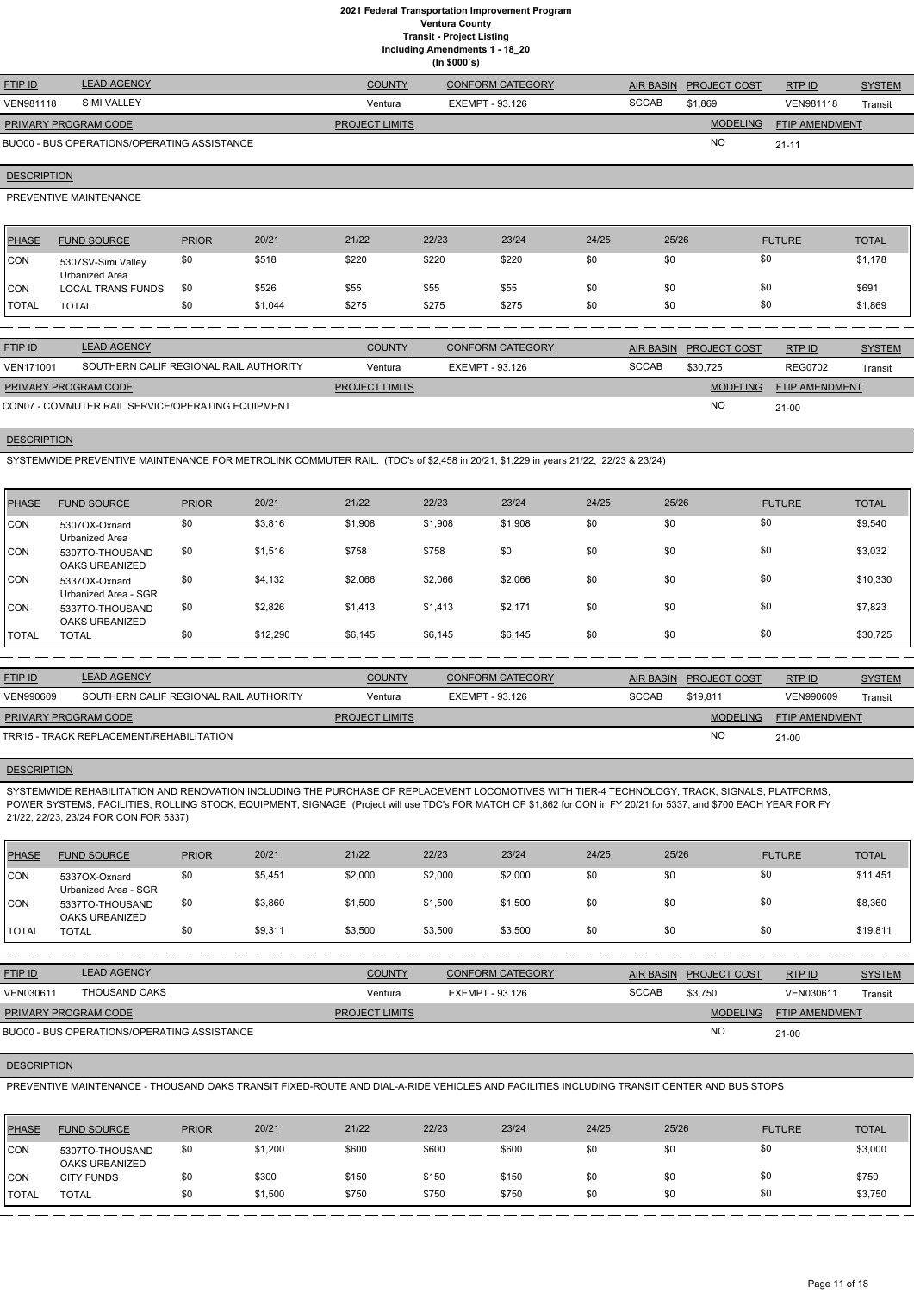**Including Amendments 1 - 18\_20**

|  | ,            |  |
|--|--------------|--|
|  | (ln \$000's) |  |

| <b>FTIP ID</b>              | <b>LEAD AGENCY</b>                          | <b>COUNTY</b>         | <b>CONFORM CATEGORY</b> |              | AIR BASIN PROJECT COST | RTPID                 | <b>SYSTEM</b> |
|-----------------------------|---------------------------------------------|-----------------------|-------------------------|--------------|------------------------|-----------------------|---------------|
| <b>VEN981118</b>            | <b>SIMI VALLEY</b>                          | Ventura               | EXEMPT - 93.126         | <b>SCCAB</b> | \$1.869                | <b>VEN981118</b>      | Transit       |
| <b>PRIMARY PROGRAM CODE</b> |                                             | <b>PROJECT LIMITS</b> |                         |              | <b>MODELING</b>        | <b>FTIP AMENDMENT</b> |               |
|                             | BUO00 - BUS OPERATIONS/OPERATING ASSISTANCE |                       |                         |              | <b>NO</b>              | $21 - 11$             |               |

## **DESCRIPTION**

PREVENTIVE MAINTENANCE

| PHASE        | <b>FUND SOURCE</b>                   | <b>PRIOR</b> | 20/21   | 21/22 | 22/23 | 23/24 | 24/25 | 25/26 | <b>FUTURE</b> | <b>TOTAL</b> |
|--------------|--------------------------------------|--------------|---------|-------|-------|-------|-------|-------|---------------|--------------|
| CON          | 5307SV-Simi Valley<br>Urbanized Area | \$0          | \$518   | \$220 | \$220 | \$220 | \$0   | \$0   | \$0           | \$1,178      |
| <b>CON</b>   | <b>LOCAL TRANS FUNDS</b>             | \$0          | \$526   | \$55  | \$55  | \$55  | \$0   | \$0   |               | \$691        |
| <b>TOTAL</b> | <b>TOTAL</b>                         | \$0          | \$1,044 | \$275 | \$275 | \$275 | \$0   | \$0   | \$0           | \$1,869      |

| <b>FTIP ID</b>              | <b>LEAD AGENCY</b>                                | <b>COUNTY</b>         | CONFORM CATEGORY |              | AIR BASIN PROJECT COST | RTPID                 | <b>SYSTEM</b> |
|-----------------------------|---------------------------------------------------|-----------------------|------------------|--------------|------------------------|-----------------------|---------------|
| <b>VEN171001</b>            | SOUTHERN CALIF REGIONAL RAIL AUTHORITY            | Ventura               | EXEMPT - 93.126  | <b>SCCAB</b> | \$30.725               | <b>REG0702</b>        | Transit       |
| <b>PRIMARY PROGRAM CODE</b> |                                                   | <b>PROJECT LIMITS</b> |                  |              | <b>MODELING</b>        | <b>FTIP AMENDMENT</b> |               |
|                             | CON07 - COMMUTER RAIL SERVICE/OPERATING EQUIPMENT |                       |                  |              | <b>NC</b>              | $21-00$               |               |

#### **DESCRIPTION**

SYSTEMWIDE PREVENTIVE MAINTENANCE FOR METROLINK COMMUTER RAIL. (TDC's of \$2,458 in 20/21, \$1,229 in years 21/22, 22/23 & 23/24)

| PHASE        | <b>FUND SOURCE</b>                    | <b>PRIOR</b> | 20/21    | 21/22   | 22/23   | 23/24   | 24/25 | 25/26 | <b>FUTURE</b> | <b>TOTAL</b> |
|--------------|---------------------------------------|--------------|----------|---------|---------|---------|-------|-------|---------------|--------------|
| CON          | 5307OX-Oxnard<br>Urbanized Area       | \$0          | \$3,816  | \$1,908 | \$1,908 | \$1,908 | \$0   | \$0   | \$0           | \$9,540      |
| <b>CON</b>   | 5307TO-THOUSAND<br>OAKS URBANIZED     | \$0          | \$1,516  | \$758   | \$758   | \$0     | \$0   | \$0   | \$0           | \$3,032      |
| <b>CON</b>   | 5337OX-Oxnard<br>Urbanized Area - SGR | \$0          | \$4,132  | \$2,066 | \$2,066 | \$2,066 | \$0   | \$0   | \$0           | \$10,330     |
| <b>ICON</b>  | 5337TO-THOUSAND<br>OAKS URBANIZED     | \$0          | \$2,826  | \$1,413 | \$1,413 | \$2,171 | \$0   | \$0   | \$0           | \$7,823      |
| <b>TOTAL</b> | <b>TOTAL</b>                          | \$0          | \$12,290 | \$6,145 | \$6,145 | \$6,145 | \$0   | \$0   | \$0           | \$30,725     |

| <b>FTIP ID</b>              | <b>LEAD AGENCY</b>                       | <b>COUNTY</b>         | CONFORM CATEGORY |              | AIR BASIN PROJECT COST | RTPID                 | <b>SYSTEM</b> |
|-----------------------------|------------------------------------------|-----------------------|------------------|--------------|------------------------|-----------------------|---------------|
| <b>VEN990609</b>            | SOUTHERN CALIF REGIONAL RAIL AUTHORITY   | Ventura               | EXEMPT - 93.126  | <b>SCCAB</b> | \$19.811               | VEN990609             | Transit       |
| <b>PRIMARY PROGRAM CODE</b> |                                          | <b>PROJECT LIMITS</b> |                  |              | <b>MODELING</b>        | <b>FTIP AMENDMENT</b> |               |
|                             | TRR15 - TRACK REPLACEMENT/REHABILITATION |                       |                  |              | <b>NO</b>              | $21 - 00$             |               |

## **DESCRIPTION**

SYSTEMWIDE REHABILITATION AND RENOVATION INCLUDING THE PURCHASE OF REPLACEMENT LOCOMOTIVES WITH TIER-4 TECHNOLOGY, TRACK, SIGNALS, PLATFORMS, POWER SYSTEMS, FACILITIES, ROLLING STOCK, EQUIPMENT, SIGNAGE (Project will use TDC's FOR MATCH OF \$1,862 for CON in FY 20/21 for 5337, and \$700 EACH YEAR FOR FY 21/22, 22/23, 23/24 FOR CON FOR 5337)

| <b>PHASE</b>  | <b>FUND SOURCE</b>                    | <b>PRIOR</b> | 20/21   | 21/22   | 22/23   | 23/24   | 24/25 | 25/26 | <b>FUTURE</b> | <b>TOTAL</b> |
|---------------|---------------------------------------|--------------|---------|---------|---------|---------|-------|-------|---------------|--------------|
| <b>CON</b>    | 5337OX-Oxnard<br>Urbanized Area - SGR | \$0          | \$5,451 | \$2,000 | \$2,000 | \$2,000 | \$0   | \$0   | \$0           | \$11,451     |
| <b>CON</b>    | 5337TO-THOUSAND<br>OAKS URBANIZED     | \$0          | \$3,860 | \$1,500 | \$1,500 | \$1,500 | \$0   | \$0   | \$0           | \$8,360      |
| <b>ITOTAL</b> | TOTAL                                 | \$0          | \$9,311 | \$3,500 | \$3,500 | \$3,500 | \$0   | \$0   | \$0           | \$19,811     |

| <b>FTIP ID</b> | <b>LEAD AG</b> |
|----------------|----------------|

| <b>FTIP ID</b>              | <b>LEAD AGENCY</b>                          | <b>COUNTY</b>         | <b>CONFORM CATEGORY</b> | <b>AIR BASIN</b> | <b>PROJECT COST</b> | RTP ID                | <b>SYSTEM</b> |
|-----------------------------|---------------------------------------------|-----------------------|-------------------------|------------------|---------------------|-----------------------|---------------|
| VEN030611                   | THOUSAND OAKS                               | Ventura               | EXEMPT - 93.126         | <b>SCCAB</b>     | \$3.750             | VEN030611             | Transit       |
| <b>PRIMARY PROGRAM CODE</b> |                                             | <b>PROJECT LIMITS</b> |                         |                  | <b>MODELING</b>     | <b>FTIP AMENDMENT</b> |               |
|                             | BUO00 - BUS OPERATIONS/OPERATING ASSISTANCE |                       |                         |                  | <b>NO</b>           | $21 - 00$             |               |

#### **DESCRIPTION**

PREVENTIVE MAINTENANCE - THOUSAND OAKS TRANSIT FIXED-ROUTE AND DIAL-A-RIDE VEHICLES AND FACILITIES INCLUDING TRANSIT CENTER AND BUS STOPS

| PHASE        | <b>FUND SOURCE</b>                       | <b>PRIOR</b> | 20/21   | 21/22 | 22/23 | 23/24 | 24/25 | 25/26 | <b>FUTURE</b> | <b>TOTAL</b> |
|--------------|------------------------------------------|--------------|---------|-------|-------|-------|-------|-------|---------------|--------------|
| <b>CON</b>   | 5307TO-THOUSAND<br><b>OAKS URBANIZED</b> | \$0          | \$1,200 | \$600 | \$600 | \$600 | \$0   |       | \$0           | \$3,000      |
| <b>CON</b>   | <b>CITY FUNDS</b>                        | \$0          | \$300   | \$150 | \$150 | \$150 | \$0   |       | \$0           | \$750        |
| <b>TOTAL</b> | TOTAL                                    | \$0          | \$1,500 | \$750 | \$750 | \$750 | \$0   | \$0   | \$0           | \$3,750      |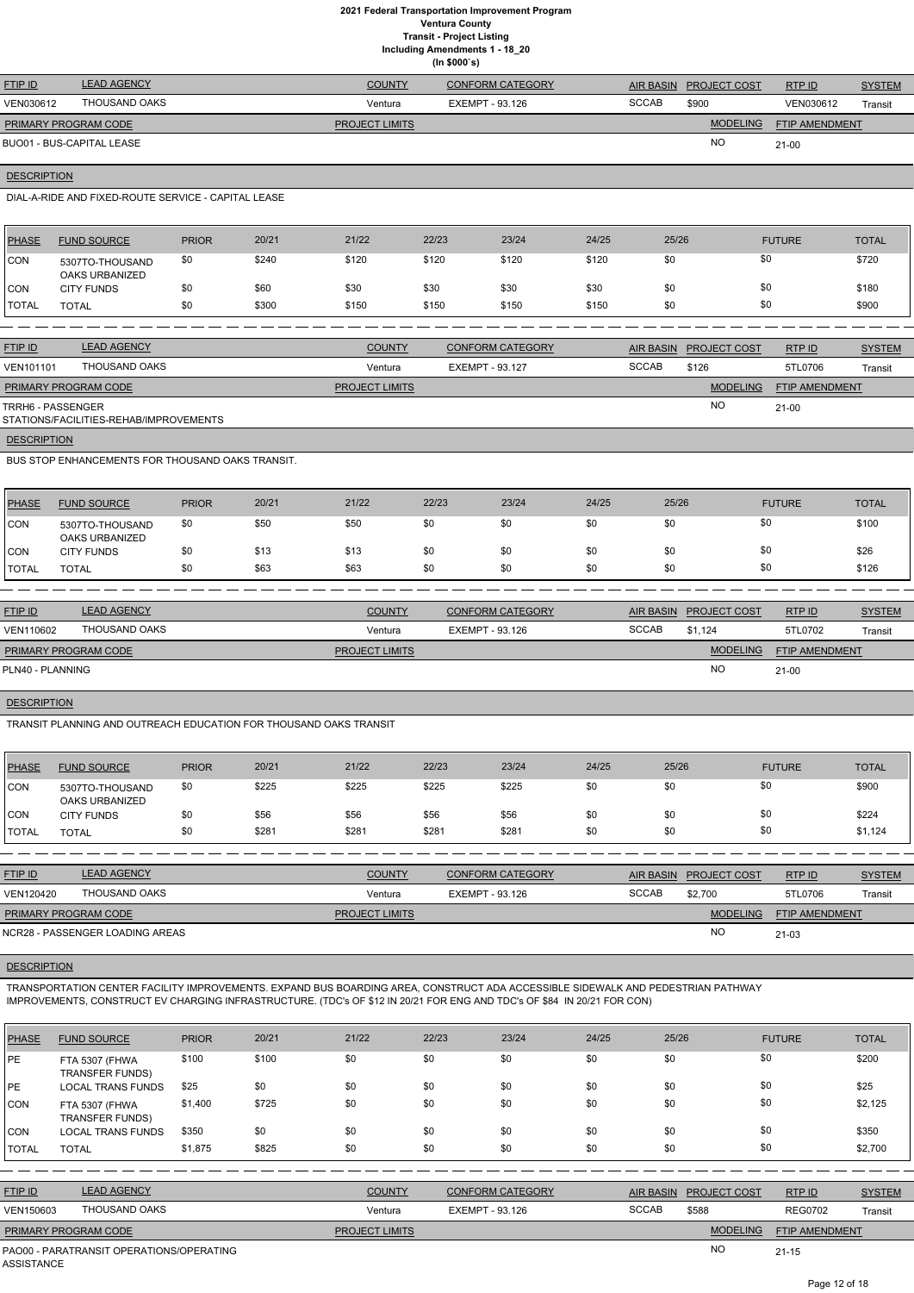**Including Amendments 1 - 18\_20**

|                      | Including Amendments 1 - 18_20<br>(ln \$000's)      |              |       |                          |       |                         |       |                  |                     |                 |               |
|----------------------|-----------------------------------------------------|--------------|-------|--------------------------|-------|-------------------------|-------|------------------|---------------------|-----------------|---------------|
| <b>FTIP ID</b>       | <b>LEAD AGENCY</b>                                  |              |       | <b>COUNTY</b>            |       | <b>CONFORM CATEGORY</b> |       | <b>AIR BASIN</b> | <b>PROJECT COST</b> | RTP ID          | <b>SYSTEM</b> |
| VEN030612            | <b>THOUSAND OAKS</b>                                |              |       | Ventura                  |       | <b>EXEMPT - 93.126</b>  |       | <b>SCCAB</b>     | \$900               | VEN030612       | Transit       |
| PRIMARY PROGRAM CODE |                                                     |              |       | PROJECT LIMITS           |       |                         |       |                  | <b>MODELING</b>     | FTIP AMENDMENT  |               |
|                      | <b>BUO01 - BUS-CAPITAL LEASE</b>                    |              |       |                          |       |                         |       |                  | NO.                 | $21-00$         |               |
|                      | <b>DESCRIPTION</b>                                  |              |       |                          |       |                         |       |                  |                     |                 |               |
|                      | DIAL-A-RIDE AND FIXED-ROUTE SERVICE - CAPITAL LEASE |              |       |                          |       |                         |       |                  |                     |                 |               |
| <b>PHASE</b>         | <b>FUND SOURCE</b>                                  | <b>PRIOR</b> | 20/21 | 21/22                    | 22/23 | 23/24                   | 24/25 | 25/26            |                     | <b>FUTURE</b>   | <b>TOTAL</b>  |
| <b>CON</b>           | 5307TO-THOUSAND<br><b>OAKS URBANIZED</b>            | \$0          | \$240 | \$120                    | \$120 | \$120                   | \$120 | \$0              | \$0                 |                 | \$720         |
| CON                  | <b>CITY FUNDS</b>                                   | \$0          | \$60  | \$30                     | \$30  | \$30                    | \$30  | \$0              | \$0                 |                 | \$180         |
| <b>TOTAL</b>         | <b>TOTAL</b>                                        | \$0          | \$300 | \$150                    | \$150 | \$150                   | \$150 | \$0              | \$0                 |                 | \$900         |
|                      |                                                     |              |       |                          |       |                         |       |                  |                     |                 |               |
| FTIP ID              | <b>LEAD AGENCY</b>                                  |              |       | <b>COUNTY</b>            |       | <b>CONFORM CATEGORY</b> |       | <b>AIR BASIN</b> | <b>PROJECT COST</b> | RTP ID          | <b>SYSTEM</b> |
| VENIAA101            | <b>THOLISAND OAKS</b>                               |              |       | $\lambda$ / $\sim$ nturo |       | $EVALUATE$ 02.127       |       | SCOAR            | 0.10C               | <b>ETI 070G</b> | $T = -11$     |

| <b>VEN101101</b>            | THOUSAND OAKS                          | Ventura               | EXEMPT - 93.127 | <b>SCCAB</b> | \$126           | 5TL0706               | Transit |
|-----------------------------|----------------------------------------|-----------------------|-----------------|--------------|-----------------|-----------------------|---------|
| <b>PRIMARY PROGRAM CODE</b> |                                        | <b>PROJECT LIMITS</b> |                 |              | <b>MODELING</b> | <b>FTIP AMENDMENT</b> |         |
| TRRH6 - PASSENGER           | STATIONS/FACILITIES-REHAB/IMPROVEMENTS |                       |                 |              | NO              | 21-00                 |         |
| <b>DESCRIPTION</b>          |                                        |                       |                 |              |                 |                       |         |

BUS STOP ENHANCEMENTS FOR THOUSAND OAKS TRANSIT.

| <b>PHASE</b> | <b>FUND SOURCE</b>                | <b>PRIOR</b> | 20/21 | 21/22 | 22/23 | 23/24 | 24/25 | 25/26 | <b>FUTURE</b> | <b>TOTAL</b> |
|--------------|-----------------------------------|--------------|-------|-------|-------|-------|-------|-------|---------------|--------------|
| CON          | 5307TO-THOUSAND<br>OAKS URBANIZED | \$0          | \$50  | \$50  | \$0   | \$0   | \$0   | \$0   | \$0           | \$100        |
| CON          | <b>CITY FUNDS</b>                 | \$0          | \$13  | \$13  | \$0   | \$0   | \$0   | \$0   | \$0           | \$26         |
| TOTAL        | <b>TOTAL</b>                      | \$0          | \$63  | \$63  | \$0   | \$0   | \$0   | \$0   | \$0           | \$126        |

| <b>FTIP ID</b>              | <b>LEAD AGENCY</b> | <b>COUNTY</b>         | CONFORM CATEGORY | <b>AIR BASIN</b> | <b>PROJECT COST</b> | RTP ID                | <b>SYSTEM</b> |
|-----------------------------|--------------------|-----------------------|------------------|------------------|---------------------|-----------------------|---------------|
| VEN110602                   | THOUSAND OAKS      | Ventura               | EXEMPT - 93.126  | <b>SCCAB</b>     | \$1.124             | 5TL0702               | Transit       |
| <b>PRIMARY PROGRAM CODE</b> |                    | <b>PROJECT LIMITS</b> |                  |                  | <b>MODELING</b>     | <b>FTIP AMENDMENT</b> |               |
| PLN40 - PLANNING            |                    |                       |                  |                  | <b>NO</b>           | $21-00$               |               |

#### **DESCRIPTION**

TRANSIT PLANNING AND OUTREACH EDUCATION FOR THOUSAND OAKS TRANSIT

| PHASE         | <b>FUND SOURCE</b>                | <b>PRIOR</b> | 20/21 | 21/22 | 22/23 | 23/24 | 24/25 | 25/26 | <b>FUTURE</b> | <b>TOTAL</b> |
|---------------|-----------------------------------|--------------|-------|-------|-------|-------|-------|-------|---------------|--------------|
| <b>CON</b>    | 5307TO-THOUSAND<br>OAKS URBANIZED | \$0          | \$225 | \$225 | \$225 | \$225 | \$0   | \$0   | \$0           | \$900        |
| <b>CON</b>    | <b>CITY FUNDS</b>                 | \$0          | \$56  | \$56  | \$56  | \$56  | \$0   | \$0   | \$0           | \$224        |
| <b>ITOTAL</b> | <b>TOTAL</b>                      | \$0          | \$281 | \$281 | \$281 | \$281 | \$0   | \$0   | \$0           | \$1,124      |

| <b>FTIP ID</b>              | <b>LEAD AGENCY</b>              | <b>COUNTY</b>         | <b>CONFORM CATEGORY</b> | <b>AIR BASIN</b> | <b>PROJECT COST</b> | RTP ID                | <b>SYSTEM</b> |
|-----------------------------|---------------------------------|-----------------------|-------------------------|------------------|---------------------|-----------------------|---------------|
| VEN120420                   | THOUSAND OAKS                   | Ventura               | EXEMPT - 93.126         | <b>SCCAB</b>     | \$2,700             | 5TL0706               | Transit       |
| <b>PRIMARY PROGRAM CODE</b> |                                 | <b>PROJECT LIMITS</b> |                         |                  | <b>MODELING</b>     | <b>FTIP AMENDMENT</b> |               |
|                             | NCR28 - PASSENGER LOADING AREAS |                       |                         |                  | <b>NO</b>           | 21-03                 |               |

TRANSPORTATION CENTER FACILITY IMPROVEMENTS. EXPAND BUS BOARDING AREA, CONSTRUCT ADA ACCESSIBLE SIDEWALK AND PEDESTRIAN PATHWAY IMPROVEMENTS, CONSTRUCT EV CHARGING INFRASTRUCTURE. (TDC's OF \$12 IN 20/21 FOR ENG AND TDC's OF \$84 IN 20/21 FOR CON)

| <b>PHASE</b> | <b>FUND SOURCE</b>                       | <b>PRIOR</b> | 20/21 | 21/22 | 22/23 | 23/24 | 24/25 | 25/26 | <b>FUTURE</b> | <b>TOTAL</b> |
|--------------|------------------------------------------|--------------|-------|-------|-------|-------|-------|-------|---------------|--------------|
| <b>PE</b>    | FTA 5307 (FHWA<br><b>TRANSFER FUNDS)</b> | \$100        | \$100 | \$0   | \$0   | \$0   | \$0   | \$0   | \$0           | \$200        |
| <b>IPE</b>   | <b>LOCAL TRANS FUNDS</b>                 | \$25         | \$0   | \$0   | \$0   | \$0   | \$0   | \$0   | \$0           | \$25         |
| <b>CON</b>   | FTA 5307 (FHWA<br><b>TRANSFER FUNDS)</b> | \$1,400      | \$725 | \$0   | \$0   | \$0   | \$0   | \$0   | \$0           | \$2,125      |
| CON          | <b>LOCAL TRANS FUNDS</b>                 | \$350        | \$0   | \$0   | \$0   | \$0   | \$0   | \$0   | \$0           | \$350        |
| TOTAL        | <b>TOTAL</b>                             | \$1,875      | \$825 | \$0   | \$0   | \$0   | \$0   | \$0   | \$0           | \$2,700      |

| <b>FTIP ID</b>              | <b>LEAD AGENCY</b>                       | <b>COUNTY</b>         | <b>CONFORM CATEGORY</b> | <b>AIR BASIN</b> | <b>PROJECT COST</b> | RTP ID                | <b>SYSTEM</b> |
|-----------------------------|------------------------------------------|-----------------------|-------------------------|------------------|---------------------|-----------------------|---------------|
| VEN150603                   | THOUSAND OAKS                            | Ventura               | EXEMPT - 93.126         | <b>SCCAB</b>     | \$588               | <b>REG0702</b>        | Transit       |
| <b>PRIMARY PROGRAM CODE</b> |                                          | <b>PROJECT LIMITS</b> |                         |                  | <b>MODELING</b>     | <b>FTIP AMENDMENT</b> |               |
| ASSISTANCE                  | PAO00 - PARATRANSIT OPERATIONS/OPERATING |                       |                         |                  | NO                  | $21 - 15$             |               |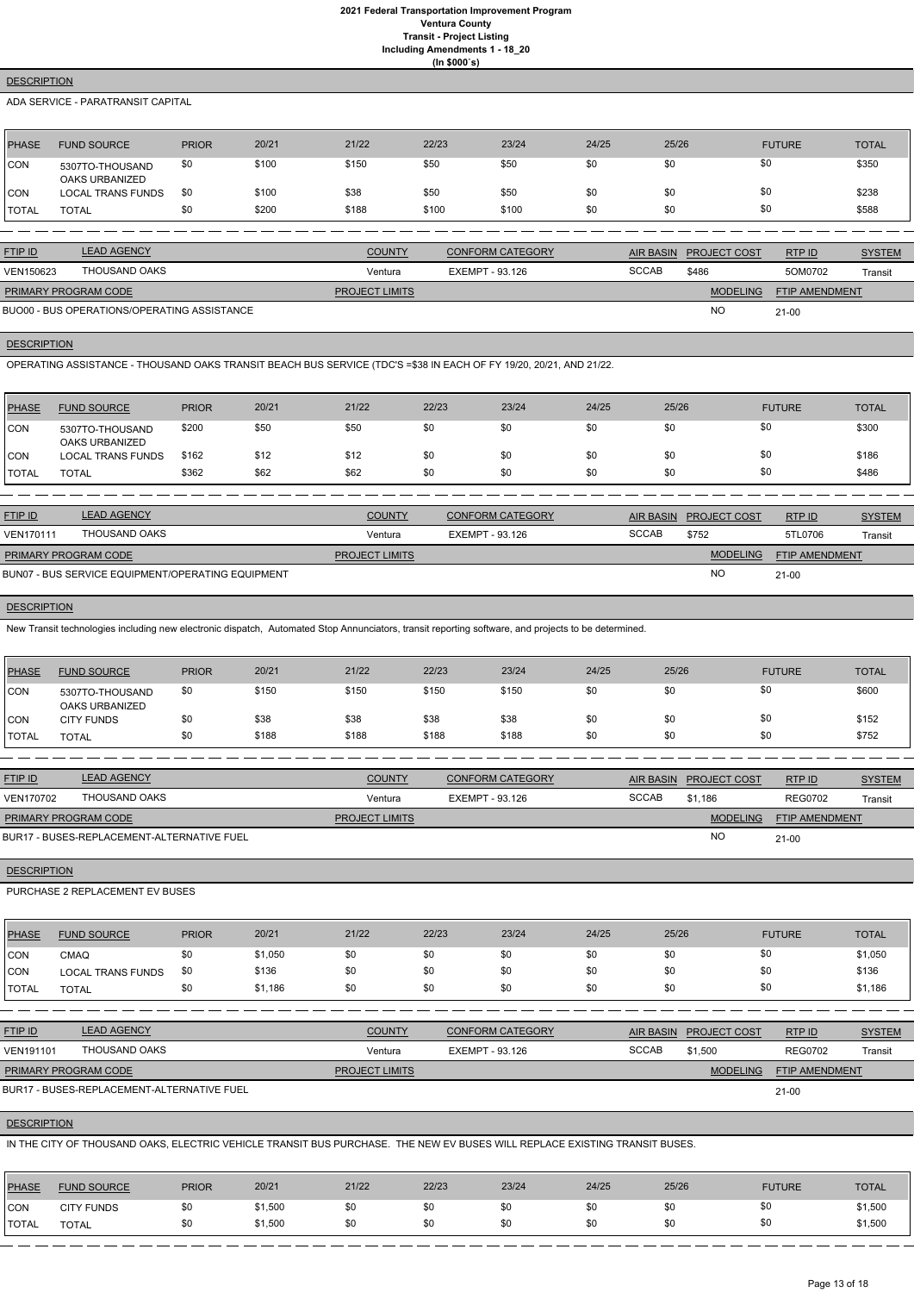## **DESCRIPTION**

ADA SERVICE - PARATRANSIT CAPITAL

| PHASE        | <b>FUND SOURCE</b>                | <b>PRIOR</b> | 20/21 | 21/22 | 22/23 | 23/24 | 24/25 | 25/26 | <b>FUTURE</b> | TOTAL |
|--------------|-----------------------------------|--------------|-------|-------|-------|-------|-------|-------|---------------|-------|
| <b>CON</b>   | 5307TO-THOUSAND<br>OAKS URBANIZED | \$0          | \$100 | \$150 | \$50  | \$50  | \$0   | \$0   | \$0           | \$350 |
| <b>CON</b>   | <b>LOCAL TRANS FUNDS</b>          | \$0          | \$100 | \$38  | \$50  | \$50  | \$0   | \$0   | \$0           | \$238 |
| <b>TOTAL</b> | <b>TOTAL</b>                      | \$0          | \$200 | \$188 | \$100 | \$100 | \$0   | \$0   | \$0           | \$588 |

| <b>FTIP ID</b>              | <b>LEAD AGENCY</b>                          | <b>COUNTY</b>         | <b>CONFORM CATEGORY</b> |              | AIR BASIN PROJECT COST | RTPID                 | <b>SYSTEM</b> |
|-----------------------------|---------------------------------------------|-----------------------|-------------------------|--------------|------------------------|-----------------------|---------------|
| VEN150623                   | THOUSAND OAKS                               | Ventura               | EXEMPT - 93.126         | <b>SCCAB</b> | \$486                  | 5OM0702               | Transit       |
| <b>PRIMARY PROGRAM CODE</b> |                                             | <b>PROJECT LIMITS</b> |                         |              | <b>MODELING</b>        | <b>FTIP AMENDMENT</b> |               |
|                             | BUO00 - BUS OPERATIONS/OPERATING ASSISTANCE |                       |                         |              | <b>NO</b>              | $21-00$               |               |

## BUO00 - BUS OPERATIONS/OPERATING ASSISTANCE

#### **DESCRIPTION**

OPERATING ASSISTANCE - THOUSAND OAKS TRANSIT BEACH BUS SERVICE (TDC'S =\$38 IN EACH OF FY 19/20, 20/21, AND 21/22.

| <b>PHASE</b> | <b>FUND SOURCE</b>                       | <b>PRIOR</b> | 20/21 | 21/22 | 22/23 | 23/24 | 24/25 | 25/26 | <b>FUTURE</b> | <b>TOTAL</b> |
|--------------|------------------------------------------|--------------|-------|-------|-------|-------|-------|-------|---------------|--------------|
| CON          | 5307TO-THOUSAND<br><b>OAKS URBANIZED</b> | \$200        | \$50  | \$50  | \$0   | \$0   | \$0   | \$0   | \$0           | \$300        |
| <b>ICON</b>  | <b>LOCAL TRANS FUNDS</b>                 | \$162        | \$12  | \$12  | \$0   | \$0   | \$0   | \$0   | \$0           | \$186        |
| TOTAL        | <b>TOTAL</b>                             | \$362        | \$62  | \$62  | \$0   | \$0   | \$0   | \$0   | \$0           | \$486        |

| <b>FTIP ID</b>              | <b>LEAD AGENCY</b>                                | <b>COUNTY</b>         | <b>CONFORM CATEGORY</b> | AIR BASIN    | <b>PROJECT COST</b> | RTP ID                | <b>SYSTEM</b> |
|-----------------------------|---------------------------------------------------|-----------------------|-------------------------|--------------|---------------------|-----------------------|---------------|
| <b>VEN170111</b>            | THOUSAND OAKS                                     | Ventura               | EXEMPT - 93.126         | <b>SCCAB</b> | \$752               | 5TL0706               | Transit       |
| <b>PRIMARY PROGRAM CODE</b> |                                                   | <b>PROJECT LIMITS</b> |                         |              | <b>MODELING</b>     | <b>FTIP AMENDMENT</b> |               |
|                             | BUN07 - BUS SERVICE EQUIPMENT/OPERATING EQUIPMENT |                       |                         |              | <b>NC</b>           | $21 - 00$             |               |

## **DESCRIPTION**

New Transit technologies including new electronic dispatch, Automated Stop Annunciators, transit reporting software, and projects to be determined.

| PHASE         | <b>FUND SOURCE</b>                       | <b>PRIOR</b> | 20/21 | 21/22 | 22/23 | 23/24 | 24/25 | 25/26 | <b>FUTURE</b> | <b>TOTAL</b> |
|---------------|------------------------------------------|--------------|-------|-------|-------|-------|-------|-------|---------------|--------------|
| CON           | 5307TO-THOUSAND<br><b>OAKS URBANIZED</b> | \$0          | \$150 | \$150 | \$150 | \$150 | \$0   | \$0   | \$0           | \$600        |
| CON           | <b>CITY FUNDS</b>                        | \$0          | \$38  | \$38  | \$38  | \$38  | \$0   | \$0   | \$0           | \$152        |
| <b>ITOTAL</b> | <b>TOTAL</b>                             | \$0          | \$188 | \$188 | \$188 | \$188 | \$0   | \$0   | \$0           | \$752        |

| <b>FTIP ID</b>              | <b>LEAD AGENCY</b>                         | <b>COUNTY</b>         | <b>CONFORM CATEGORY</b> |              | AIR BASIN PROJECT COST | RTPID                 | <b>SYSTEM</b> |
|-----------------------------|--------------------------------------------|-----------------------|-------------------------|--------------|------------------------|-----------------------|---------------|
| VEN170702                   | THOUSAND OAKS                              | Ventura               | EXEMPT - 93.126         | <b>SCCAB</b> | \$1.186                | <b>REG0702</b>        | Transit       |
| <b>PRIMARY PROGRAM CODE</b> |                                            | <b>PROJECT LIMITS</b> |                         |              | <b>MODELING</b>        | <b>FTIP AMENDMENT</b> |               |
|                             | BUR17 - BUSES-REPLACEMENT-ALTERNATIVE FUEL |                       |                         |              | <b>NC</b>              | $21 - 00$             |               |

## **DESCRIPTION**

PURCHASE 2 REPLACEMENT EV BUSES

| <b>PHASE</b> | <b>FUND SOURCE</b> | <b>PRIOR</b> | 20/21   | 21/22 | 22/23 | 23/24 | 24/25 | 25/26 | <b>FUTURE</b> | <b>TOTAL</b> |
|--------------|--------------------|--------------|---------|-------|-------|-------|-------|-------|---------------|--------------|
| <b>CON</b>   | CMAQ               | \$0          | \$1,050 | \$0   | \$0   |       |       |       |               | \$1,050      |
| CON          | LOCAL TRANS FUNDS  | \$0          | \$136   | \$0   | \$0   | \$0   |       |       |               | \$136        |

| <b>TOTAL</b>     | <b>TOTAL</b>                               | \$0 | \$1,186 | \$0                   | \$0 | \$0                     | \$0 | \$0              | \$0                 |                | \$1,186       |
|------------------|--------------------------------------------|-----|---------|-----------------------|-----|-------------------------|-----|------------------|---------------------|----------------|---------------|
|                  |                                            |     |         |                       |     |                         |     |                  |                     |                |               |
| <b>FTIP ID</b>   | <b>LEAD AGENCY</b>                         |     |         | <b>COUNTY</b>         |     | <b>CONFORM CATEGORY</b> |     | <b>AIR BASIN</b> | <b>PROJECT COST</b> | RTP ID         | <b>SYSTEM</b> |
| <b>VEN191101</b> | <b>THOUSAND OAKS</b>                       |     |         | Ventura               |     | EXEMPT - 93.126         |     | <b>SCCAB</b>     | \$1,500             | <b>REG0702</b> | Transit       |
|                  | PRIMARY PROGRAM CODE                       |     |         | <b>PROJECT LIMITS</b> |     |                         |     |                  | <b>MODELING</b>     | FTIP AMENDMENT |               |
|                  | BUR17 - BUSES-REPLACEMENT-ALTERNATIVE FUEL |     |         |                       |     |                         |     |                  |                     | $21-00$        |               |

## **DESCRIPTION**

IN THE CITY OF THOUSAND OAKS, ELECTRIC VEHICLE TRANSIT BUS PURCHASE. THE NEW EV BUSES WILL REPLACE EXISTING TRANSIT BUSES.

| <b>PHASE</b> | <b>FUND SOURCE</b> | <b>PRIOR</b> | 20/21   | 21/22 | 22/23 | 23/24 | 24/25 | 25/26 | <b>FUTURE</b> | <b>TOTAL</b> |
|--------------|--------------------|--------------|---------|-------|-------|-------|-------|-------|---------------|--------------|
| <b>CON</b>   | <b>CITY FUNDS</b>  |              | \$1,500 | \$0   | \$0   | \$Ο   | \$0   | \$0   | \$0           | \$1,500      |
| <b>TOTAL</b> | <b>TOTAL</b>       |              | \$1,500 | \$0   | \$0   | \$0   | \$0   | \$0   | \$0           | \$1,500      |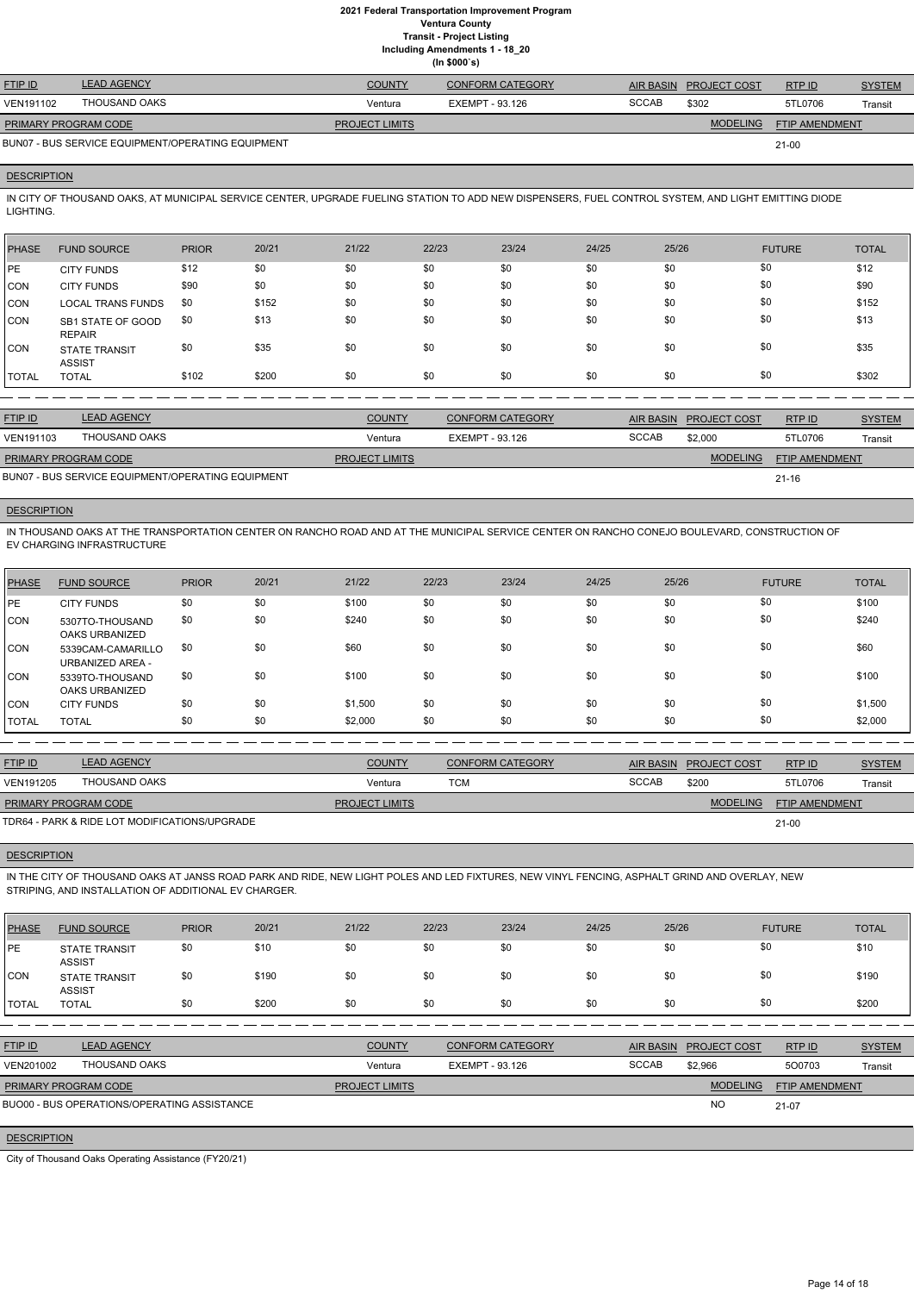**Including Amendments 1 - 18\_20**

|  | g ,          |  |
|--|--------------|--|
|  | (ln \$000's) |  |

| <b>FTIP ID</b>              | <b>LEAD AGENCY</b>                                | <b>COUNTY</b>         | <b>CONFORM CATEGORY</b> | AIR BASIN    | <b>PROJECT COST</b> | RTP ID                | <b>SYSTEM</b> |
|-----------------------------|---------------------------------------------------|-----------------------|-------------------------|--------------|---------------------|-----------------------|---------------|
| <b>VEN191102</b>            | THOUSAND OAKS                                     | Ventura               | EXEMPT - 93.126         | <b>SCCAB</b> | \$302               | 5TL0706               | Transit       |
| <b>PRIMARY PROGRAM CODE</b> |                                                   | <b>PROJECT LIMITS</b> |                         |              | <b>MODELING</b>     | <b>FTIP AMENDMENT</b> |               |
|                             | BUN07 - BUS SERVICE EQUIPMENT/OPERATING EQUIPMENT |                       |                         |              |                     | $21 - 00$             |               |

#### **DESCRIPTION**

IN CITY OF THOUSAND OAKS, AT MUNICIPAL SERVICE CENTER, UPGRADE FUELING STATION TO ADD NEW DISPENSERS, FUEL CONTROL SYSTEM, AND LIGHT EMITTING DIODE LIGHTING.

| <b>PHASE</b> | <b>FUND SOURCE</b>                    | <b>PRIOR</b> | 20/21 | 21/22 | 22/23 | 23/24 | 24/25 | 25/26 | <b>FUTURE</b> | <b>TOTAL</b> |
|--------------|---------------------------------------|--------------|-------|-------|-------|-------|-------|-------|---------------|--------------|
| <b>IPE</b>   | <b>CITY FUNDS</b>                     | \$12         | \$0   | \$0   | \$0   | \$0   | \$0   | \$0   | \$0           | \$12         |
| <b>CON</b>   | <b>CITY FUNDS</b>                     | \$90         | \$0   | \$0   | \$0   | \$0   | \$0   | \$0   | \$0           | \$90         |
| CON          | <b>LOCAL TRANS FUNDS</b>              | \$0          | \$152 | \$0   | \$0   | \$0   | \$0   | \$0   | \$0           | \$152        |
| <b>CON</b>   | SB1 STATE OF GOOD<br><b>REPAIR</b>    | \$0          | \$13  | \$0   | \$0   | \$0   | \$0   | \$0   | \$0           | \$13         |
| <b>ICON</b>  | <b>STATE TRANSIT</b><br><b>ASSIST</b> | \$0          | \$35  | \$0   | \$0   | \$0   | \$0   | \$0   | \$0           | \$35         |
| <b>TOTAL</b> | <b>TOTAL</b>                          | \$102        | \$200 | \$0   | \$0   | \$0   | \$0   | \$0   | \$0           | \$302        |

| <b>FTIP ID</b>              | <b>LEAD AGENCY</b>                                | <b>COUNTY</b>         | <b>CONFORM CATEGORY</b> |              | AIR BASIN PROJECT COST | RTPID                 | <b>SYSTEM</b> |
|-----------------------------|---------------------------------------------------|-----------------------|-------------------------|--------------|------------------------|-----------------------|---------------|
| VEN191103                   | THOUSAND OAKS                                     | Ventura               | EXEMPT - 93.126         | <b>SCCAB</b> | \$2,000                | 5TL0706               | Transit       |
| <b>PRIMARY PROGRAM CODE</b> |                                                   | <b>PROJECT LIMITS</b> |                         |              | <b>MODELING</b>        | <b>FTIP AMENDMENT</b> |               |
|                             | BUN07 - BUS SERVICE EQUIPMENT/OPERATING EQUIPMENT |                       |                         |              |                        | $21 - 16$             |               |

#### **DESCRIPTION**

IN THOUSAND OAKS AT THE TRANSPORTATION CENTER ON RANCHO ROAD AND AT THE MUNICIPAL SERVICE CENTER ON RANCHO CONEJO BOULEVARD, CONSTRUCTION OF EV CHARGING INFRASTRUCTURE

| <b>PHASE</b> | <b>FUND SOURCE</b>                           | <b>PRIOR</b> | 20/21 | 21/22   | 22/23 | 23/24 | 24/25 | 25/26 | <b>FUTURE</b> | <b>TOTAL</b> |
|--------------|----------------------------------------------|--------------|-------|---------|-------|-------|-------|-------|---------------|--------------|
| PE           | <b>CITY FUNDS</b>                            | \$0          | \$0   | \$100   | \$0   | \$0   | \$0   | \$0   | \$0           | \$100        |
| CON          | 5307TO-THOUSAND<br>OAKS URBANIZED            | \$0          | \$0   | \$240   | \$0   | \$0   | \$0   | \$0   | \$0           | \$240        |
| <b>CON</b>   | 5339CAM-CAMARILLO<br><b>URBANIZED AREA -</b> | \$0          | \$0   | \$60    | \$0   | \$0   | \$0   | \$0   | \$0           | \$60         |
| CON          | 5339TO-THOUSAND<br>OAKS URBANIZED            | \$0          | \$0   | \$100   | \$0   | \$0   | \$0   | \$0   | \$0           | \$100        |
| CON          | <b>CITY FUNDS</b>                            | \$0          | \$0   | \$1,500 | \$0   | \$0   | \$0   | \$0   | \$0           | \$1,500      |
| <b>TOTAL</b> | <b>TOTAL</b>                                 | \$0          | \$0   | \$2,000 | \$0   | \$0   | \$0   | \$0   | \$0           | \$2,000      |

| <b>FTIP ID</b>       | <b>LEAD AGENCY</b>                            | <b>COUNTY</b>         | <b>CONFORM CATEGORY</b> |              | AIR BASIN PROJECT COST | RTPID                 | <b>SYSTEM</b> |
|----------------------|-----------------------------------------------|-----------------------|-------------------------|--------------|------------------------|-----------------------|---------------|
| VEN191205            | THOUSAND OAKS                                 | Ventura               | TCM                     | <b>SCCAB</b> | \$200                  | 5TL0706               | Transit       |
| PRIMARY PROGRAM CODE |                                               | <b>PROJECT LIMITS</b> |                         |              | <b>MODELING</b>        | <b>FTIP AMENDMENT</b> |               |
|                      | TDR64 - PARK & RIDE LOT MODIFICATIONS/UPGRADE |                       |                         |              |                        | $21 - 00$             |               |

#### **DESCRIPTION**

IN THE CITY OF THOUSAND OAKS AT JANSS ROAD PARK AND RIDE, NEW LIGHT POLES AND LED FIXTURES, NEW VINYL FENCING, ASPHALT GRIND AND OVERLAY, NEW STRIPING, AND INSTALLATION OF ADDITIONAL EV CHARGER.

| <b>PHASE</b>       | <b>FUND SOURCE</b>                                 | <b>PRIOR</b> | 20/21 | 21/22                 | 22/23           | 23/24                   | 24/25            | 25/26               | <b>FUTURE</b>  | <b>TOTAL</b>  |
|--------------------|----------------------------------------------------|--------------|-------|-----------------------|-----------------|-------------------------|------------------|---------------------|----------------|---------------|
| <b>IPE</b>         | <b>STATE TRANSIT</b><br><b>ASSIST</b>              | \$0          | \$10  | \$0                   | \$0             | \$0                     | \$0              | \$0                 | \$0            | \$10          |
| CON                | <b>STATE TRANSIT</b><br><b>ASSIST</b>              | \$0          | \$190 | \$0                   | \$0             | \$0                     | \$0              | \$0                 | \$0            | \$190         |
| <b>TOTAL</b>       | <b>TOTAL</b>                                       | \$0          | \$200 | \$0                   | \$0             | \$0                     | \$0              | \$0                 | \$0            | \$200         |
|                    |                                                    |              |       |                       |                 |                         |                  |                     |                |               |
| FTIP ID            | <b>LEAD AGENCY</b>                                 |              |       | <b>COUNTY</b>         |                 | <b>CONFORM CATEGORY</b> | <b>AIR BASIN</b> | <b>PROJECT COST</b> | RTP ID         | <b>SYSTEM</b> |
| VEN201002          | <b>THOUSAND OAKS</b>                               |              |       | Ventura               | EXEMPT - 93.126 |                         | <b>SCCAB</b>     | \$2,966             | 500703         | Transit       |
|                    | PRIMARY PROGRAM CODE                               |              |       | <b>PROJECT LIMITS</b> |                 |                         |                  | <b>MODELING</b>     | FTIP AMENDMENT |               |
|                    | <b>BUO00 - BUS OPERATIONS/OPERATING ASSISTANCE</b> |              |       |                       |                 |                         |                  | <b>NO</b>           | 21-07          |               |
| <b>DESCRIPTION</b> |                                                    |              |       |                       |                 |                         |                  |                     |                |               |

City of Thousand Oaks Operating Assistance (FY20/21)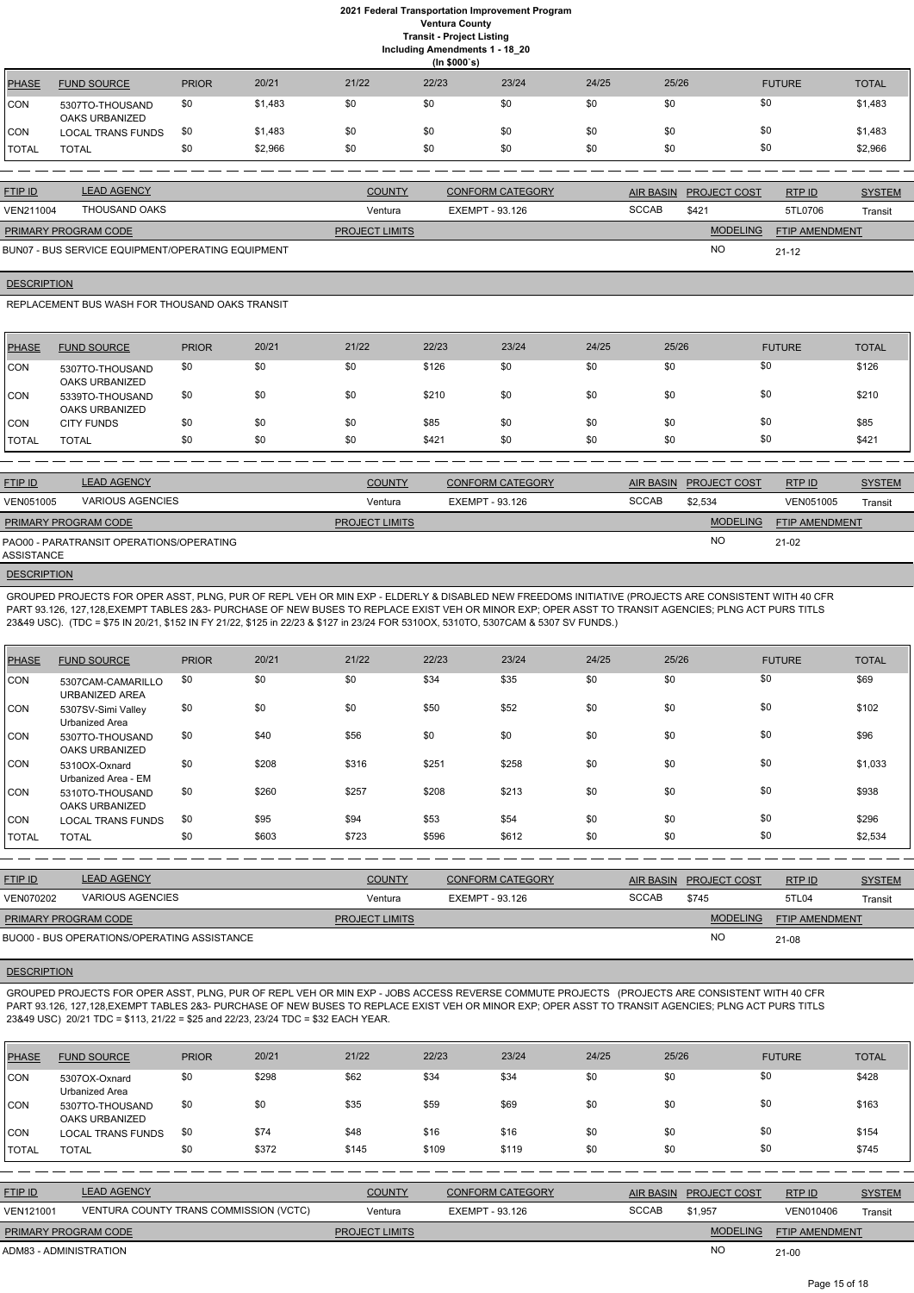**Including Amendments 1 - 18\_20**

|              | $\tilde{\phantom{a}}$<br>$\overline{\phantom{0}}$<br>(ln \$000's) |              |         |       |       |       |       |       |               |              |
|--------------|-------------------------------------------------------------------|--------------|---------|-------|-------|-------|-------|-------|---------------|--------------|
| <b>PHASE</b> | <b>FUND SOURCE</b>                                                | <b>PRIOR</b> | 20/21   | 21/22 | 22/23 | 23/24 | 24/25 | 25/26 | <b>FUTURE</b> | <b>TOTAL</b> |
| CON          | 5307TO-THOUSAND<br>OAKS URBANIZED                                 | \$0          | \$1,483 | \$0   | \$0   | \$0   | \$0   | \$0   | \$0           | \$1,483      |
| CON          | LOCAL TRANS FUNDS                                                 | \$0          | \$1,483 | \$0   | \$0   | \$0   | \$0   | \$0   | \$0           | \$1,483      |
| TOTAL        | <b>TOTAL</b>                                                      | \$0          | \$2,966 | \$0   | \$0   | \$0   | \$0   | \$0   | \$0           | \$2,966      |

| <b>FTIP ID</b>              | <b>LEAD AGENCY</b>                                | <b>COUNTY</b>         | <b>CONFORM CATEGORY</b> |              | AIR BASIN PROJECT COST | RTPID                 | <b>SYSTEM</b> |
|-----------------------------|---------------------------------------------------|-----------------------|-------------------------|--------------|------------------------|-----------------------|---------------|
| VEN211004                   | THOUSAND OAKS                                     | Ventura               | EXEMPT - 93.126         | <b>SCCAB</b> | \$421                  | 5TL0706               | Transit       |
| <b>PRIMARY PROGRAM CODE</b> |                                                   | <b>PROJECT LIMITS</b> |                         |              | <b>MODELING</b>        | <b>FTIP AMENDMENT</b> |               |
|                             | BUN07 - BUS SERVICE EQUIPMENT/OPERATING EQUIPMENT |                       |                         |              | <b>NO</b>              | $21 - 12$             |               |

#### **DESCRIPTION**

REPLACEMENT BUS WASH FOR THOUSAND OAKS TRANSIT

| PHASE         | <b>FUND SOURCE</b>                       | <b>PRIOR</b> | 20/21 | 21/22 | 22/23 | 23/24 | 24/25 | 25/26 | <b>FUTURE</b> | <b>TOTAL</b> |
|---------------|------------------------------------------|--------------|-------|-------|-------|-------|-------|-------|---------------|--------------|
| <b>CON</b>    | 5307TO-THOUSAND<br><b>OAKS URBANIZED</b> | \$0          | \$0   | \$0   | \$126 | \$0   | \$0   | \$0   | \$0           | \$126        |
| <b>CON</b>    | 5339TO-THOUSAND<br><b>OAKS URBANIZED</b> | \$0          | \$0   | \$0   | \$210 | \$0   | \$0   | \$0   | \$0           | \$210        |
| <b>CON</b>    | <b>CITY FUNDS</b>                        | \$0          | \$0   | \$0   | \$85  | \$0   | \$0   | \$0   | \$0           | \$85         |
| <b>ITOTAL</b> | TOTAL                                    | \$0          | \$0   | \$0   | \$421 | \$0   | \$0   | \$0   | \$0           | \$421        |

| <b>FTIP ID</b>              | <b>LEAD AGENCY</b>                       | <b>COUNTY</b>         | <b>CONFORM CATEGORY</b> | AIR BASIN    | <b>PROJECT COST</b> | RTP ID                | <b>SYSTEM</b> |
|-----------------------------|------------------------------------------|-----------------------|-------------------------|--------------|---------------------|-----------------------|---------------|
| <b>VEN051005</b>            | <b>VARIOUS AGENCIES</b>                  | Ventura               | EXEMPT - 93.126         | <b>SCCAB</b> | \$2.534             | VEN051005             | Transit       |
| <b>PRIMARY PROGRAM CODE</b> |                                          | <b>PROJECT LIMITS</b> |                         |              | <b>MODELING</b>     | <b>FTIP AMENDMENT</b> |               |
| ASSISTANCE                  | PAO00 - PARATRANSIT OPERATIONS/OPERATING |                       |                         |              | <b>NO</b>           | 21-02                 |               |

#### **DESCRIPTION**

GROUPED PROJECTS FOR OPER ASST, PLNG, PUR OF REPL VEH OR MIN EXP - ELDERLY & DISABLED NEW FREEDOMS INITIATIVE (PROJECTS ARE CONSISTENT WITH 40 CFR PART 93.126, 127,128,EXEMPT TABLES 2&3- PURCHASE OF NEW BUSES TO REPLACE EXIST VEH OR MINOR EXP; OPER ASST TO TRANSIT AGENCIES; PLNG ACT PURS TITLS 23&49 USC). (TDC = \$75 IN 20/21, \$152 IN FY 21/22, \$125 in 22/23 & \$127 in 23/24 FOR 5310OX, 5310TO, 5307CAM & 5307 SV FUNDS.)

| <b>PHASE</b> | <b>FUND SOURCE</b>                       | <b>PRIOR</b> | 20/21 | 21/22 | 22/23 | 23/24 | 24/25 | 25/26 | <b>FUTURE</b> | <b>TOTAL</b> |
|--------------|------------------------------------------|--------------|-------|-------|-------|-------|-------|-------|---------------|--------------|
| CON          | 5307CAM-CAMARILLO<br>URBANIZED AREA      | \$0          | \$0   | \$0   | \$34  | \$35  | \$0   | \$0   | \$0           | \$69         |
| CON          | 5307SV-Simi Valley<br>Urbanized Area     | \$0          | \$0   | \$0   | \$50  | \$52  | \$0   | \$0   | \$0           | \$102        |
| CON          | 5307TO-THOUSAND<br><b>OAKS URBANIZED</b> | \$0          | \$40  | \$56  | \$0   | \$0   | \$0   | \$0   | \$0           | \$96         |
| CON          | 5310OX-Oxnard<br>Urbanized Area - EM     | \$0          | \$208 | \$316 | \$251 | \$258 | \$0   | \$0   | \$0           | \$1,033      |
| CON          | 5310TO-THOUSAND<br><b>OAKS URBANIZED</b> | \$0          | \$260 | \$257 | \$208 | \$213 | \$0   | \$0   | \$0           | \$938        |
| <b>CON</b>   | <b>LOCAL TRANS FUNDS</b>                 | \$0          | \$95  | \$94  | \$53  | \$54  | \$0   | \$0   | \$0           | \$296        |
| <b>TOTAL</b> | <b>TOTAL</b>                             | \$0          | \$603 | \$723 | \$596 | \$612 | \$0   | \$0   | \$0           | \$2,534      |

| <b>FTIP ID</b>              | <b>LEAD AGENCY</b>                          | <b>COUNTY</b>         | <b>CONFORM CATEGORY</b> |       | AIR BASIN PROJECT COST | RTP ID                | <b>SYSTEM</b> |
|-----------------------------|---------------------------------------------|-----------------------|-------------------------|-------|------------------------|-----------------------|---------------|
| <b>VEN070202</b>            | VARIOUS AGENCIES                            | Ventura               | EXEMPT - 93.126         | SCCAB | \$745                  | 5TL04                 | Transit       |
| <b>PRIMARY PROGRAM CODE</b> |                                             | <b>PROJECT LIMITS</b> |                         |       | <b>MODELING</b>        | <b>FTIP AMENDMENT</b> |               |
|                             | BUO00 - BUS OPERATIONS/OPERATING ASSISTANCE |                       |                         |       | <b>NC</b>              | $21 - 08$             |               |

GROUPED PROJECTS FOR OPER ASST, PLNG, PUR OF REPL VEH OR MIN EXP - JOBS ACCESS REVERSE COMMUTE PROJECTS (PROJECTS ARE CONSISTENT WITH 40 CFR PART 93.126, 127,128,EXEMPT TABLES 2&3- PURCHASE OF NEW BUSES TO REPLACE EXIST VEH OR MINOR EXP; OPER ASST TO TRANSIT AGENCIES; PLNG ACT PURS TITLS 23&49 USC) 20/21 TDC = \$113, 21/22 = \$25 and 22/23, 23/24 TDC = \$32 EACH YEAR.

| <b>PHASE</b> | <b>FUND SOURCE</b>                       | <b>PRIOR</b> | 20/21 | 21/22 | 22/23 | 23/24 | 24/25 | 25/26 | <b>FUTURE</b> | <b>TOTAL</b> |
|--------------|------------------------------------------|--------------|-------|-------|-------|-------|-------|-------|---------------|--------------|
| CON          | 5307OX-Oxnard<br>Urbanized Area          | \$0          | \$298 | \$62  | \$34  | \$34  | \$0   | \$0   | \$0           | \$428        |
| <b>ICON</b>  | 5307TO-THOUSAND<br><b>OAKS URBANIZED</b> | \$0          | \$0   | \$35  | \$59  | \$69  | \$0   | \$0   | \$0           | \$163        |
| <b>ICON</b>  | <b>LOCAL TRANS FUNDS</b>                 | \$0          | \$74  | \$48  | \$16  | \$16  | \$0   | \$0   | \$0           | \$154        |
| TOTAL        | <b>TOTAL</b>                             | \$0          | \$372 | \$145 | \$109 | \$119 | \$0   | \$0   | \$0           | \$745        |

| <b>FTIP ID</b>              | <b>LEAD AGENCY</b>                     | <b>COUNTY</b>         | <b>CONFORM CATEGORY</b> |              | AIR BASIN PROJECT COST | RTP ID                | <b>SYSTEM</b> |
|-----------------------------|----------------------------------------|-----------------------|-------------------------|--------------|------------------------|-----------------------|---------------|
| <b>VEN121001</b>            | VENTURA COUNTY TRANS COMMISSION (VCTC) | Ventura               | EXEMPT - 93.126         | <b>SCCAB</b> | \$1.957                | VEN010406             | Transit       |
| <b>PRIMARY PROGRAM CODE</b> |                                        | <b>PROJECT LIMITS</b> |                         |              | <b>MODELING</b>        | <b>FTIP AMENDMENT</b> |               |
| ADM83 - ADMINISTRATION      |                                        |                       |                         |              | <b>NC</b>              | $21-00$               |               |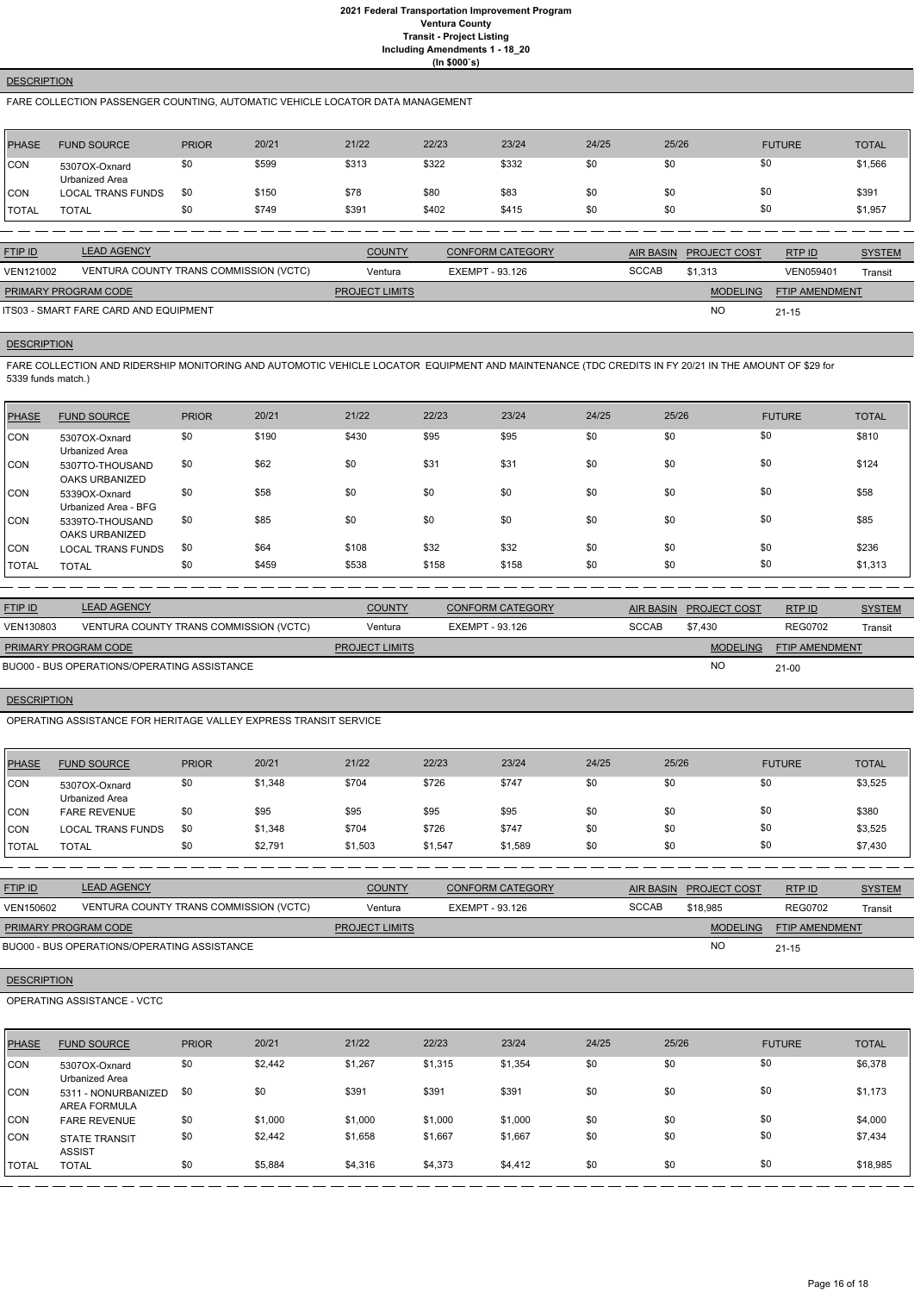## **DESCRIPTION**

FARE COLLECTION PASSENGER COUNTING, AUTOMATIC VEHICLE LOCATOR DATA MANAGEMENT

| PHASE        | <b>FUND SOURCE</b>              | <b>PRIOR</b> | 20/21 | 21/22 | 22/23 | 23/24 | 24/25 | 25/26 | <b>FUTURE</b> | <b>TOTAL</b> |
|--------------|---------------------------------|--------------|-------|-------|-------|-------|-------|-------|---------------|--------------|
| <b>CON</b>   | 5307OX-Oxnard<br>Urbanized Area | \$0          | \$599 | \$313 | \$322 | \$332 | \$0   | \$0   | \$0           | \$1,566      |
| <b>CON</b>   | <b>LOCAL TRANS FUNDS</b>        | \$0          | \$150 | \$78  | \$80  | \$83  | \$0   | \$0   | \$0           | \$391        |
| <b>TOTAL</b> | <b>TOTAL</b>                    | \$0          | \$749 | \$391 | \$402 | \$415 | \$0   | \$0   | \$0           | \$1,957      |

| <b>FTIP ID</b>              | <b>LEAD AGENCY</b>                     | <b>COUNTY</b>         | <b>CONFORM CATEGORY</b> |              | AIR BASIN PROJECT COST | RTPID                 | <b>SYSTEM</b> |
|-----------------------------|----------------------------------------|-----------------------|-------------------------|--------------|------------------------|-----------------------|---------------|
| VEN121002                   | VENTURA COUNTY TRANS COMMISSION (VCTC) | Ventura               | EXEMPT - 93.126         | <b>SCCAB</b> | \$1.313                | VEN059401             | Transit       |
| <b>PRIMARY PROGRAM CODE</b> |                                        | <b>PROJECT LIMITS</b> |                         |              | <b>MODELING</b>        | <b>FTIP AMENDMENT</b> |               |
|                             | ITS03 - SMART FARE CARD AND EQUIPMENT  |                       |                         |              | <b>NO</b>              | $21 - 15$             |               |

## **DESCRIPTION**

FARE COLLECTION AND RIDERSHIP MONITORING AND AUTOMOTIC VEHICLE LOCATOR EQUIPMENT AND MAINTENANCE (TDC CREDITS IN FY 20/21 IN THE AMOUNT OF \$29 for 5339 funds match.)

| PHASE        | <b>FUND SOURCE</b>                       | <b>PRIOR</b> | 20/21 | 21/22 | 22/23 | 23/24 | 24/25 | 25/26 | <b>FUTURE</b> | <b>TOTAL</b> |
|--------------|------------------------------------------|--------------|-------|-------|-------|-------|-------|-------|---------------|--------------|
| <b>CON</b>   | 5307OX-Oxnard<br>Urbanized Area          | \$0          | \$190 | \$430 | \$95  | \$95  | \$0   | \$0   | \$0           | \$810        |
| CON          | 5307TO-THOUSAND<br><b>OAKS URBANIZED</b> | \$0          | \$62  | \$0   | \$31  | \$31  | \$0   | \$0   | \$0           | \$124        |
| CON          | 5339OX-Oxnard<br>Urbanized Area - BFG    | \$0          | \$58  | \$0   | \$0   | \$0   | \$0   | \$0   | \$0           | \$58         |
| CON          | 5339TO-THOUSAND<br><b>OAKS URBANIZED</b> | \$0          | \$85  | \$0   | \$0   | \$0   | \$0   | \$0   | \$0           | \$85         |
| <b>CON</b>   | <b>LOCAL TRANS FUNDS</b>                 | \$0          | \$64  | \$108 | \$32  | \$32  | \$0   | \$0   | \$0           | \$236        |
| <b>TOTAL</b> | <b>TOTAL</b>                             | \$0          | \$459 | \$538 | \$158 | \$158 | \$0   | \$0   | \$0           | \$1,313      |

| <b>FTIP ID</b>              | <b>LEAD AGENCY</b>                          | <b>COUNTY</b>         | <b>CONFORM CATEGORY</b> | AIR BASIN    | <b>PROJECT COST</b> | RTP ID                | <b>SYSTEM</b> |
|-----------------------------|---------------------------------------------|-----------------------|-------------------------|--------------|---------------------|-----------------------|---------------|
| VEN130803                   | VENTURA COUNTY TRANS COMMISSION (VCTC)      | Ventura               | EXEMPT - 93.126         | <b>SCCAB</b> | \$7.430             | <b>REG0702</b>        | Transit       |
| <b>PRIMARY PROGRAM CODE</b> |                                             | <b>PROJECT LIMITS</b> |                         |              | <b>MODELING</b>     | <b>FTIP AMENDMENT</b> |               |
|                             | BUO00 - BUS OPERATIONS/OPERATING ASSISTANCE |                       |                         |              | NO                  | $21 - 00$             |               |

#### **DESCRIPTION**

OPERATING ASSISTANCE FOR HERITAGE VALLEY EXPRESS TRANSIT SERVICE

| <b>PHASE</b> | <b>FUND SOURCE</b>              | <b>PRIOR</b> | 20/21   | 21/22   | 22/23   | 23/24   | 24/25 | 25/26 | <b>FUTURE</b> | <b>TOTAL</b> |
|--------------|---------------------------------|--------------|---------|---------|---------|---------|-------|-------|---------------|--------------|
| <b>CON</b>   | 5307OX-Oxnard<br>Urbanized Area | \$0          | \$1,348 | \$704   | \$726   | \$747   | \$0   | \$0   | \$0           | \$3,525      |
| <b>CON</b>   | <b>FARE REVENUE</b>             | \$0          | \$95    | \$95    | \$95    | \$95    | \$0   | \$0   | \$0           | \$380        |
| <b>CON</b>   | <b>LOCAL TRANS FUNDS</b>        | \$0          | \$1,348 | \$704   | \$726   | \$747   | \$0   | \$0   | \$0           | \$3,525      |
| <b>TOTAL</b> | <b>TOTAL</b>                    | \$0          | \$2,791 | \$1,503 | \$1,547 | \$1,589 | \$0   | \$0   | \$0           | \$7,430      |

| <b>FTIP ID</b>              | <b>LEAD AGENCY</b>                          | <b>COUNTY</b>         | <b>CONFORM CATEGORY</b> |              | AIR BASIN PROJECT COST | RTPID                 | <b>SYSTEM</b> |
|-----------------------------|---------------------------------------------|-----------------------|-------------------------|--------------|------------------------|-----------------------|---------------|
| VEN150602                   | VENTURA COUNTY TRANS COMMISSION (VCTC)      | Ventura               | EXEMPT - 93.126         | <b>SCCAB</b> | \$18,985               | <b>REG0702</b>        | Transit       |
| <b>PRIMARY PROGRAM CODE</b> |                                             | <b>PROJECT LIMITS</b> |                         |              | <b>MODELING</b>        | <b>FTIP AMENDMENT</b> |               |
|                             | BUO00 - BUS OPERATIONS/OPERATING ASSISTANCE |                       |                         |              | <b>NC</b>              | $21 - 15$             |               |

#### **DESCRIPTION**

#### OPERATING ASSISTANCE - VCTC

| PHASE        | <b>FUND SOURCE</b>                    | <b>PRIOR</b> | 20/21   | 21/22   | 22/23   | 23/24   | 24/25 | 25/26 | <b>FUTURE</b> | <b>TOTAL</b> |
|--------------|---------------------------------------|--------------|---------|---------|---------|---------|-------|-------|---------------|--------------|
| <b>CON</b>   | 5307OX-Oxnard<br>Urbanized Area       | \$0          | \$2,442 | \$1,267 | \$1,315 | \$1,354 | \$0   | \$0   | \$0           | \$6,378      |
| CON          | 5311 - NONURBANIZED<br>AREA FORMULA   | \$0          | \$0     | \$391   | \$391   | \$391   | \$0   | \$0   | \$0           | \$1,173      |
| <b>CON</b>   | <b>FARE REVENUE</b>                   | \$0          | \$1,000 | \$1,000 | \$1,000 | \$1,000 | \$0   | \$0   | \$0           | \$4,000      |
| <b>CON</b>   | <b>STATE TRANSIT</b><br><b>ASSIST</b> | \$0          | \$2,442 | \$1,658 | \$1,667 | \$1,667 | \$0   | \$0   | \$0           | \$7,434      |
| <b>TOTAL</b> | <b>TOTAL</b>                          | \$0          | \$5,884 | \$4,316 | \$4,373 | \$4,412 | \$0   | \$0   | \$0           | \$18,985     |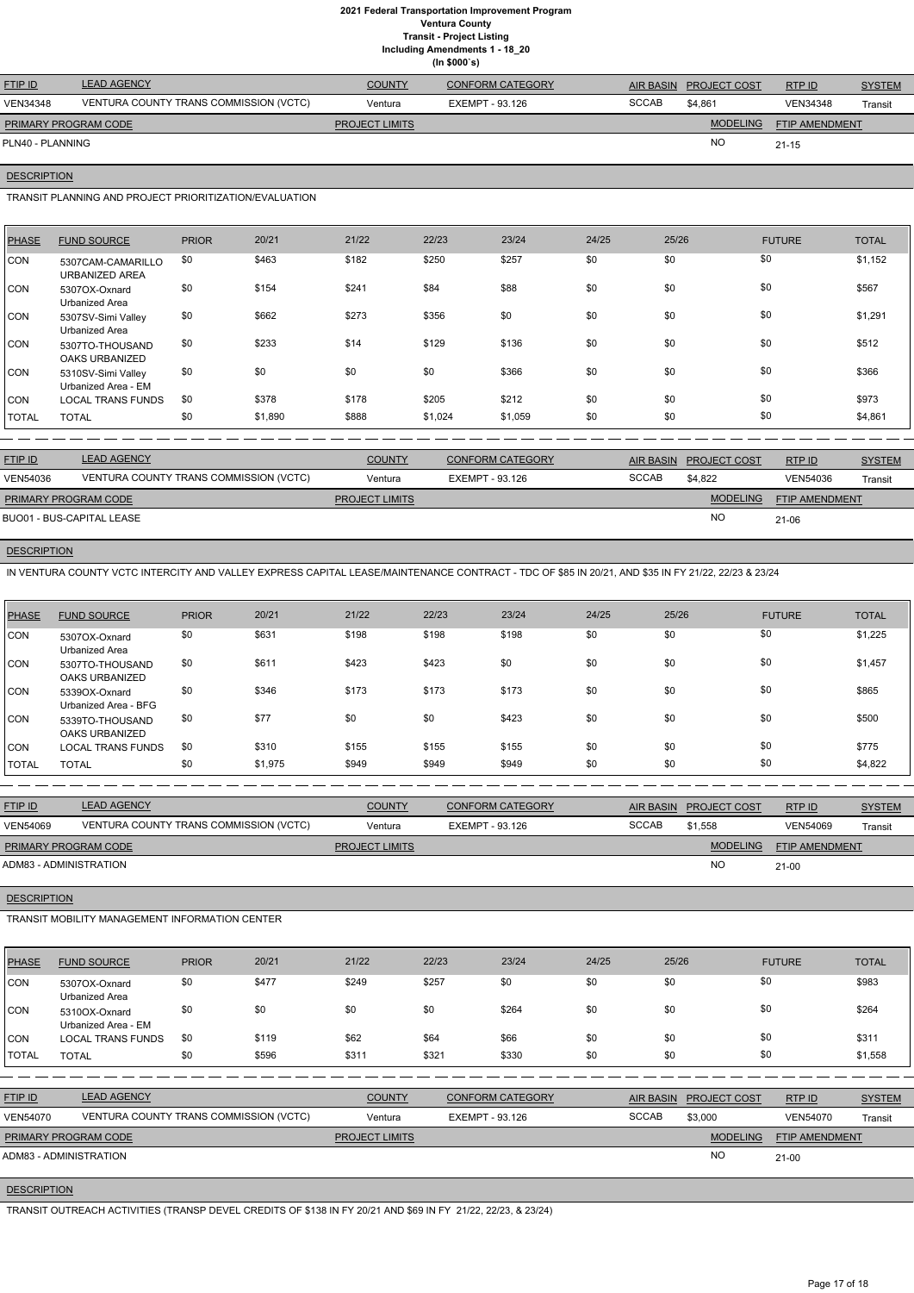**Including Amendments 1 - 18\_20 (In \$000`s)**

| <b>LEAD AGENCY</b>                     | <b>COUNTY</b>         | <b>CONFORM CATEGORY</b> |                                |                 | RTP ID                 | <b>SYSTEM</b>  |
|----------------------------------------|-----------------------|-------------------------|--------------------------------|-----------------|------------------------|----------------|
| VENTURA COUNTY TRANS COMMISSION (VCTC) | Ventura               | EXEMPT - 93.126         | <b>SCCAB</b>                   | \$4,861         | <b>VEN34348</b>        | Transit        |
| <b>PRIMARY PROGRAM CODE</b>            | <b>PROJECT LIMITS</b> |                         |                                | <b>MODELING</b> |                        |                |
| PLN40 - PLANNING                       |                       |                         |                                | <b>NO</b>       | $21 - 15$              |                |
|                                        |                       |                         | $\cdots$ , $\cdots$ , $\cdots$ |                 | AIR BASIN PROJECT COST | FTIP AMENDMENT |

#### **DESCRIPTION**

TRANSIT PLANNING AND PROJECT PRIORITIZATION/EVALUATION

| <b>PHASE</b> | <b>FUND SOURCE</b>                        | <b>PRIOR</b> | 20/21   | 21/22 | 22/23   | 23/24   | 24/25 | 25/26 | <b>FUTURE</b> | <b>TOTAL</b> |
|--------------|-------------------------------------------|--------------|---------|-------|---------|---------|-------|-------|---------------|--------------|
| <b>CON</b>   | 5307CAM-CAMARILLO<br>URBANIZED AREA       | \$0          | \$463   | \$182 | \$250   | \$257   | \$0   | \$0   | \$0           | \$1,152      |
| CON          | 5307OX-Oxnard<br>Urbanized Area           | \$0          | \$154   | \$241 | \$84    | \$88    | \$0   | \$0   | \$0           | \$567        |
| CON          | 5307SV-Simi Valley<br>Urbanized Area      | \$0          | \$662   | \$273 | \$356   | \$0     | \$0   | \$0   | \$0           | \$1,291      |
| <b>CON</b>   | 5307TO-THOUSAND<br>OAKS URBANIZED         | \$0          | \$233   | \$14  | \$129   | \$136   | \$0   | \$0   | \$0           | \$512        |
| <b>CON</b>   | 5310SV-Simi Valley<br>Urbanized Area - EM | \$0          | \$0     | \$0   | \$0     | \$366   | \$0   | \$0   | \$0           | \$366        |
| CON          | <b>LOCAL TRANS FUNDS</b>                  | \$0          | \$378   | \$178 | \$205   | \$212   | \$0   | \$0   | \$0           | \$973        |
| <b>TOTAL</b> | <b>TOTAL</b>                              | \$0          | \$1,890 | \$888 | \$1,024 | \$1,059 | \$0   | \$0   | \$0           | \$4,861      |

| <b>FTIP ID</b>            | <b>LEAD AGENCY</b>                     | <b>COUNTY</b>         | <b>CONFORM CATEGORY</b> |              | AIR BASIN PROJECT COST | <b>RTP ID</b>         | <b>SYSTEM</b> |
|---------------------------|----------------------------------------|-----------------------|-------------------------|--------------|------------------------|-----------------------|---------------|
| <b>VEN54036</b>           | VENTURA COUNTY TRANS COMMISSION (VCTC) | Ventura               | EXEMPT - 93.126         | <b>SCCAB</b> | \$4.822                | VEN54036              | Transit       |
| PRIMARY PROGRAM CODE      |                                        | <b>PROJECT LIMITS</b> |                         |              | <b>MODELING</b>        | <b>FTIP AMENDMENT</b> |               |
| BUO01 - BUS-CAPITAL LEASE |                                        |                       |                         |              | <b>NO</b>              | 21-06                 |               |

## **DESCRIPTION**

IN VENTURA COUNTY VCTC INTERCITY AND VALLEY EXPRESS CAPITAL LEASE/MAINTENANCE CONTRACT - TDC OF \$85 IN 20/21, AND \$35 IN FY 21/22, 22/23 & 23/24

| PHASE      | <b>FUND SOURCE</b>                    | <b>PRIOR</b> | 20/21   | 21/22 | 22/23 | 23/24 | 24/25 | 25/26 | <b>FUTURE</b> | <b>TOTAL</b> |
|------------|---------------------------------------|--------------|---------|-------|-------|-------|-------|-------|---------------|--------------|
| <b>CON</b> | 5307OX-Oxnard<br>Urbanized Area       | \$0          | \$631   | \$198 | \$198 | \$198 | \$0   | \$0   | \$0           | \$1,225      |
| ICON       | 5307TO-THOUSAND<br>OAKS URBANIZED     | \$0          | \$611   | \$423 | \$423 | \$0   | \$0   | \$0   | \$0           | \$1,457      |
| ICON.      | 5339OX-Oxnard<br>Urbanized Area - BFG | \$0          | \$346   | \$173 | \$173 | \$173 | \$0   | \$0   | \$0           | \$865        |
| ICON.      | 5339TO-THOUSAND<br>OAKS URBANIZED     | \$0          | \$77    | \$0   | \$0   | \$423 | \$0   | \$0   | \$0           | \$500        |
| <b>CON</b> | LOCAL TRANS FUNDS                     | \$0          | \$310   | \$155 | \$155 | \$155 | \$0   | \$0   | \$0           | \$775        |
| TOTAL      | <b>TOTAL</b>                          | \$0          | \$1,975 | \$949 | \$949 | \$949 | \$0   | \$0   | \$0           | \$4,822      |

| <b>FTIP ID</b>              | <b>LEAD AGENCY</b>                     | <b>COUNTY</b>         | <b>CONFORM CATEGORY</b> | <b>AIR BASIN</b> | <b>PROJECT COST</b> | RTPID                 | <b>SYSTEM</b> |
|-----------------------------|----------------------------------------|-----------------------|-------------------------|------------------|---------------------|-----------------------|---------------|
| <b>VEN54069</b>             | VENTURA COUNTY TRANS COMMISSION (VCTC) | Ventura               | EXEMPT - 93.126         | <b>SCCAB</b>     | \$1.558             | <b>VEN54069</b>       | Transit       |
| <b>PRIMARY PROGRAM CODE</b> |                                        | <b>PROJECT LIMITS</b> |                         |                  | <b>MODELING</b>     | <b>FTIP AMENDMENT</b> |               |
| ADM83 - ADMINISTRATION      |                                        |                       |                         |                  | <b>NO</b>           | 21-00                 |               |
|                             |                                        |                       |                         |                  |                     |                       |               |
| <b>DESCRIPTION</b>          |                                        |                       |                         |                  |                     |                       |               |

TRANSIT MOBILITY MANAGEMENT INFORMATION CENTER

| PHASE | <b>FUND SOURCE</b> | <b>PRIOR</b> | 20/21 | 21/22 | 22/23 | 23/24 | 24/25 | 25/26 | FUTURE | <b>TOTAL</b> |
|-------|--------------------|--------------|-------|-------|-------|-------|-------|-------|--------|--------------|
|       |                    |              |       |       |       |       |       |       |        |              |

| <b>CON</b>      | 5307OX-Oxnard<br>Urbanized Area        | \$0 | \$477 | \$249                 | \$257 | \$0                     | \$0 | \$0              | \$0                 |                 | \$983         |
|-----------------|----------------------------------------|-----|-------|-----------------------|-------|-------------------------|-----|------------------|---------------------|-----------------|---------------|
| <b>CON</b>      | 5310OX-Oxnard<br>Urbanized Area - EM   | \$0 | \$0   | \$0                   | \$0   | \$264                   | \$0 | \$0              | \$0                 |                 | \$264         |
| ICON            | <b>LOCAL TRANS FUNDS</b>               | \$0 | \$119 | \$62                  | \$64  | \$66                    | \$0 | \$0              | \$0                 |                 | \$311         |
| <b>TOTAL</b>    | <b>TOTAL</b>                           | \$0 | \$596 | \$311                 | \$321 | \$330                   | \$0 | \$0              | \$0                 |                 | \$1,558       |
|                 |                                        |     |       |                       |       |                         |     |                  |                     |                 |               |
| <b>FTIP ID</b>  | <b>LEAD AGENCY</b>                     |     |       | <b>COUNTY</b>         |       | <b>CONFORM CATEGORY</b> |     | <b>AIR BASIN</b> | <b>PROJECT COST</b> | RTP ID          | <b>SYSTEM</b> |
| <b>VEN54070</b> | VENTURA COUNTY TRANS COMMISSION (VCTC) |     |       | Ventura               |       | EXEMPT - 93.126         |     | <b>SCCAB</b>     | \$3,000             | <b>VEN54070</b> | Transit       |
|                 | PRIMARY PROGRAM CODE                   |     |       | <b>PROJECT LIMITS</b> |       |                         |     |                  | <b>MODELING</b>     | FTIP AMENDMENT  |               |
|                 | ADM83 - ADMINISTRATION                 |     |       |                       |       |                         |     |                  | <b>NO</b>           | $21 - 00$       |               |
|                 |                                        |     |       |                       |       |                         |     |                  |                     |                 |               |

# **DESCRIPTION**

TRANSIT OUTREACH ACTIVITIES (TRANSP DEVEL CREDITS OF \$138 IN FY 20/21 AND \$69 IN FY 21/22, 22/23, & 23/24)